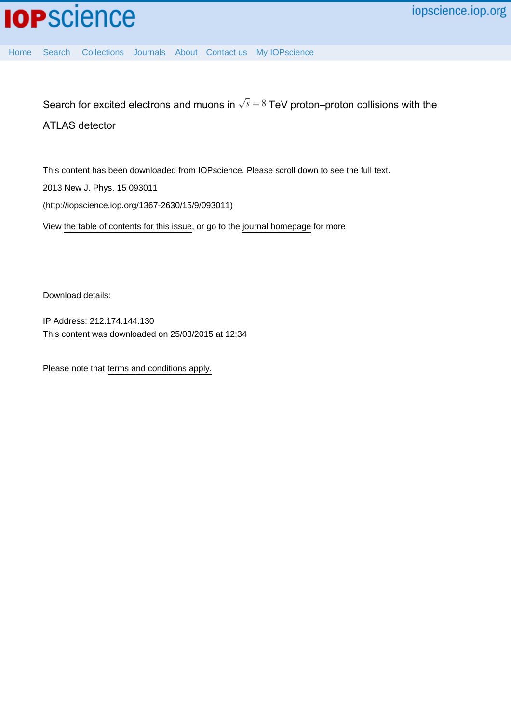[Home](http://iopscience.iop.org/) [Search](http://iopscience.iop.org/search) [Collections](http://iopscience.iop.org/collections) [Journals](http://iopscience.iop.org/journals) [About](http://iopscience.iop.org/page/aboutioppublishing) [Contact us](http://iopscience.iop.org/contact) [My IOPscience](http://iopscience.iop.org/myiopscience)

Search for excited electrons and muons in  $\sqrt{s} = 8$  TeV proton–proton collisions with the ATLAS detector

This content has been downloaded from IOPscience. Please scroll down to see the full text. View [the table of contents for this issue](http://iopscience.iop.org/1367-2630/15/9), or go to the [journal homepage](http://iopscience.iop.org/1367-2630) for more 2013 New J. Phys. 15 093011 (http://iopscience.iop.org/1367-2630/15/9/093011)

Download details:

IP Address: 212.174.144.130 This content was downloaded on 25/03/2015 at 12:34

Please note that [terms and conditions apply.](iopscience.iop.org/page/terms)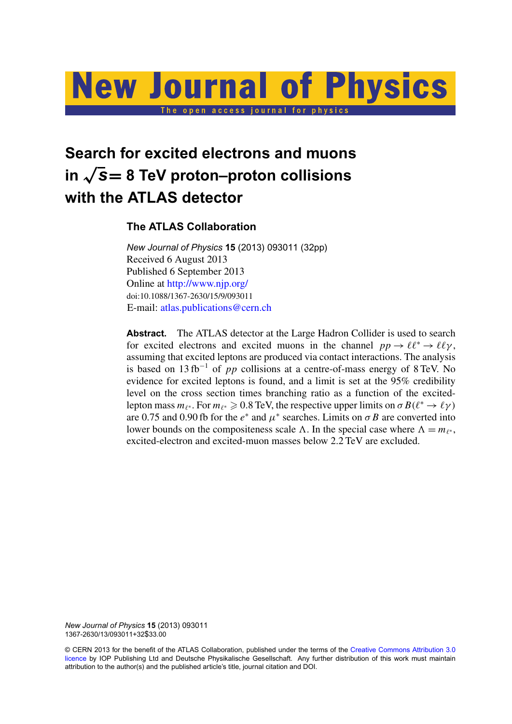# **New Journal of Physics** The open access journal for physics

## **Search for excited electrons and muons in** <sup>√</sup> *s*= **8 TeV proton–proton collisions with the ATLAS detector**

## **The ATLAS Collaboration**

*New Journal of Physics* **15** (2013) 093011 (32pp) Received 6 August 2013 Published 6 September 2013 Online at <http://www.njp.org/> doi:10.1088/1367-2630/15/9/093011 E-mail: [atlas.publications@cern.ch](mailto:atlas.publications@cern.ch)

**Abstract.** The ATLAS detector at the Large Hadron Collider is used to search for excited electrons and excited muons in the channel  $pp \to \ell \ell^* \to \ell \ell \gamma$ , assuming that excited leptons are produced via contact interactions. The analysis is based on 13 fb<sup>−</sup><sup>1</sup> of *pp* collisions at a centre-of-mass energy of 8 TeV. No evidence for excited leptons is found, and a limit is set at the 95% credibility level on the cross section times branching ratio as a function of the excitedlepton mass  $m_{\ell^*}$ . For  $m_{\ell^*} \geqslant 0.8$  TeV, the respective upper limits on  $\sigma B(\ell^* \to \ell \gamma)$ are 0.75 and 0.90 fb for the  $e^*$  and  $\mu^*$  searches. Limits on  $\sigma B$  are converted into lower bounds on the compositeness scale  $\Lambda$ . In the special case where  $\Lambda = m_{\ell^*}$ , excited-electron and excited-muon masses below 2.2 TeV are excluded.

*New Journal of Physics* **15** (2013) 093011 1367-2630/13/093011+32\$33.00

© CERN 2013 for the benefit of the ATLAS Collaboration, published under the terms of the [Creative Commons Attribution 3.0](http://creativecommons.org/licenses/by/3.0) [licence](http://creativecommons.org/licenses/by/3.0) by IOP Publishing Ltd and Deutsche Physikalische Gesellschaft. Any further distribution of this work must maintain attribution to the author(s) and the published article's title, journal citation and DOI.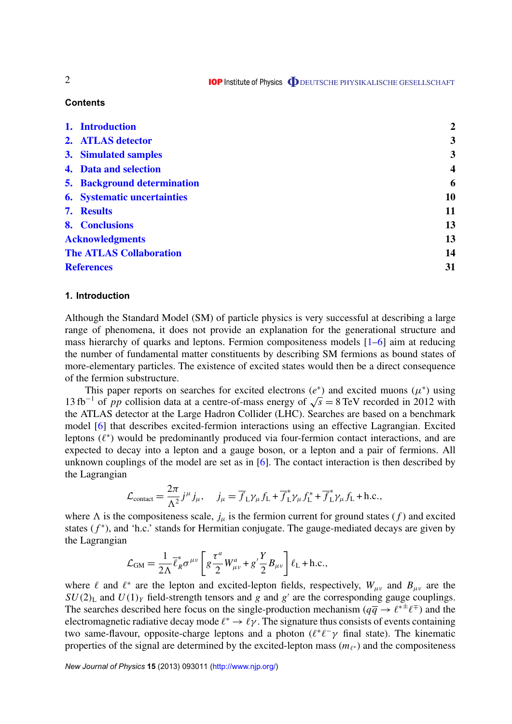#### **Contents**

|                                | 1. Introduction                    | $\boldsymbol{2}$        |
|--------------------------------|------------------------------------|-------------------------|
|                                | 2. ATLAS detector                  | 3                       |
|                                | 3. Simulated samples               | 3                       |
|                                | 4. Data and selection              | $\overline{\mathbf{4}}$ |
|                                | <b>5. Background determination</b> | 6                       |
|                                | <b>6.</b> Systematic uncertainties | 10                      |
|                                | 7. Results                         | 11                      |
|                                | 8. Conclusions                     | 13                      |
| <b>Acknowledgments</b>         |                                    | 13                      |
| <b>The ATLAS Collaboration</b> |                                    | 14                      |
| <b>References</b>              |                                    | 31                      |

#### **1. Introduction**

Although the Standard Model (SM) of particle physics is very successful at describing a large range of phenomena, it does not provide an explanation for the generational structure and mass hierarchy of quarks and leptons. Fermion compositeness models [\[1–6\]](#page-31-0) aim at reducing the number of fundamental matter constituents by describing SM fermions as bound states of more-elementary particles. The existence of excited states would then be a direct consequence of the fermion substructure.

This paper reports on searches for excited electrons  $(e^*)$  and excited muons  $(\mu^*)$  using This paper reports on searches for excited electrons ( $e^*$ ) and excited muons ( $\mu^*$ ) using 13 fb<sup>-1</sup> of *pp* collision data at a centre-of-mass energy of  $\sqrt{s} = 8 \text{ TeV}$  recorded in 2012 with the ATLAS detector at the Large Hadron Collider (LHC). Searches are based on a benchmark model [\[6\]](#page-31-0) that describes excited-fermion interactions using an effective Lagrangian. Excited leptons  $(\ell^*)$  would be predominantly produced via four-fermion contact interactions, and are expected to decay into a lepton and a gauge boson, or a lepton and a pair of fermions. All unknown couplings of the model are set as in  $[6]$ . The contact interaction is then described by the Lagrangian

$$
\mathcal{L}_{\text{contact}} = \frac{2\pi}{\Lambda^2} j^{\mu} j_{\mu}, \quad j_{\mu} = \overline{f}_{\text{L}} \gamma_{\mu} f_{\text{L}} + \overline{f}_{\text{L}}^* \gamma_{\mu} f_{\text{L}}^* + \overline{f}_{\text{L}}^* \gamma_{\mu} f_{\text{L}} + \text{h.c.},
$$

where  $\Lambda$  is the compositeness scale,  $j_{\mu}$  is the fermion current for ground states (*f*) and excited states  $(f^*)$ , and 'h.c.' stands for Hermitian conjugate. The gauge-mediated decays are given by the Lagrangian

$$
\mathcal{L}_{GM} = \frac{1}{2\Lambda} \overline{\ell}_{R}^{*} \sigma^{\mu\nu} \left[ g \frac{\tau^{a}}{2} W_{\mu\nu}^{a} + g' \frac{Y}{2} B_{\mu\nu} \right] \ell_{L} + \text{h.c.},
$$

where  $\ell$  and  $\ell^*$  are the lepton and excited-lepton fields, respectively,  $W_{\mu\nu}$  and  $B_{\mu\nu}$  are the  $SU(2)$ <sub>L</sub> and  $U(1)_Y$  field-strength tensors and *g* and *g'* are the corresponding gauge couplings. The searches described here focus on the single-production mechanism  $(q\overline{q} \rightarrow \ell^{*\pm} \ell^{\mp})$  and the electromagnetic radiative decay mode  $\ell^* \to \ell \gamma$ . The signature thus consists of events containing two same-flavour, opposite-charge leptons and a photon  $(\ell^+ \ell^- \gamma$  final state). The kinematic properties of the signal are determined by the excited-lepton mass  $(m_{\ell^*})$  and the compositeness

*New Journal of Physics* **15** (2013) 093011 [\(http://www.njp.org/\)](http://www.njp.org/)

2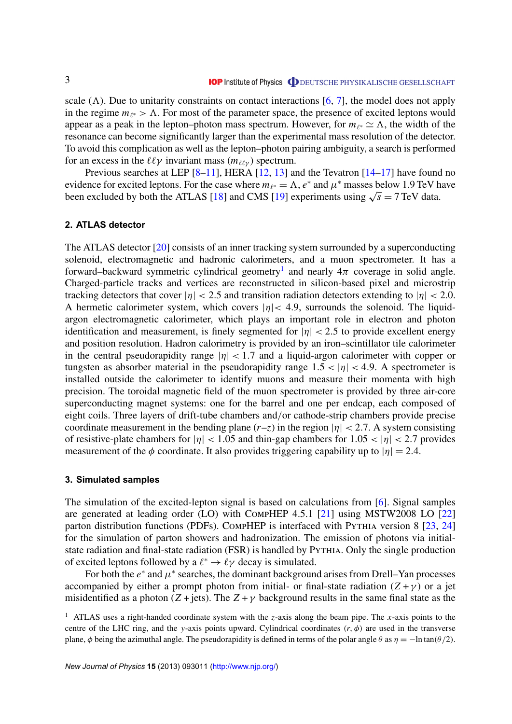<span id="page-3-0"></span>scale  $(\Lambda)$ . Due to unitarity constraints on contact interactions [\[6,](#page-31-0) [7\]](#page-31-0), the model does not apply in the regime  $m_{\ell^*} > \Lambda$ . For most of the parameter space, the presence of excited leptons would appear as a peak in the lepton–photon mass spectrum. However, for  $m_{\ell^*} \simeq \Lambda$ , the width of the resonance can become significantly larger than the experimental mass resolution of the detector. To avoid this complication as well as the lepton–photon pairing ambiguity, a search is performed for an excess in the  $\ell\ell\gamma$  invariant mass ( $m_{\ell\ell\gamma}$ ) spectrum.

Previous searches at LEP  $[8-11]$ , HERA  $[12, 13]$  $[12, 13]$  $[12, 13]$  and the Tevatron  $[14-17]$  have found no evidence for excited leptons. For the case where  $m_{\ell^*} = \Lambda$ ,  $e^*$  and  $\mu^*$  masses below 1.9 TeV have evidence for excited leptons. For the case where  $m_{\ell^*} = \Lambda$ ,  $e^*$  and  $\mu^*$  masses below 1.9 TeV h<br>been excluded by both the ATLAS [\[18\]](#page-31-0) and CMS [\[19\]](#page-31-0) experiments using  $\sqrt{s} = 7$  TeV data.

#### **2. ATLAS detector**

The ATLAS detector [\[20\]](#page-32-0) consists of an inner tracking system surrounded by a superconducting solenoid, electromagnetic and hadronic calorimeters, and a muon spectrometer. It has a forward–backward symmetric cylindrical geometry<sup>1</sup> and nearly  $4\pi$  coverage in solid angle. Charged-particle tracks and vertices are reconstructed in silicon-based pixel and microstrip tracking detectors that cover  $|\eta| < 2.5$  and transition radiation detectors extending to  $|\eta| < 2.0$ . A hermetic calorimeter system, which covers  $|\eta|$  < 4.9, surrounds the solenoid. The liquidargon electromagnetic calorimeter, which plays an important role in electron and photon identification and measurement, is finely segmented for  $|\eta| < 2.5$  to provide excellent energy and position resolution. Hadron calorimetry is provided by an iron–scintillator tile calorimeter in the central pseudorapidity range  $|\eta|$  < 1.7 and a liquid-argon calorimeter with copper or tungsten as absorber material in the pseudorapidity range  $1.5 < |\eta| < 4.9$ . A spectrometer is installed outside the calorimeter to identify muons and measure their momenta with high precision. The toroidal magnetic field of the muon spectrometer is provided by three air-core superconducting magnet systems: one for the barrel and one per endcap, each composed of eight coils. Three layers of drift-tube chambers and/or cathode-strip chambers provide precise coordinate measurement in the bending plane  $(r-z)$  in the region  $|\eta| < 2.7$ . A system consisting of resistive-plate chambers for  $|\eta|$  < 1.05 and thin-gap chambers for 1.05 <  $|\eta|$  < 2.7 provides measurement of the  $\phi$  coordinate. It also provides triggering capability up to  $|\eta| = 2.4$ .

#### **3. Simulated samples**

The simulation of the excited-lepton signal is based on calculations from [\[6\]](#page-31-0). Signal samples are generated at leading order (LO) with CompHEP 4.5.1 [\[21\]](#page-32-0) using MSTW2008 LO [\[22\]](#page-32-0) parton distribution functions (PDFs). CompHEP is interfaced with PYTHIA version 8 [\[23,](#page-32-0) [24\]](#page-32-0) for the simulation of parton showers and hadronization. The emission of photons via initialstate radiation and final-state radiation (FSR) is handled by PYTHIA. Only the single production of excited leptons followed by a  $\ell^* \to \ell \gamma$  decay is simulated.

For both the  $e^*$  and  $\mu^*$  searches, the dominant background arises from Drell–Yan processes accompanied by either a prompt photon from initial- or final-state radiation  $(Z + \gamma)$  or a jet misidentified as a photon  $(Z + jets)$ . The  $Z + \gamma$  background results in the same final state as the

<sup>1</sup> ATLAS uses a right-handed coordinate system with the *z*-axis along the beam pipe. The *x*-axis points to the centre of the LHC ring, and the *y*-axis points upward. Cylindrical coordinates  $(r, \phi)$  are used in the transverse plane,  $\phi$  being the azimuthal angle. The pseudorapidity is defined in terms of the polar angle  $\theta$  as  $\eta = -\ln \tan(\theta/2)$ .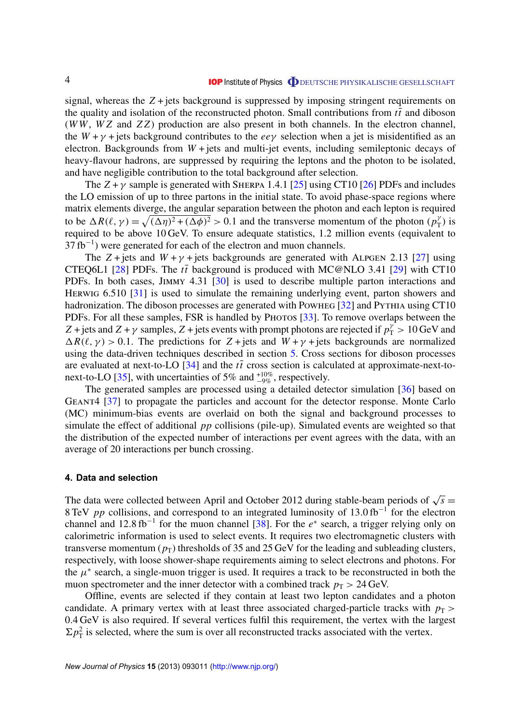<span id="page-4-0"></span>signal, whereas the  $Z +$  jets background is suppressed by imposing stringent requirements on the quality and isolation of the reconstructed photon. Small contributions from  $t\bar{t}$  and diboson (*W W*, *W Z* and *Z Z*) production are also present in both channels. In the electron channel, the  $W + \gamma$  + jets background contributes to the *ee*  $\gamma$  selection when a jet is misidentified as an electron. Backgrounds from  $W +$  jets and multi-jet events, including semileptonic decays of heavy-flavour hadrons, are suppressed by requiring the leptons and the photon to be isolated, and have negligible contribution to the total background after selection.

The  $Z + \gamma$  sample is generated with SHERPA 1.4.1 [\[25\]](#page-32-0) using CT10 [\[26\]](#page-32-0) PDFs and includes the LO emission of up to three partons in the initial state. To avoid phase-space regions where matrix elements diverge, the angular separation between the photon and each lepton is required to be  $\Delta R(\ell, \gamma) = \sqrt{(\Delta \eta)^2 + (\Delta \phi)^2} > 0.1$  and the transverse momentum of the photon (*p*<sup>2</sup><sub>1</sub>  $Y_T^{\gamma}$ ) is required to be above 10 GeV. To ensure adequate statistics, 1.2 million events (equivalent to  $37 \text{ fb}^{-1}$ ) were generated for each of the electron and muon channels.

The  $Z$  + jets and  $W + \gamma$  + jets backgrounds are generated with ALPGEN 2.13 [\[27\]](#page-32-0) using CTEQ6L1 [\[28\]](#page-32-0) PDFs. The  $t\bar{t}$  background is produced with MC@NLO 3.41 [\[29\]](#page-32-0) with CT10 PDFs. In both cases, Jimmy 4.31 [\[30\]](#page-32-0) is used to describe multiple parton interactions and HERWIG 6.510 [\[31\]](#page-32-0) is used to simulate the remaining underlying event, parton showers and hadronization. The diboson processes are generated with Powheg [\[32\]](#page-32-0) and PyTHIA using CT10 PDFs. For all these samples, FSR is handled by Photos [\[33\]](#page-32-0). To remove overlaps between the *Z* + jets and *Z* + *γ* samples, *Z* + jets events with prompt photons are rejected if  $p_T^{\gamma} > 10$  GeV and  $\Delta R(\ell, \gamma) > 0.1$ . The predictions for  $Z + \text{jets}$  and  $W + \gamma + \text{jets}$  backgrounds are normalized using the data-driven techniques described in section [5.](#page-6-0) Cross sections for diboson processes are evaluated at next-to-LO  $[34]$  and the  $t\bar{t}$  cross section is calculated at approximate-next-to-next-to-LO [\[35\]](#page-32-0), with uncertainties of 5% and  $^{+10\%}_{-9\%}$ , respectively.

The generated samples are processed using a detailed detector simulation [\[36\]](#page-32-0) based on Geant4 [\[37\]](#page-32-0) to propagate the particles and account for the detector response. Monte Carlo (MC) minimum-bias events are overlaid on both the signal and background processes to simulate the effect of additional *pp* collisions (pile-up). Simulated events are weighted so that the distribution of the expected number of interactions per event agrees with the data, with an average of 20 interactions per bunch crossing.

#### **4. Data and selection**

The data were collected between April and October 2012 during stable-beam periods of  $\sqrt{s}$  = 8 TeV *pp* collisions, and correspond to an integrated luminosity of 13.0 fb<sup>-1</sup> for the electron channel and 12.8 fb<sup>-1</sup> for the muon channel [\[38\]](#page-32-0). For the  $e^*$  search, a trigger relying only on calorimetric information is used to select events. It requires two electromagnetic clusters with transverse momentum  $(p_T)$  thresholds of 35 and 25 GeV for the leading and subleading clusters, respectively, with loose shower-shape requirements aiming to select electrons and photons. For the  $\mu^*$  search, a single-muon trigger is used. It requires a track to be reconstructed in both the muon spectrometer and the inner detector with a combined track  $p_T > 24$  GeV.

Offline, events are selected if they contain at least two lepton candidates and a photon candidate. A primary vertex with at least three associated charged-particle tracks with  $p<sub>T</sub>$  > 0.4 GeV is also required. If several vertices fulfil this requirement, the vertex with the largest  $\Sigma p_{\rm T}^2$  is selected, where the sum is over all reconstructed tracks associated with the vertex.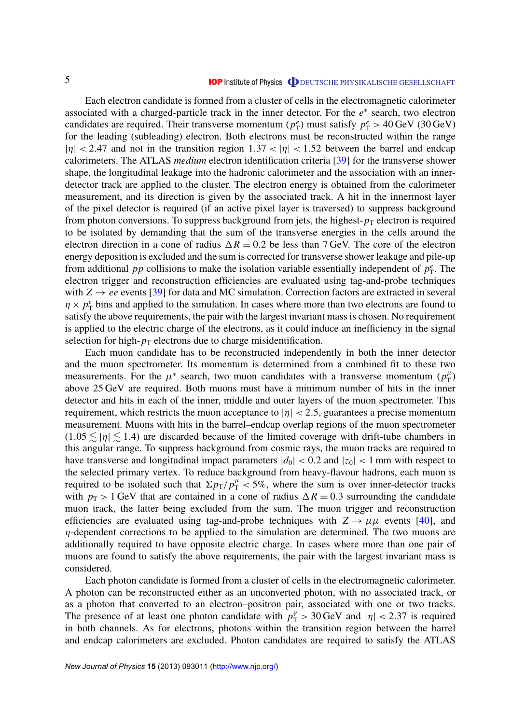Each electron candidate is formed from a cluster of cells in the electromagnetic calorimeter associated with a charged-particle track in the inner detector. For the  $e^*$  search, two electron candidates are required. Their transverse momentum ( $p_T^e$ ) must satisfy  $p_T^e > 40 \,\text{GeV}$  (30 GeV) for the leading (subleading) electron. Both electrons must be reconstructed within the range  $|\eta|$  < 2.47 and not in the transition region 1.37 <  $|\eta|$  < 1.52 between the barrel and endcap calorimeters. The ATLAS *medium* electron identification criteria [\[39\]](#page-32-0) for the transverse shower shape, the longitudinal leakage into the hadronic calorimeter and the association with an innerdetector track are applied to the cluster. The electron energy is obtained from the calorimeter measurement, and its direction is given by the associated track. A hit in the innermost layer of the pixel detector is required (if an active pixel layer is traversed) to suppress background from photon conversions. To suppress background from jets, the highest- $p<sub>T</sub>$  electron is required to be isolated by demanding that the sum of the transverse energies in the cells around the electron direction in a cone of radius  $\Delta R = 0.2$  be less than 7 GeV. The core of the electron energy deposition is excluded and the sum is corrected for transverse shower leakage and pile-up from additional *pp* collisions to make the isolation variable essentially independent of  $p_T^e$ . The electron trigger and reconstruction efficiencies are evaluated using tag-and-probe techniques with  $Z \rightarrow ee$  events [\[39\]](#page-32-0) for data and MC simulation. Correction factors are extracted in several  $\eta \times p_T^e$  bins and applied to the simulation. In cases where more than two electrons are found to satisfy the above requirements, the pair with the largest invariant mass is chosen. No requirement is applied to the electric charge of the electrons, as it could induce an inefficiency in the signal selection for high- $p_T$  electrons due to charge misidentification.

Each muon candidate has to be reconstructed independently in both the inner detector and the muon spectrometer. Its momentum is determined from a combined fit to these two measurements. For the  $\mu^*$  search, two muon candidates with a transverse momentum ( $p_T^{\mu}$ )  $\binom{\mu}{\mathrm{T}}$ above 25 GeV are required. Both muons must have a minimum number of hits in the inner detector and hits in each of the inner, middle and outer layers of the muon spectrometer. This requirement, which restricts the muon acceptance to  $|\eta| < 2.5$ , guarantees a precise momentum measurement. Muons with hits in the barrel–endcap overlap regions of the muon spectrometer  $(1.05 \leq |\eta| \leq 1.4)$  are discarded because of the limited coverage with drift-tube chambers in this angular range. To suppress background from cosmic rays, the muon tracks are required to have transverse and longitudinal impact parameters  $|d_0| < 0.2$  and  $|z_0| < 1$  mm with respect to the selected primary vertex. To reduce background from heavy-flavour hadrons, each muon is required to be isolated such that  $\Sigma p_{\rm T}/p_{\rm T}^{\mu} < 5\%$ , where the sum is over inner-detector tracks with  $p_T > 1$  GeV that are contained in a cone of radius  $\Delta R = 0.3$  surrounding the candidate muon track, the latter being excluded from the sum. The muon trigger and reconstruction efficiencies are evaluated using tag-and-probe techniques with  $Z \rightarrow \mu \mu$  events [\[40\]](#page-32-0), and  $\eta$ -dependent corrections to be applied to the simulation are determined. The two muons are additionally required to have opposite electric charge. In cases where more than one pair of muons are found to satisfy the above requirements, the pair with the largest invariant mass is considered.

Each photon candidate is formed from a cluster of cells in the electromagnetic calorimeter. A photon can be reconstructed either as an unconverted photon, with no associated track, or as a photon that converted to an electron–positron pair, associated with one or two tracks. The presence of at least one photon candidate with  $p_T^{\gamma} > 30 \,\text{GeV}$  and  $|\eta| < 2.37$  is required in both channels. As for electrons, photons within the transition region between the barrel and endcap calorimeters are excluded. Photon candidates are required to satisfy the ATLAS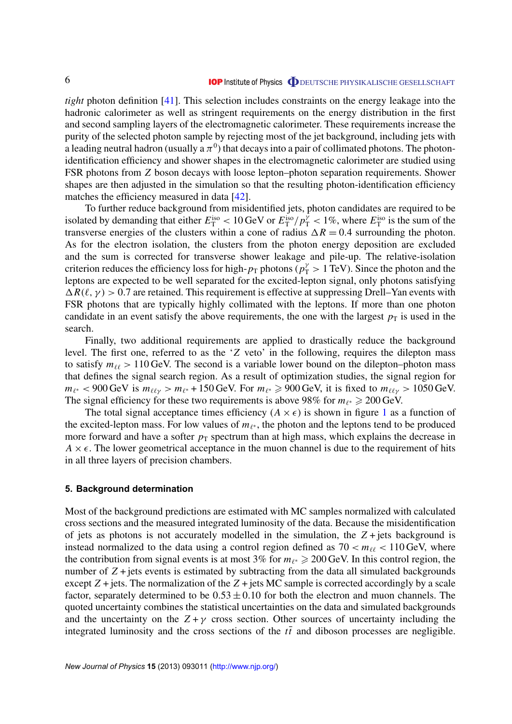<span id="page-6-0"></span>*tight* photon definition [\[41\]](#page-32-0). This selection includes constraints on the energy leakage into the hadronic calorimeter as well as stringent requirements on the energy distribution in the first and second sampling layers of the electromagnetic calorimeter. These requirements increase the purity of the selected photon sample by rejecting most of the jet background, including jets with a leading neutral hadron (usually a  $\pi^0$ ) that decays into a pair of collimated photons. The photonidentification efficiency and shower shapes in the electromagnetic calorimeter are studied using FSR photons from *Z* boson decays with loose lepton–photon separation requirements. Shower shapes are then adjusted in the simulation so that the resulting photon-identification efficiency matches the efficiency measured in data [\[42\]](#page-32-0).

To further reduce background from misidentified jets, photon candidates are required to be isolated by demanding that either  $E_T^{iso} < 10 \text{ GeV}$  or  $E_T^{iso}/p_T^{\gamma} < 1\%$ , where  $E_T^{iso}$  is the sum of the transverse energies of the clusters within a cone of radius  $\Delta R = 0.4$  surrounding the photon. As for the electron isolation, the clusters from the photon energy deposition are excluded and the sum is corrected for transverse shower leakage and pile-up. The relative-isolation criterion reduces the efficiency loss for high- $p_T$  photons ( $p_T^{\gamma} > 1$  TeV). Since the photon and the leptons are expected to be well separated for the excited-lepton signal, only photons satisfying  $\Delta R(\ell, \gamma) > 0.7$  are retained. This requirement is effective at suppressing Drell–Yan events with FSR photons that are typically highly collimated with the leptons. If more than one photon candidate in an event satisfy the above requirements, the one with the largest  $p<sub>T</sub>$  is used in the search.

Finally, two additional requirements are applied to drastically reduce the background level. The first one, referred to as the '*Z* veto' in the following, requires the dilepton mass to satisfy  $m_{\ell\ell} > 110$  GeV. The second is a variable lower bound on the dilepton–photon mass that defines the signal search region. As a result of optimization studies, the signal region for  $m_{\ell^*}$  < 900 GeV is  $m_{\ell\ell\gamma} > m_{\ell^*}$  + 150 GeV. For  $m_{\ell^*} \ge 900$  GeV, it is fixed to  $m_{\ell\ell\gamma} > 1050$  GeV. The signal efficiency for these two requirements is above 98% for  $m_{\ell^*} \geq 200 \,\text{GeV}$ .

The total signal acceptance times efficiency  $(A \times \epsilon)$  is shown in figure [1](#page-7-0) as a function of the excited-lepton mass. For low values of  $m_{\ell^*}$ , the photon and the leptons tend to be produced more forward and have a softer  $p<sub>T</sub>$  spectrum than at high mass, which explains the decrease in  $A \times \epsilon$ . The lower geometrical acceptance in the muon channel is due to the requirement of hits in all three layers of precision chambers.

#### **5. Background determination**

Most of the background predictions are estimated with MC samples normalized with calculated cross sections and the measured integrated luminosity of the data. Because the misidentification of jets as photons is not accurately modelled in the simulation, the *Z* + jets background is instead normalized to the data using a control region defined as  $70 < m_{\ell\ell} < 110$  GeV, where the contribution from signal events is at most 3% for  $m_{\ell^*} \geq 200$  GeV. In this control region, the number of  $Z$  + jets events is estimated by subtracting from the data all simulated backgrounds except  $Z$  + jets. The normalization of the  $Z$  + jets MC sample is corrected accordingly by a scale factor, separately determined to be  $0.53 \pm 0.10$  for both the electron and muon channels. The quoted uncertainty combines the statistical uncertainties on the data and simulated backgrounds and the uncertainty on the  $Z + \gamma$  cross section. Other sources of uncertainty including the integrated luminosity and the cross sections of the  $t\bar{t}$  and diboson processes are negligible.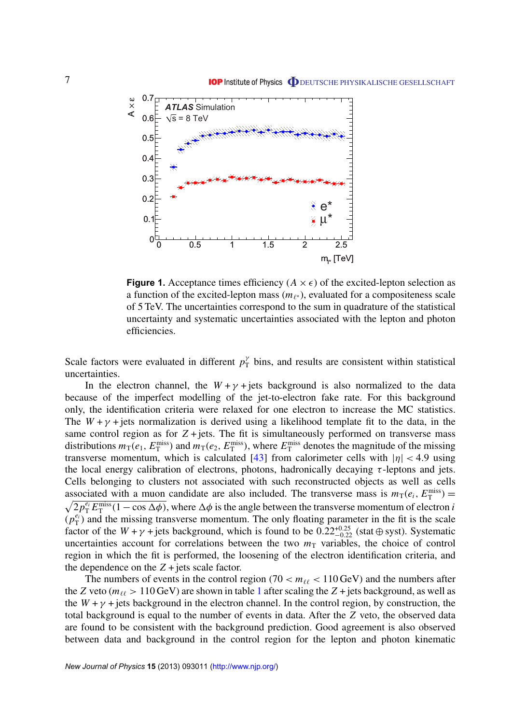<span id="page-7-0"></span>

**Figure 1.** Acceptance times efficiency ( $A \times \epsilon$ ) of the excited-lepton selection as a function of the excited-lepton mass  $(m_{\ell^*})$ , evaluated for a compositeness scale of 5 TeV. The uncertainties correspond to the sum in quadrature of the statistical uncertainty and systematic uncertainties associated with the lepton and photon efficiencies.

Scale factors were evaluated in different  $p_T^{\gamma}$  bins, and results are consistent within statistical uncertainties.

In the electron channel, the  $W + \gamma$  + jets background is also normalized to the data because of the imperfect modelling of the jet-to-electron fake rate. For this background only, the identification criteria were relaxed for one electron to increase the MC statistics. The  $W + \gamma$  + jets normalization is derived using a likelihood template fit to the data, in the same control region as for  $Z + jets$ . The fit is simultaneously performed on transverse mass distributions  $m_T(e_1, E_T^{\text{miss}})$  and  $m_T(e_2, E_T^{\text{miss}})$ , where  $E_T^{\text{miss}}$  denotes the magnitude of the missing transverse momentum, which is calculated [\[43\]](#page-32-0) from calorimeter cells with  $|\eta|$  < 4.9 using the local energy calibration of electrons, photons, hadronically decaying  $\tau$ -leptons and jets. Cells belonging to clusters not associated with such reconstructed objects as well as cells associated with a muon candidate are also included. The transverse mass is  $m_T(e_i, E_T^{\text{miss}})$  =  $\sqrt{2p_T^{e_i}E_T^{\text{miss}}(1-\cos\Delta\phi)}$ , where  $\Delta\phi$  is the angle between the transverse momentum of electron *i*  $(p_T^{e_i})$  $\binom{e_i}{T}$  and the missing transverse momentum. The only floating parameter in the fit is the scale factor of the  $W + \gamma$  + jets background, which is found to be  $0.22^{+0.25}_{-0.22}$  (stat  $\oplus$  syst). Systematic uncertainties account for correlations between the two  $m<sub>T</sub>$  variables, the choice of control region in which the fit is performed, the loosening of the electron identification criteria, and the dependence on the  $Z$  + jets scale factor.

The numbers of events in the control region (70  $< m_{\ell\ell} < 110 \,\text{GeV}$ ) and the numbers after the *Z* veto ( $m_{\ell\ell} > 110$  $m_{\ell\ell} > 110$  $m_{\ell\ell} > 110$  GeV) are shown in table 1 after scaling the *Z* + jets background, as well as the  $W + \gamma$  + jets background in the electron channel. In the control region, by construction, the total background is equal to the number of events in data. After the *Z* veto, the observed data are found to be consistent with the background prediction. Good agreement is also observed between data and background in the control region for the lepton and photon kinematic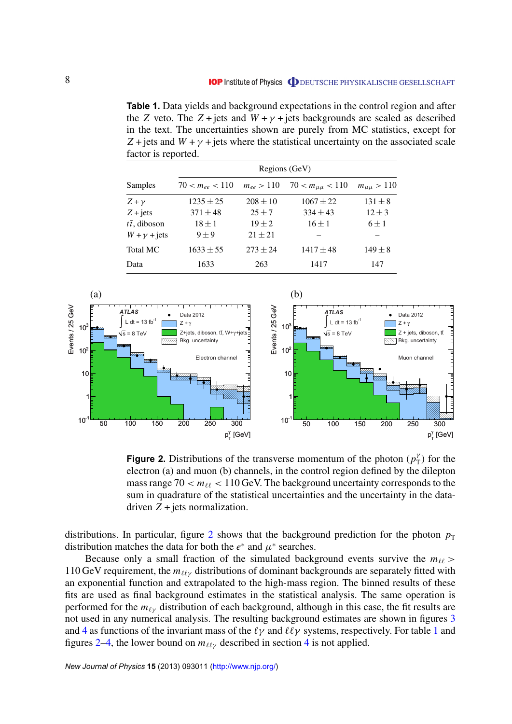<span id="page-8-0"></span>**Table 1.** Data yields and background expectations in the control region and after the *Z* veto. The *Z* + jets and  $W + \gamma$  + jets backgrounds are scaled as described in the text. The uncertainties shown are purely from MC statistics, except for  $Z +$  jets and  $W + \gamma +$  jets where the statistical uncertainty on the associated scale factor is reported.

|                           | Regions (GeV)       |                |                         |                    |
|---------------------------|---------------------|----------------|-------------------------|--------------------|
| Samples                   | $70 < m_{ee} < 110$ | $m_{ee} > 110$ | $70 < m_{\mu\mu} < 110$ | $m_{\mu\mu} > 110$ |
| $Z + \gamma$              | $1235 \pm 25$       | $208 \pm 10$   | $1067 \pm 22$           | $131 \pm 8$        |
| $Z + jets$                | $371 \pm 48$        | $25 \pm 7$     | $334 \pm 43$            | $12 \pm 3$         |
| $t\overline{t}$ , diboson | $18 \pm 1$          | $19 \pm 2$     | $16 \pm 1$              | $6 \pm 1$          |
| $W + \gamma$ + jets       | $9 \pm 9$           | $21 \pm 21$    |                         |                    |
| Total MC                  | $1633 \pm 55$       | $273 \pm 24$   | $1417 \pm 48$           | $149 \pm 8$        |
| Data                      | 1633                | 263            | 1417                    | 147                |



**Figure 2.** Distributions of the transverse momentum of the photon  $(p_T^{\lambda})$  $T(T)$  for the electron (a) and muon (b) channels, in the control region defined by the dilepton mass range  $70 < m_{\ell\ell} < 110$  GeV. The background uncertainty corresponds to the sum in quadrature of the statistical uncertainties and the uncertainty in the datadriven  $Z$  + jets normalization.

distributions. In particular, figure 2 shows that the background prediction for the photon  $p<sub>T</sub>$ distribution matches the data for both the  $e^*$  and  $\mu^*$  searches.

Because only a small fraction of the simulated background events survive the  $m_{\ell\ell}$  > 110 GeV requirement, the  $m_{\ell\ell\nu}$  distributions of dominant backgrounds are separately fitted with an exponential function and extrapolated to the high-mass region. The binned results of these fits are used as final background estimates in the statistical analysis. The same operation is performed for the  $m_{\ell\nu}$  distribution of each background, although in this case, the fit results are not used in any numerical analysis. The resulting background estimates are shown in figures [3](#page-9-0) and [4](#page-9-0) as functions of the invariant mass of the  $\ell\gamma$  and  $\ell\ell\gamma$  systems, respectively. For table 1 and figures 2[–4,](#page-9-0) the lower bound on  $m_{\ell\ell\gamma}$  described in section [4](#page-4-0) is not applied.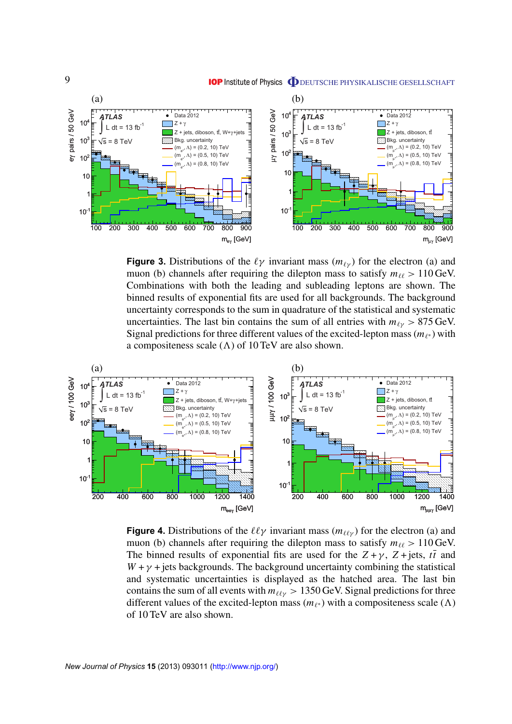<span id="page-9-0"></span>

**Figure 3.** Distributions of the  $\ell \gamma$  invariant mass  $(m_{\ell \gamma})$  for the electron (a) and muon (b) channels after requiring the dilepton mass to satisfy  $m_{\ell\ell} > 110$  GeV. Combinations with both the leading and subleading leptons are shown. The binned results of exponential fits are used for all backgrounds. The background uncertainty corresponds to the sum in quadrature of the statistical and systematic uncertainties. The last bin contains the sum of all entries with  $m_{\ell \nu} > 875$  GeV. Signal predictions for three different values of the excited-lepton mass  $(m_{\ell^*})$  with a compositeness scale  $(\Lambda)$  of 10 TeV are also shown.



**Figure 4.** Distributions of the  $\ell\ell\gamma$  invariant mass ( $m_{\ell\ell\gamma}$ ) for the electron (a) and muon (b) channels after requiring the dilepton mass to satisfy  $m_{\ell\ell} > 110$  GeV. The binned results of exponential fits are used for the  $Z + \gamma$ ,  $Z + \text{jets}$ ,  $t\bar{t}$  and  $W + \gamma$  + jets backgrounds. The background uncertainty combining the statistical and systematic uncertainties is displayed as the hatched area. The last bin contains the sum of all events with  $m_{\ell\ell\gamma} > 1350$  GeV. Signal predictions for three different values of the excited-lepton mass  $(m_{\ell^*})$  with a compositeness scale ( $\Lambda$ ) of 10 TeV are also shown.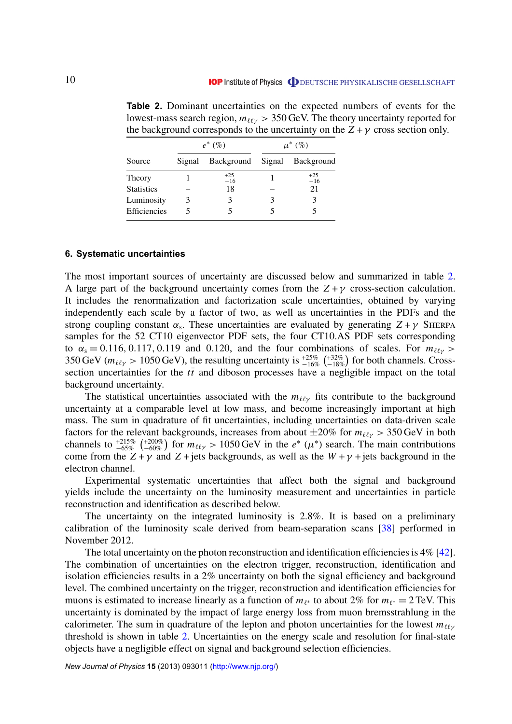| the background corresponds to the uncertainty on the |           |                              |             |                |
|------------------------------------------------------|-----------|------------------------------|-------------|----------------|
|                                                      | $e^*(\%)$ |                              | $\mu^*$ (%) |                |
| Source                                               | Signal    | Background Signal Background |             |                |
| Theory                                               |           | $+25$<br>$-16$               |             | $+25$<br>$-16$ |
| <b>Statistics</b>                                    |           | 18                           |             | 21             |
| Luminosity                                           |           | 3                            |             | 3              |
| <b>Efficiencies</b>                                  |           |                              |             |                |

<span id="page-10-0"></span>**Table 2.** Dominant uncertainties on the expected numbers of events for the lowest-mass search region,  $m_{\ell\ell\gamma} > 350$  GeV. The theory uncertainty reported for the background corresponds to the uncertainty on the  $Z + \gamma$  cross section only.

#### **6. Systematic uncertainties**

The most important sources of uncertainty are discussed below and summarized in table 2. A large part of the background uncertainty comes from the  $Z + \gamma$  cross-section calculation. It includes the renormalization and factorization scale uncertainties, obtained by varying independently each scale by a factor of two, as well as uncertainties in the PDFs and the strong coupling constant  $\alpha_s$ . These uncertainties are evaluated by generating  $Z + \gamma$  SHERPA samples for the 52 CT10 eigenvector PDF sets, the four CT10.AS PDF sets corresponding to  $\alpha_s = 0.116, 0.117, 0.119$  and 0.120, and the four combinations of scales. For  $m_{\ell\ell\gamma}$  > 350 GeV ( $m_{\ell\ell\gamma} > 1050$  GeV), the resulting uncertainty is  $^{+25\%}_{-16\%}$  ( $^{+32\%}_{-18\%}$ ) for both channels. Crosssection uncertainties for the  $t\bar{t}$  and diboson processes have a negligible impact on the total background uncertainty.

The statistical uncertainties associated with the  $m_{\ell\ell\gamma}$  fits contribute to the background uncertainty at a comparable level at low mass, and become increasingly important at high mass. The sum in quadrature of fit uncertainties, including uncertainties on data-driven scale factors for the relevant backgrounds, increases from about  $\pm 20\%$  for  $m_{\ell\ell\gamma} > 350$  GeV in both channels to  $^{+215\%}_{-65\%}$  ( $^{+200\%}_{-60\%}$ ) for  $m_{\ell\ell\gamma} > 1050$  GeV in the  $e^*$  ( $\mu^*$ ) search. The main contributions come from the  $Z + \gamma$  and  $Z + \text{jets}$  backgrounds, as well as the  $W + \gamma + \text{jets}$  background in the electron channel.

Experimental systematic uncertainties that affect both the signal and background yields include the uncertainty on the luminosity measurement and uncertainties in particle reconstruction and identification as described below.

The uncertainty on the integrated luminosity is 2.8%. It is based on a preliminary calibration of the luminosity scale derived from beam-separation scans [\[38\]](#page-32-0) performed in November 2012.

The total uncertainty on the photon reconstruction and identification efficiencies is  $4\%$  [\[42\]](#page-32-0). The combination of uncertainties on the electron trigger, reconstruction, identification and isolation efficiencies results in a 2% uncertainty on both the signal efficiency and background level. The combined uncertainty on the trigger, reconstruction and identification efficiencies for muons is estimated to increase linearly as a function of  $m_{\ell^*}$  to about 2% for  $m_{\ell^*} = 2 \text{ TeV}$ . This uncertainty is dominated by the impact of large energy loss from muon bremsstrahlung in the calorimeter. The sum in quadrature of the lepton and photon uncertainties for the lowest  $m_{\ell\ell\gamma}$ threshold is shown in table 2. Uncertainties on the energy scale and resolution for final-state objects have a negligible effect on signal and background selection efficiencies.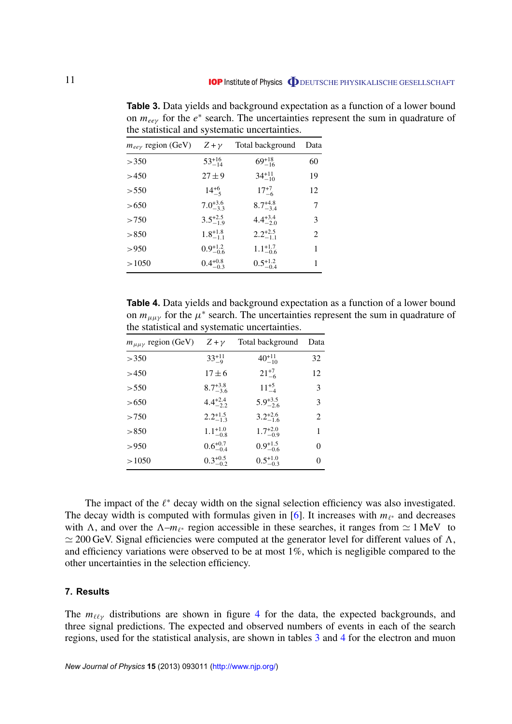| $\cdots$ $\cdots$ $\cdots$  |                     |                     |      |  |  |
|-----------------------------|---------------------|---------------------|------|--|--|
| $m_{ee\gamma}$ region (GeV) | $Z + \gamma$        | Total background    | Data |  |  |
| >350                        | $53^{+16}_{-14}$    | $69^{+18}_{-16}$    | 60   |  |  |
| >450                        | $27 \pm 9$          | $34^{+11}_{-10}$    | 19   |  |  |
| > 550                       | $14^{+6}_{-5}$      | $17^{+7}_{-6}$      | 12   |  |  |
| > 650                       | $7.0^{+3.6}_{-3.3}$ | $8.7^{+4.8}_{-3.4}$ | 7    |  |  |
| >750                        | $3.5^{+2.5}_{-1.9}$ | $4.4^{+3.4}_{-2.0}$ | 3    |  |  |
| > 850                       | $1.8^{+1.8}_{-1.1}$ | $2.2^{+2.5}_{-1.1}$ | 2    |  |  |
| > 950                       | $0.9^{+1.2}_{-0.6}$ | $1.1_{-0.6}^{+1.7}$ | 1    |  |  |
| >1050                       | $0.4^{+0.8}_{-0.3}$ | $0.5^{+1.2}_{-0.4}$ | 1    |  |  |
|                             |                     |                     |      |  |  |

<span id="page-11-0"></span>**Table 3.** Data yields and background expectation as a function of a lower bound on  $m_{ee\gamma}$  for the  $e^*$  search. The uncertainties represent the sum in quadrature of the statistical and systematic uncertainties.

**Table 4.** Data yields and background expectation as a function of a lower bound on  $m_{\mu\mu\gamma}$  for the  $\mu^*$  search. The uncertainties represent the sum in quadrature of the statistical and systematic uncertainties.

| $m_{\mu\mu\gamma}$ region (GeV) | $Z + \nu$           | Total background    | Data           |
|---------------------------------|---------------------|---------------------|----------------|
| >350                            | $33^{+11}_{-9}$     | $40^{+11}_{-10}$    | 32             |
| >450                            | $17 \pm 6$          | $21^{+7}_{-6}$      | 12             |
| > 550                           | $8.7^{+3.8}_{-3.6}$ | $11^{+5}_{-4}$      | 3              |
| > 650                           | $4.4^{+2.4}_{-2.2}$ | $5.9^{+3.5}_{-2.6}$ | 3              |
| >750                            | $2.2^{+1.5}_{-1.3}$ | $3.2^{+2.6}_{-1.6}$ | $\mathfrak{D}$ |
| > 850                           | $1.1^{+1.0}_{-0.8}$ | $1.7^{+2.0}_{-0.9}$ | 1              |
| > 950                           | $0.6^{+0.7}_{-0.4}$ | $0.9^{+1.5}_{-0.6}$ | 0              |
| >1050                           | $0.3^{+0.5}_{-0.2}$ | $0.5^{+1.0}_{-0.3}$ | 0              |
|                                 |                     |                     |                |

The impact of the  $\ell^*$  decay width on the signal selection efficiency was also investigated. The decay width is computed with formulas given in [\[6\]](#page-31-0). It increases with  $m_{\ell^*}$  and decreases with  $\Lambda$ , and over the  $\Lambda$ – $m_{\ell^*}$  region accessible in these searches, it ranges from  $\simeq 1 \text{ MeV}$  to  $\simeq$  200 GeV. Signal efficiencies were computed at the generator level for different values of  $\Lambda$ , and efficiency variations were observed to be at most 1%, which is negligible compared to the other uncertainties in the selection efficiency.

#### **7. Results**

The  $m_{\ell\ell\gamma}$  distributions are shown in figure [4](#page-9-0) for the data, the expected backgrounds, and three signal predictions. The expected and observed numbers of events in each of the search regions, used for the statistical analysis, are shown in tables 3 and 4 for the electron and muon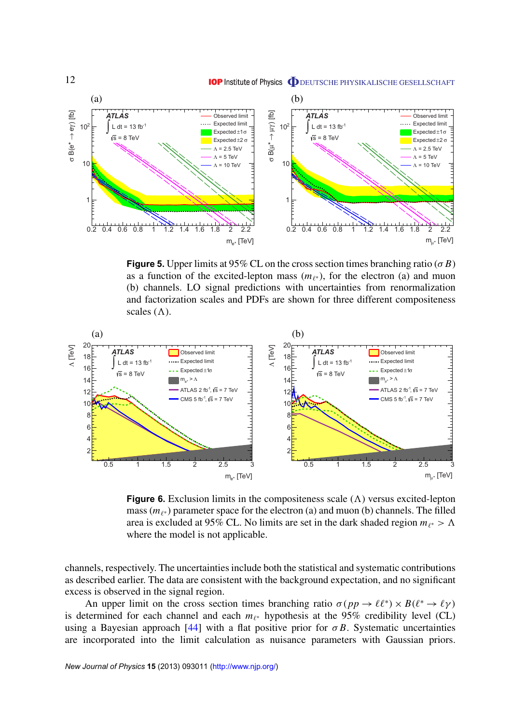<span id="page-12-0"></span>

**Figure 5.** Upper limits at 95% CL on the cross section times branching ratio ( $\sigma$  *B*) as a function of the excited-lepton mass  $(m_{\ell^*})$ , for the electron (a) and muon (b) channels. LO signal predictions with uncertainties from renormalization and factorization scales and PDFs are shown for three different compositeness scales  $(\Lambda)$ .



**Figure 6.** Exclusion limits in the compositeness scale  $(\Lambda)$  versus excited-lepton mass  $(m_{\ell^*})$  parameter space for the electron (a) and muon (b) channels. The filled area is excluded at 95% CL. No limits are set in the dark shaded region  $m_{\ell^*} > \Lambda$ where the model is not applicable.

channels, respectively. The uncertainties include both the statistical and systematic contributions as described earlier. The data are consistent with the background expectation, and no significant excess is observed in the signal region.

An upper limit on the cross section times branching ratio  $\sigma(pp \to \ell \ell^*) \times B(\ell^* \to \ell \gamma)$ is determined for each channel and each  $m_{\ell^*}$  hypothesis at the 95% credibility level (CL) using a Bayesian approach [\[44\]](#page-32-0) with a flat positive prior for  $\sigma B$ . Systematic uncertainties are incorporated into the limit calculation as nuisance parameters with Gaussian priors.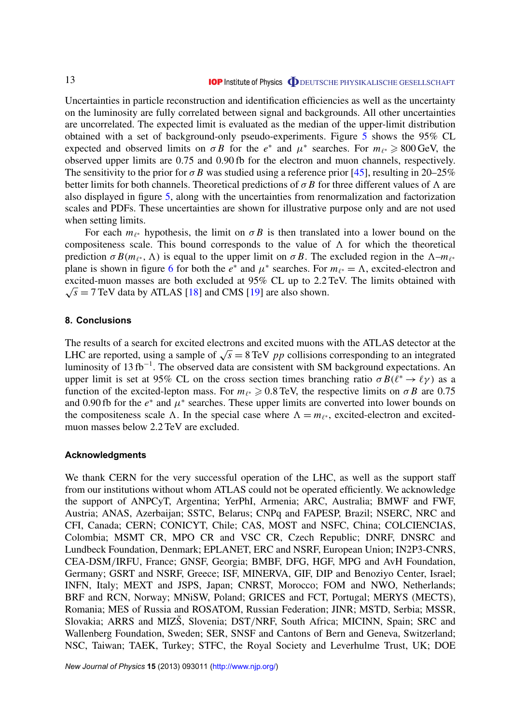<span id="page-13-0"></span>Uncertainties in particle reconstruction and identification efficiencies as well as the uncertainty on the luminosity are fully correlated between signal and backgrounds. All other uncertainties are uncorrelated. The expected limit is evaluated as the median of the upper-limit distribution obtained with a set of background-only pseudo-experiments. Figure [5](#page-12-0) shows the 95% CL expected and observed limits on  $\sigma B$  for the *e*<sup>\*</sup> and  $\mu$ <sup>\*</sup> searches. For  $m_{\ell^*} \geq 800$  GeV, the observed upper limits are 0.75 and 0.90 fb for the electron and muon channels, respectively. The sensitivity to the prior for  $\sigma B$  was studied using a reference prior [\[45\]](#page-32-0), resulting in 20–25% better limits for both channels. Theoretical predictions of  $\sigma B$  for three different values of  $\Lambda$  are also displayed in figure [5,](#page-12-0) along with the uncertainties from renormalization and factorization scales and PDFs. These uncertainties are shown for illustrative purpose only and are not used when setting limits.

For each  $m_{\ell^*}$  hypothesis, the limit on  $\sigma B$  is then translated into a lower bound on the compositeness scale. This bound corresponds to the value of  $\Lambda$  for which the theoretical prediction  $\sigma B(m_{\ell^*}, \Lambda)$  is equal to the upper limit on  $\sigma B$ . The excluded region in the  $\Lambda - m_{\ell^*}$ plane is shown in figure [6](#page-12-0) for both the  $e^*$  and  $\mu^*$  searches. For  $m_{\ell^*} = \Lambda$ , excited-electron and excited-muon masses are both excluded at 95% CL up to 2.2 TeV. The limits obtained with  $\sqrt{s}$  = 7 TeV data by ATLAS [\[18\]](#page-31-0) and CMS [\[19\]](#page-31-0) are also shown.

#### **8. Conclusions**

The results of a search for excited electrons and excited muons with the ATLAS detector at the The results of a search for excited electrons and excited muons with the ATLAS detector at the LHC are reported, using a sample of  $\sqrt{s} = 8 \,\text{TeV}$  *pp* collisions corresponding to an integrated luminosity of 13 fb<sup>-1</sup>. The observed data are consistent with SM background expectations. An upper limit is set at 95% CL on the cross section times branching ratio  $\sigma B(\ell^* \to \ell \gamma)$  as a function of the excited-lepton mass. For  $m_{\ell^*} \geqslant 0.8$  TeV, the respective limits on  $\sigma B$  are 0.75 and 0.90 fb for the  $e^*$  and  $\mu^*$  searches. These upper limits are converted into lower bounds on the compositeness scale  $\Lambda$ . In the special case where  $\Lambda = m_{\ell^*}$ , excited-electron and excitedmuon masses below 2.2 TeV are excluded.

#### **Acknowledgments**

We thank CERN for the very successful operation of the LHC, as well as the support staff from our institutions without whom ATLAS could not be operated efficiently. We acknowledge the support of ANPCyT, Argentina; YerPhI, Armenia; ARC, Australia; BMWF and FWF, Austria; ANAS, Azerbaijan; SSTC, Belarus; CNPq and FAPESP, Brazil; NSERC, NRC and CFI, Canada; CERN; CONICYT, Chile; CAS, MOST and NSFC, China; COLCIENCIAS, Colombia; MSMT CR, MPO CR and VSC CR, Czech Republic; DNRF, DNSRC and Lundbeck Foundation, Denmark; EPLANET, ERC and NSRF, European Union; IN2P3-CNRS, CEA-DSM/IRFU, France; GNSF, Georgia; BMBF, DFG, HGF, MPG and AvH Foundation, Germany; GSRT and NSRF, Greece; ISF, MINERVA, GIF, DIP and Benoziyo Center, Israel; INFN, Italy; MEXT and JSPS, Japan; CNRST, Morocco; FOM and NWO, Netherlands; BRF and RCN, Norway; MNiSW, Poland; GRICES and FCT, Portugal; MERYS (MECTS), Romania; MES of Russia and ROSATOM, Russian Federation; JINR; MSTD, Serbia; MSSR, Slovakia; ARRS and MIZŠ, Slovenia; DST/NRF, South Africa; MICINN, Spain; SRC and Wallenberg Foundation, Sweden; SER, SNSF and Cantons of Bern and Geneva, Switzerland; NSC, Taiwan; TAEK, Turkey; STFC, the Royal Society and Leverhulme Trust, UK; DOE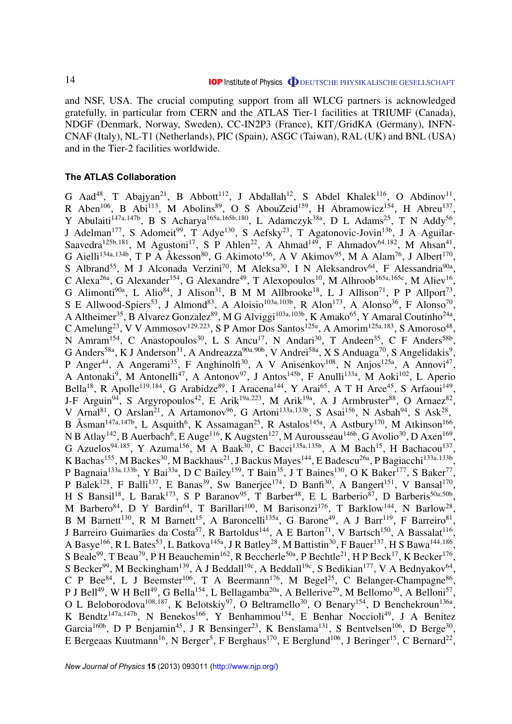<span id="page-14-0"></span>and NSF, USA. The crucial computing support from all WLCG partners is acknowledged gratefully, in particular from CERN and the ATLAS Tier-1 facilities at TRIUMF (Canada), NDGF (Denmark, Norway, Sweden), CC-IN2P3 (France), KIT/GridKA (Germany), INFN-CNAF (Italy), NL-T1 (Netherlands), PIC (Spain), ASGC (Taiwan), RAL (UK) and BNL (USA) and in the Tier-2 facilities worldwide.

#### **The ATLAS Collaboration**

G Aad<sup>48</sup>, T Abajyan<sup>21</sup>, B Abbott<sup>112</sup>, J Abdallah<sup>12</sup>, S Abdel Khalek<sup>116</sup>, O Abdinov<sup>11</sup>, R Aben<sup>106</sup>, B Abi<sup>113</sup>, M Abolins<sup>89</sup>, O S AbouZeid<sup>159</sup>, H Abramowicz<sup>154</sup>, H Abreu<sup>137</sup>, Y Abulaiti<sup>147a,147b</sup>, B S Acharya<sup>165a,165b,180</sup>, L Adamczyk<sup>38a</sup>, D L Adams<sup>25</sup>, T N Addy<sup>56</sup>, J Adelman<sup>177</sup>, S Adomeit<sup>99</sup>, T Adye<sup>130</sup>, S Aefsky<sup>23</sup>, T Agatonovic-Jovin<sup>13b</sup>, J A Aguilar-Saavedra<sup>125b,181</sup>, M Agustoni<sup>17</sup>, S P Ahlen<sup>22</sup>, A Ahmad<sup>149</sup>, F Ahmadov<sup>64,182</sup>, M Ahsan<sup>41</sup>, G Aielli<sup>134a,134b</sup>, T P A Åkesson<sup>80</sup>, G Akimoto<sup>156</sup>, A V Akimov<sup>95</sup>, M A Alam<sup>76</sup>, J Albert<sup>170</sup>, S Albrand<sup>55</sup>, M J Alconada Verzini<sup>70</sup>, M Aleksa<sup>30</sup>, I N Aleksandrov<sup>64</sup>, F Alessandria<sup>90a</sup>, C Alexa<sup>26a</sup>, G Alexander<sup>154</sup>, G Alexandre<sup>49</sup>, T Alexopoulos<sup>10</sup>, M Alhroob<sup>165a,165c</sup>, M Aliev<sup>16</sup>, G Alimonti<sup>90a</sup>, L Alio<sup>84</sup>, J Alison<sup>31</sup>, B M M Allbrooke<sup>18</sup>, L J Allison<sup>71</sup>, P P Allport<sup>73</sup>, S E Allwood-Spiers<sup>53</sup>, J Almond<sup>83</sup>, A Aloisio<sup>103a,103b</sup>, R Alon<sup>173</sup>, A Alonso<sup>36</sup>, F Alonso<sup>70</sup>, A Altheimer<sup>35</sup>, B Alvarez Gonzalez<sup>89</sup>, M G Alviggi<sup>103a,103b</sup>, K Amako<sup>65</sup>, Y Amaral Coutinho<sup>24a</sup>, C Amelung<sup>23</sup>, V V Ammosov<sup>129,223</sup>, S P Amor Dos Santos<sup>125a</sup>, A Amorim<sup>125a,183</sup>, S Amoroso<sup>48</sup>, N Amram<sup>154</sup>, C Anastopoulos<sup>30</sup>, L S Ancu<sup>17</sup>, N Andari<sup>30</sup>, T Andeen<sup>35</sup>, C F Anders<sup>58b</sup>, G Anders<sup>58a</sup>, K J Anderson<sup>31</sup>, A Andreazza<sup>90a, 90b</sup>, V Andrei<sup>58a</sup>, X S Anduaga<sup>70</sup>, S Angelidakis<sup>9</sup>, P Anger<sup>44</sup>, A Angerami<sup>35</sup>, F Anghinolfi<sup>30</sup>, A V Anisenkov<sup>108</sup>, N Anjos<sup>125a</sup>, A Annovi<sup>47</sup>, A Antonaki<sup>9</sup>, M Antonelli<sup>47</sup>, A Antonov<sup>97</sup>, J Antos<sup>145b</sup>, F Anulli<sup>133a</sup>, M Aoki<sup>102</sup>, L Aperio Bella<sup>18</sup>, R Apolle<sup>119,184</sup>, G Arabidze<sup>89</sup>, I Aracena<sup>144</sup>, Y Arai<sup>65</sup>, A T H Arce<sup>45</sup>, S Arfaoui<sup>149</sup>, J-F Arguin<sup>94</sup>, S Argyropoulos<sup>42</sup>, E Arik<sup>19a,223</sup>, M Arik<sup>19a</sup>, A J Armbruster<sup>88</sup>, O Arnaez<sup>82</sup>, V Arnal<sup>81</sup>, O Arslan<sup>21</sup>, A Artamonov<sup>96</sup>, G Artoni<sup>133a, 133b</sup>, S Asai<sup>156</sup>, N Asbah<sup>94</sup>, S Ask<sup>28</sup>, B Åsman<sup>147a,147b</sup>, L Asquith<sup>6</sup>, K Assamagan<sup>25</sup>, R Astalos<sup>145a</sup>, A Astbury<sup>170</sup>, M Atkinson<sup>166</sup>, N B Atlay $^{142}$ , B Auerbach $^6$ , E Auge $^{116}$ , K Augsten $^{127}$ , M Aurousseau $^{146\mathrm{b}}$ , G Avolio $^{30}$ , D Axen $^{169}$ , G Azuelos<sup>94,185</sup>, Y Azuma<sup>156</sup>, M A Baak<sup>30</sup>, C Bacci<sup>135a,135b</sup>, A M Bach<sup>15</sup>, H Bachacou<sup>137</sup>, K Bachas<sup>155</sup>, M Backes<sup>30</sup>, M Backhaus<sup>21</sup>, J Backus Mayes<sup>144</sup>, E Badescu<sup>26a</sup>, P Bagiacchi<sup>133a,133b</sup>, P Bagnaia<sup>133a,133b</sup>, Y Bai<sup>33a</sup>, D C Bailey<sup>159</sup>, T Bain<sup>35</sup>, J T Baines<sup>130</sup>, O K Baker<sup>177</sup>, S Baker<sup>77</sup>, P Balek<sup>128</sup>, F Balli<sup>137</sup>, E Banas<sup>39</sup>, Sw Banerjee<sup>174</sup>, D Banfi<sup>30</sup>, A Bangert<sup>151</sup>, V Bansal<sup>170</sup>, H S Bansil<sup>18</sup>, L Barak<sup>173</sup>, S P Baranov<sup>95</sup>, T Barber<sup>48</sup>, E L Barberio<sup>87</sup>, D Barberis<sup>50a,50b</sup>, M Barbero<sup>84</sup>, D Y Bardin<sup>64</sup>, T Barillari<sup>100</sup>, M Barisonzi<sup>176</sup>, T Barklow<sup>144</sup>, N Barlow<sup>28</sup>, B M Barnett<sup>130</sup>, R M Barnett<sup>15</sup>, A Baroncelli<sup>135a</sup>, G Barone<sup>49</sup>, A J Barr<sup>119</sup>, F Barreiro<sup>81</sup>, J Barreiro Guimarães da Costa<sup>57</sup>, R Bartoldus<sup>144</sup>, A E Barton<sup>71</sup>, V Bartsch<sup>150</sup>, A Bassalat<sup>116</sup>, A Basye<sup>166</sup>, R L Bates<sup>53</sup>, L Batkova<sup>145a</sup>, J R Batley<sup>28</sup>, M Battistin<sup>30</sup>, F Bauer<sup>137</sup>, H S Bawa<sup>144,186</sup>, S Beale<sup>99</sup>, T Beau<sup>79</sup>, P H Beauchemin<sup>162</sup>, R Beccherle<sup>50a</sup>, P Bechtle<sup>21</sup>, H P Beck<sup>17</sup>, K Becker<sup>176</sup>, S Becker<sup>99</sup>, M Beckingham<sup>139</sup>, A J Beddall<sup>19c</sup>, A Beddall<sup>19c</sup>, S Bedikian<sup>177</sup>, V A Bednyakov<sup>64</sup>, C P Bee $^{84}$ , L J Beemster<sup>106</sup>, T A Beermann<sup>176</sup>, M Begel<sup>25</sup>, C Belanger-Champagne<sup>86</sup>, P J Bell<sup>49</sup>, W H Bell<sup>49</sup>, G Bella<sup>154</sup>, L Bellagamba<sup>20a</sup>, A Bellerive<sup>29</sup>, M Bellomo<sup>30</sup>, A Belloni<sup>57</sup>, O L Beloborodova<sup>108,187</sup>, K Belotskiy<sup>97</sup>, O Beltramello<sup>30</sup>, O Benary<sup>154</sup>, D Benchekroun<sup>136a</sup>, K Bendtz<sup>147a, 147b</sup>, N Benekos<sup>166</sup>, Y Benhammou<sup>154</sup>, E Benhar Noccioli<sup>49</sup>, J A Benitez Garcia<sup>160b</sup>, D P Benjamin<sup>45</sup>, J R Bensinger<sup>23</sup>, K Benslama<sup>131</sup>, S Bentvelsen<sup>106</sup>, D Berge<sup>30</sup>, E Bergeaas Kuutmann<sup>16</sup>, N Berger<sup>5</sup>, F Berghaus<sup>170</sup>, E Berglund<sup>106</sup>, J Beringer<sup>15</sup>, C Bernard<sup>22</sup>,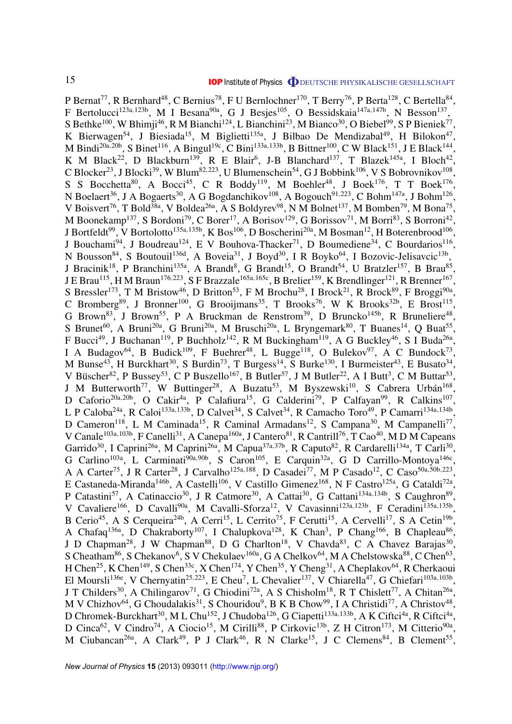P Bernat<sup>77</sup>, R Bernhard<sup>48</sup>, C Bernius<sup>78</sup>, F U Bernlochner<sup>170</sup>, T Berry<sup>76</sup>, P Berta<sup>128</sup>, C Bertella<sup>84</sup>, F Bertolucci<sup>123a,123b</sup>, M I Besana<sup>90a</sup>, G J Besjes<sup>105</sup>, O Bessidskaia<sup>147a,147b</sup>, N Besson<sup>137</sup>, S Bethke<sup>100</sup>, W Bhimji<sup>46</sup>, R M Bianchi<sup>124</sup>, L Bianchini<sup>23</sup>, M Bianco<sup>30</sup>, O Biebel<sup>99</sup>, S P Bieniek<sup>77</sup>, K Bierwagen<sup>54</sup>, J Biesiada<sup>15</sup>, M Biglietti<sup>135a</sup>, J Bilbao De Mendizabal<sup>49</sup>, H Bilokon<sup>47</sup>, M Bindi<sup>20a,20b</sup>, S Binet<sup>116</sup>, A Bingul<sup>19c</sup>, C Bini<sup>133a,133b</sup>, B Bittner<sup>100</sup>, C W Black<sup>151</sup>, J E Black<sup>144</sup>, K M Black<sup>22</sup>, D Blackburn<sup>139</sup>, R E Blair<sup>6</sup>, J-B Blanchard<sup>137</sup>, T Blazek<sup>145a</sup>, I Bloch<sup>42</sup>, C Blocker<sup>23</sup>, J Blocki<sup>39</sup>, W Blum<sup>82,223</sup>, U Blumenschein<sup>54</sup>, G J Bobbink<sup>106</sup>, V S Bobrovnikov<sup>108</sup>, S S Bocchetta<sup>80</sup>, A Bocci<sup>45</sup>, C R Boddy<sup>119</sup>, M Boehler<sup>48</sup>, J Boek<sup>176</sup>, T T Boek<sup>176</sup>, N Boelaert<sup>36</sup>, J A Bogaerts<sup>30</sup>, A G Bogdanchikov<sup>108</sup>, A Bogouch<sup>91,223</sup>, C Bohm<sup>147a</sup>, J Bohm<sup>126</sup>, V Boisvert<sup>76</sup>, T Bold<sup>38a</sup>, V Boldea<sup>26a</sup>, A S Boldyrev<sup>98</sup>, N M Bolnet<sup>137</sup>, M Bomben<sup>79</sup>, M Bona<sup>75</sup>, M Boonekamp<sup>137</sup>, S Bordoni<sup>79</sup>, C Borer<sup>17</sup>, A Borisov<sup>129</sup>, G Borissov<sup>71</sup>, M Borri<sup>83</sup>, S Borroni<sup>42</sup>, J Bortfeldt<sup>99</sup>, V Bortolotto<sup>135a,135b</sup>, K Bos<sup>106</sup>, D Boscherini<sup>20a</sup>, M Bosman<sup>12</sup>, H Boterenbrood<sup>106</sup>, J Bouchami<sup>94</sup>, J Boudreau<sup>124</sup>, E V Bouhova-Thacker<sup>71</sup>, D Boumediene<sup>34</sup>, C Bourdarios<sup>116</sup>, N Bousson<sup>84</sup>, S Boutouil<sup>136d</sup>, A Boveia<sup>31</sup>, J Boyd<sup>30</sup>, I R Boyko<sup>64</sup>, I Bozovic-Jelisavcic<sup>13b</sup>, J Bracinik<sup>18</sup>, P Branchini<sup>135a</sup>, A Brandt<sup>8</sup>, G Brandt<sup>15</sup>, O Brandt<sup>54</sup>, U Bratzler<sup>157</sup>, B Brau<sup>85</sup>, J E Brau $^{115}$ , H M Braun $^{176,223}$ , S F Brazzale $^{165$ a, $165$ c, B Brelier $^{159}$ , K Brendlinger $^{121}$ , R Brenner $^{167}$ , S Bressler<sup>173</sup>, T M Bristow<sup>46</sup>, D Britton<sup>53</sup>, F M Brochu<sup>28</sup>, I Brock<sup>21</sup>, R Brock<sup>89</sup>, F Broggi<sup>90a</sup>, C Bromberg<sup>89</sup>, J Bronner<sup>100</sup>, G Brooijmans<sup>35</sup>, T Brooks<sup>76</sup>, W K Brooks<sup>32b</sup>, E Brost<sup>115</sup>, G Brown<sup>83</sup>, J Brown<sup>55</sup>, P A Bruckman de Renstrom<sup>39</sup>, D Bruncko<sup>145b</sup>, R Bruneliere<sup>48</sup>, S Brunet<sup>60</sup>, A Bruni<sup>20a</sup>, G Bruni<sup>20a</sup>, M Bruschi<sup>20a</sup>, L Bryngemark<sup>80</sup>, T Buanes<sup>14</sup>, Q Buat<sup>55</sup>, F Bucci<sup>49</sup>, J Buchanan<sup>119</sup>, P Buchholz<sup>142</sup>, R M Buckingham<sup>119</sup>, A G Buckley<sup>46</sup>, S I Buda<sup>26a</sup>, I A Budagov<sup>64</sup>, B Budick<sup>109</sup>, F Buehrer<sup>48</sup>, L Bugge<sup>118</sup>, O Bulekov<sup>97</sup>, A C Bundock<sup>73</sup>, M Bunse<sup>43</sup>, H Burckhart<sup>30</sup>, S Burdin<sup>73</sup>, T Burgess<sup>14</sup>, S Burke<sup>130</sup>, I Burmeister<sup>43</sup>, E Busato<sup>34</sup>, V Büscher<sup>82</sup>, P Bussey<sup>53</sup>, C P Buszello<sup>167</sup>, B Butler<sup>57</sup>, J M Butler<sup>22</sup>, A I Butt<sup>3</sup>, C M Buttar<sup>53</sup>, J M Butterworth<sup>77</sup>, W Buttinger<sup>28</sup>, A Buzatu<sup>53</sup>, M Byszewski<sup>10</sup>, S Cabrera Urbán<sup>168</sup>, D Caforio<sup>20a, 20b</sup>, O Cakir<sup>4a</sup>, P Calafiura<sup>15</sup>, G Calderini<sup>79</sup>, P Calfayan<sup>99</sup>, R Calkins<sup>107</sup>, L P Caloba<sup>24a</sup>, R Caloi<sup>133a,133b</sup>, D Calvet<sup>34</sup>, S Calvet<sup>34</sup>, R Camacho Toro<sup>49</sup>, P Camarri<sup>134a,134b</sup>, D Cameron<sup>118</sup>, L M Caminada<sup>15</sup>, R Caminal Armadans<sup>12</sup>, S Campana<sup>30</sup>, M Campanelli<sup>77</sup>, V Canale<sup>103a,103b</sup>, F Canelli<sup>31</sup>, A Canepa<sup>160a</sup>, J Cantero<sup>81</sup>, R Cantrill<sup>76</sup>, T Cao<sup>40</sup>, M D M Capeans Garrido<sup>30</sup>, I Caprini<sup>26a</sup>, M Caprini<sup>26a</sup>, M Capua<sup>37a,37b</sup>, R Caputo<sup>82</sup>, R Cardarelli<sup>134a</sup>, T Carli<sup>30</sup>, G Carlino<sup>103a</sup>, L Carminati<sup>90a, 90b</sup>, S Caron<sup>105</sup>, E Carquin<sup>32a</sup>, G D Carrillo-Montoya<sup>146c</sup>, A A Carter<sup>75</sup>, J R Carter<sup>28</sup>, J Carvalho<sup>125a,188</sup>, D Casadei<sup>77</sup>, M P Casado<sup>12</sup>, C Caso<sup>50a,50b,223</sup>, E Castaneda-Miranda<sup>146b</sup>, A Castelli<sup>106</sup>, V Castillo Gimenez<sup>168</sup>, N F Castro<sup>125a</sup>, G Cataldi<sup>72a</sup>, P Catastini<sup>57</sup>, A Catinaccio<sup>30</sup>, J R Catmore<sup>30</sup>, A Cattai<sup>30</sup>, G Cattani<sup>134a,134b</sup>, S Caughron<sup>89</sup>, V Cavaliere<sup>166</sup>, D Cavalli<sup>90a</sup>, M Cavalli-Sforza<sup>12</sup>, V Cavasinni<sup>123a,123b</sup>, F Ceradini<sup>135a,135b</sup>, B Cerio<sup>45</sup>, A S Cerqueira<sup>24b</sup>, A Cerri<sup>15</sup>, L Cerrito<sup>75</sup>, F Cerutti<sup>15</sup>, A Cervelli<sup>17</sup>, S A Cetin<sup>19b</sup>, A Chafaq<sup>136a</sup>, D Chakraborty<sup>107</sup>, I Chalupkova<sup>128</sup>, K Chan<sup>3</sup>, P Chang<sup>166</sup>, B Chapleau<sup>86</sup>, J D Chapman<sup>28</sup>, J W Chapman<sup>88</sup>, D G Charlton<sup>18</sup>, V Chavda<sup>83</sup>, C A Chavez Barajas<sup>30</sup>, S Cheatham<sup>86</sup>, S Chekanov<sup>6</sup>, S V Chekulaev<sup>160a</sup>, G A Chelkov<sup>64</sup>, M A Chelstowska<sup>88</sup>, C Chen<sup>63</sup>, H Chen<sup>25</sup>, K Chen<sup>149</sup>, S Chen<sup>33c</sup>, X Chen<sup>174</sup>, Y Chen<sup>35</sup>, Y Cheng<sup>31</sup>, A Cheplakov<sup>64</sup>, R Cherkaoui El Moursli<sup>136e</sup>, V Chernyatin<sup>25,223</sup>, E Cheu<sup>7</sup>, L Chevalier<sup>137</sup>, V Chiarella<sup>47</sup>, G Chiefari<sup>103a,103b</sup>, J T Childers<sup>30</sup>, A Chilingarov<sup>71</sup>, G Chiodini<sup>72a</sup>, A S Chisholm<sup>18</sup>, R T Chislett<sup>77</sup>, A Chitan<sup>26a</sup>, M V Chizhov<sup>64</sup>, G Choudalakis<sup>31</sup>, S Chouridou<sup>9</sup>, B K B Chow<sup>99</sup>, I A Christidi<sup>77</sup>, A Christov<sup>48</sup>, D Chromek-Burckhart<sup>30</sup>, M L Chu<sup>152</sup>, J Chudoba<sup>126</sup>, G Ciapetti<sup>133a,133b</sup>, A K Ciftci<sup>4a</sup>, R Ciftci<sup>4a</sup>, D Cinca<sup>62</sup>, V Cindro<sup>74</sup>, A Ciocio<sup>15</sup>, M Cirilli<sup>88</sup>, P Cirkovic<sup>13b</sup>, Z H Citron<sup>173</sup>, M Citterio<sup>90a</sup>, M Ciubancan<sup>26a</sup>, A Clark<sup>49</sup>, P J Clark<sup>46</sup>, R N Clarke<sup>15</sup>, J C Clemens<sup>84</sup>, B Clement<sup>55</sup>,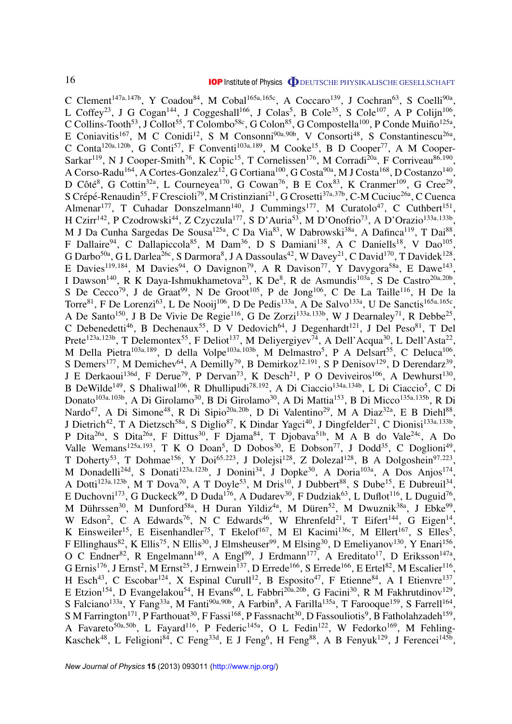C Clement<sup>147a,147b</sup>, Y Coadou<sup>84</sup>, M Cobal<sup>165a,165c</sup>, A Coccaro<sup>139</sup>, J Cochran<sup>63</sup>, S Coelli<sup>90a</sup>, L Coffey<sup>23</sup>, J G Cogan<sup>144</sup>, J Coggeshall<sup>166</sup>, J Colas<sup>5</sup>, B Cole<sup>35</sup>, S Cole<sup>107</sup>, A P Colijn<sup>106</sup>, C Collins-Tooth<sup>53</sup>, J Collot<sup>55</sup>, T Colombo<sup>58c</sup>, G Colon<sup>85</sup>, G Compostella<sup>100</sup>, P Conde Muiño<sup>125a</sup>, E Coniavitis<sup>167</sup>, M C Conidi<sup>12</sup>, S M Consonni<sup>90a, 90b</sup>, V Consorti<sup>48</sup>, S Constantinescu<sup>26a</sup>, C Conta<sup>120a,120b</sup>, G Conti<sup>57</sup>, F Conventi<sup>103a,189</sup>, M Cooke<sup>15</sup>, B D Cooper<sup>77</sup>, A M Cooper-Sarkar<sup>119</sup>, N J Cooper-Smith<sup>76</sup>, K Copic<sup>15</sup>, T Cornelissen<sup>176</sup>, M Corradi<sup>20a</sup>, F Corriveau<sup>86,190</sup>, A Corso-Radu $^{164}$ , A Cortes-Gonzalez $^{12}$ , G Cortiana $^{100}$ , G Costa $^{90a}$ , M J Costa $^{168}$ , D Costanzo $^{140}$ , D Côté<sup>8</sup>, G Cottin<sup>32a</sup>, L Courneyea<sup>170</sup>, G Cowan<sup>76</sup>, B E Cox<sup>83</sup>, K Cranmer<sup>109</sup>, G Cree<sup>29</sup>, S Crépé-Renaudin<sup>55</sup>, F Crescioli<sup>79</sup>, M Cristinziani<sup>21</sup>, G Crosetti<sup>37a,37b</sup>, C-M Cuciuc<sup>26a</sup>, C Cuenca Almenar<sup>177</sup>, T Cuhadar Donszelmann<sup>140</sup>, J Cummings<sup>177</sup>, M Curatolo<sup>47</sup>, C Cuthbert<sup>151</sup>, H Czirr<sup>142</sup>, P Czodrowski<sup>44</sup>, Z Czyczula<sup>177</sup>, S D'Auria<sup>53</sup>, M D'Onofrio<sup>73</sup>, A D'Orazio<sup>133a,133b</sup>, M J Da Cunha Sargedas De Sousa<sup>125a</sup>, C Da Via<sup>83</sup>, W Dabrowski<sup>38a</sup>, A Dafinca<sup>119</sup>, T Dai<sup>88</sup>, F Dallaire<sup>94</sup>, C Dallapiccola<sup>85</sup>, M Dam<sup>36</sup>, D S Damiani<sup>138</sup>, A C Daniells<sup>18</sup>, V Dao<sup>105</sup>, G Darbo<sup>50a</sup>, G L Darlea<sup>26c</sup>, S Darmora<sup>8</sup>, J A Dassoulas<sup>42</sup>, W Davey<sup>21</sup>, C David<sup>170</sup>, T Davidek<sup>128</sup>, E Davies<sup>119,184</sup>, M Davies<sup>94</sup>, O Davignon<sup>79</sup>, A R Davison<sup>77</sup>, Y Davygora<sup>58a</sup>, E Dawe<sup>143</sup>, I Dawson<sup>140</sup>, R K Daya-Ishmukhametova<sup>23</sup>, K De<sup>8</sup>, R de Asmundis<sup>103a</sup>, S De Castro<sup>20a, 20b</sup>, S De Cecco<sup>79</sup>, J de Graat<sup>99</sup>, N De Groot<sup>105</sup>, P de Jong<sup>106</sup>, C De La Taille<sup>116</sup>, H De la Torre<sup>81</sup>, F De Lorenzi<sup>63</sup>, L De Nooij<sup>106</sup>, D De Pedis<sup>133a</sup>, A De Salvo<sup>133a</sup>, U De Sanctis<sup>165a,165c</sup>, A De Santo<sup>150</sup>, J B De Vivie De Regie<sup>116</sup>, G De Zorzi<sup>133a, 133b</sup>, W J Dearnaley<sup>71</sup>, R Debbe<sup>25</sup>, C Debenedetti<sup>46</sup>, B Dechenaux<sup>55</sup>, D V Dedovich<sup>64</sup>, J Degenhardt<sup>121</sup>, J Del Peso<sup>81</sup>, T Del Prete<sup>123a,123b</sup>, T Delemontex<sup>55</sup>, F Deliot<sup>137</sup>, M Deliyergiyev<sup>74</sup>, A Dell'Acqua<sup>30</sup>, L Dell'Asta<sup>22</sup>, M Della Pietra<sup>103a,189</sup>, D della Volpe<sup>103a,103b</sup>, M Delmastro<sup>5</sup>, P A Delsart<sup>55</sup>, C Deluca<sup>106</sup>, S Demers<sup>177</sup>, M Demichev<sup>64</sup>, A Demilly<sup>79</sup>, B Demirkoz<sup>12,191</sup>, S P Denisov<sup>129</sup>, D Derendarz<sup>39</sup>, J E Derkaoui<sup>136d</sup>, F Derue<sup>79</sup>, P Dervan<sup>73</sup>, K Desch<sup>21</sup>, P O Deviveiros<sup>106</sup>, A Dewhurst<sup>130</sup>, B DeWilde<sup>149</sup>, S Dhaliwal<sup>106</sup>, R Dhullipudi<sup>78,192</sup>, A Di Ciaccio<sup>134a,134b</sup>, L Di Ciaccio<sup>5</sup>, C Di Donato<sup>103a,103b</sup>, A Di Girolamo<sup>30</sup>, B Di Girolamo<sup>30</sup>, A Di Mattia<sup>153</sup>, B Di Micco<sup>135a,135b</sup>, R Di Nardo<sup>47</sup>, A Di Simone<sup>48</sup>, R Di Sipio<sup>20a, 20b</sup>, D Di Valentino<sup>29</sup>, M A Diaz<sup>32a</sup>, E B Diehl<sup>88</sup>, J Dietrich<sup>42</sup>, T A Dietzsch<sup>58a</sup>, S Diglio<sup>87</sup>, K Dindar Yagci<sup>40</sup>, J Dingfelder<sup>21</sup>, C Dionisi<sup>133a,133b</sup>, P Dita<sup>26a</sup>, S Dita<sup>26a</sup>, F Dittus<sup>30</sup>, F Djama<sup>84</sup>, T Djobava<sup>51b</sup>, M A B do Vale<sup>24c</sup>, A Do Valle Wemans<sup>125a,193</sup>, T K O Doan<sup>5</sup>, D Dobos<sup>30</sup>, E Dobson<sup>77</sup>, J Dodd<sup>35</sup>, C Doglioni<sup>49</sup>, T Doherty<sup>53</sup>, T Dohmae<sup>156</sup>, Y Doi<sup>65,223</sup>, J Dolejsi<sup>128</sup>, Z Dolezal<sup>128</sup>, B A Dolgoshein<sup>97,223</sup>, M Donadelli<sup>24d</sup>, S Donati<sup>123a,123b</sup>, J Donini<sup>34</sup>, J Dopke<sup>30</sup>, A Doria<sup>103a</sup>, A Dos Anjos<sup>174</sup>, A Dotti<sup>123a,123b</sup>, M T Dova<sup>70</sup>, A T Doyle<sup>53</sup>, M Dris<sup>10</sup>, J Dubbert<sup>88</sup>, S Dube<sup>15</sup>, E Dubreuil<sup>34</sup>, E Duchovni<sup>173</sup>, G Duckeck<sup>99</sup>, D Duda<sup>176</sup>, A Dudarev<sup>30</sup>, F Dudziak<sup>63</sup>, L Duflot<sup>116</sup>, L Duguid<sup>76</sup>, M Dührssen<sup>30</sup>, M Dunford<sup>58a</sup>, H Duran Yildiz<sup>4a</sup>, M Düren<sup>52</sup>, M Dwuznik<sup>38a</sup>, J Ebke<sup>99</sup>, W Edson<sup>2</sup>, C A Edwards<sup>76</sup>, N C Edwards<sup>46</sup>, W Ehrenfeld<sup>21</sup>, T Eifert<sup>144</sup>, G Eigen<sup>14</sup>, K Einsweiler<sup>15</sup>, E Eisenhandler<sup>75</sup>, T Ekelof<sup>167</sup>, M El Kacimi<sup>136c</sup>, M Ellert<sup>167</sup>, S Elles<sup>5</sup>, F Ellinghaus<sup>82</sup>, K Ellis<sup>75</sup>, N Ellis<sup>30</sup>, J Elmsheuser<sup>99</sup>, M Elsing<sup>30</sup>, D Emeliyanov<sup>130</sup>, Y Enari<sup>156</sup>, O C Endner<sup>82</sup>, R Engelmann<sup>149</sup>, A Engl<sup>99</sup>, J Erdmann<sup>177</sup>, A Ereditato<sup>17</sup>, D Eriksson<sup>147a</sup>, G Ernis<sup>176</sup>, J Ernst<sup>2</sup>, M Ernst<sup>25</sup>, J Ernwein<sup>137</sup>, D Errede<sup>166</sup>, S Errede<sup>166</sup>, E Ertel<sup>82</sup>, M Escalier<sup>116</sup>, H Esch<sup>43</sup>, C Escobar<sup>124</sup>, X Espinal Curull<sup>12</sup>, B Esposito<sup>47</sup>, F Etienne<sup>84</sup>, A I Etienvre<sup>137</sup>, E Etzion<sup>154</sup>, D Evangelakou<sup>54</sup>, H Evans<sup>60</sup>, L Fabbri<sup>20a,20b</sup>, G Facini<sup>30</sup>, R M Fakhrutdinov<sup>129</sup>, S Falciano<sup>133a</sup>, Y Fang<sup>33a</sup>, M Fanti<sup>90a, 90b</sup>, A Farbin<sup>8</sup>, A Farilla<sup>135a</sup>, T Farooque<sup>159</sup>, S Farrell<sup>164</sup>, S M Farrington<sup>171</sup>, P Farthouat<sup>30</sup>, F Fassi<sup>168</sup>, P Fassnacht<sup>30</sup>, D Fassouliotis<sup>9</sup>, B Fatholahzadeh<sup>159</sup>, A Favareto<sup>50a,50b</sup>, L Fayard<sup>116</sup>, P Federic<sup>145a</sup>, O L Fedin<sup>122</sup>, W Fedorko<sup>169</sup>, M Fehling-Kaschek<sup>48</sup>, L Feligioni<sup>84</sup>, C Feng<sup>33d</sup>, E J Feng<sup>6</sup>, H Feng<sup>88</sup>, A B Fenyuk<sup>129</sup>, J Ferencei<sup>145b</sup>,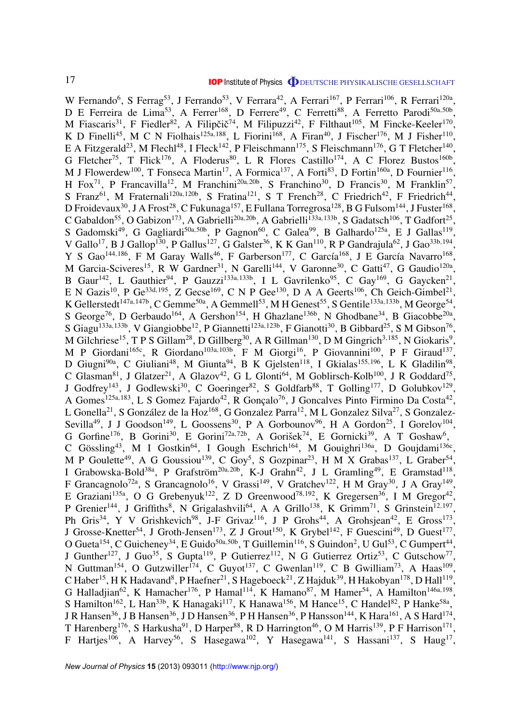W Fernando<sup>6</sup>, S Ferrag<sup>53</sup>, J Ferrando<sup>53</sup>, V Ferrara<sup>42</sup>, A Ferrari<sup>167</sup>, P Ferrari<sup>106</sup>, R Ferrari<sup>120a</sup>, D E Ferreira de Lima<sup>53</sup>, A Ferrer<sup>168</sup>, D Ferrere<sup>49</sup>, C Ferretti<sup>88</sup>, A Ferretto Parodi<sup>50a,50b</sup>, M Fiascaris<sup>31</sup>, F Fiedler<sup>82</sup>, A Filipčič<sup>74</sup>, M Filipuzzi<sup>42</sup>, F Filthaut<sup>105</sup>, M Fincke-Keeler<sup>170</sup>, K D Finelli<sup>45</sup>, M C N Fiolhais<sup>125a,188</sup>, L Fiorini<sup>168</sup>, A Firan<sup>40</sup>, J Fischer<sup>176</sup>, M J Fisher<sup>110</sup>, E A Fitzgerald<sup>23</sup>, M Flechl<sup>48</sup>, I Fleck<sup>142</sup>, P Fleischmann<sup>175</sup>, S Fleischmann<sup>176</sup>, G T Fletcher<sup>140</sup>, G Fletcher<sup>75</sup>, T Flick<sup>176</sup>, A Floderus<sup>80</sup>, L R Flores Castillo<sup>174</sup>, A C Florez Bustos<sup>160b</sup>, M J Flowerdew<sup>100</sup>, T Fonseca Martin<sup>17</sup>, A Formica<sup>137</sup>, A Forti<sup>83</sup>, D Fortin<sup>160a</sup>, D Fournier<sup>116</sup>, H Fox<sup>71</sup>, P Francavilla<sup>12</sup>, M Franchini<sup>20a,20b</sup>, S Franchino<sup>30</sup>, D Francis<sup>30</sup>, M Franklin<sup>57</sup>, S Franz<sup>61</sup>, M Fraternali<sup>120a,120b</sup>, S Fratina<sup>121</sup>, S T French<sup>28</sup>, C Friedrich<sup>42</sup>, F Friedrich<sup>44</sup>, D Froidevaux $^{30}$ , J A Frost $^{28}$ , C Fukunaga $^{157}$ , E Fullana Torregrosa $^{128}$ , B G Fulsom $^{144}$ , J Fuster $^{168}$ , C Gabaldon<sup>55</sup>, O Gabizon<sup>173</sup>, A Gabrielli<sup>20a, 20b</sup>, A Gabrielli<sup>133a, 133b</sup>, S Gadatsch<sup>106</sup>, T Gadfort<sup>25</sup>, S Gadomski<sup>49</sup>, G Gagliardi<sup>50a,50b</sup>, P Gagnon<sup>60</sup>, C Galea<sup>99</sup>, B Galhardo<sup>125a</sup>, E J Gallas<sup>119</sup>, V Gallo<sup>17</sup>, B J Gallop<sup>130</sup>, P Gallus<sup>127</sup>, G Galster<sup>36</sup>, K K Gan<sup>110</sup>, R P Gandrajula<sup>62</sup>, J Gao<sup>33b,194</sup>, Y S Gao<sup>144,186</sup>, F M Garay Walls<sup>46</sup>, F Garberson<sup>177</sup>, C García<sup>168</sup>, J E García Navarro<sup>168</sup>, M Garcia-Sciveres<sup>15</sup>, R W Gardner<sup>31</sup>, N Garelli<sup>144</sup>, V Garonne<sup>30</sup>, C Gatti<sup>47</sup>, G Gaudio<sup>120a</sup>, B Gaur<sup>142</sup>, L Gauthier<sup>94</sup>, P Gauzzi<sup>133a, 133b</sup>, I L Gavrilenko<sup>95</sup>, C Gay<sup>169</sup>, G Gaycken<sup>21</sup>, E N Gazis<sup>10</sup>, P Ge<sup>33d,195</sup>, Z Gecse<sup>169</sup>, C N P Gee<sup>130</sup>, D A A Geerts<sup>106</sup>, Ch Geich-Gimbel<sup>21</sup>, K Gellerstedt<sup>147a,147b</sup>, C Gemme<sup>50a</sup>, A Gemmell<sup>53</sup>, M H Genest<sup>55</sup>, S Gentile<sup>133a,133b</sup>, M George<sup>54</sup>, S George<sup>76</sup>, D Gerbaudo<sup>164</sup>, A Gershon<sup>154</sup>, H Ghazlane<sup>136b</sup>, N Ghodbane<sup>34</sup>, B Giacobbe<sup>20a</sup>, S Giagu<sup>133a,133b</sup>, V Giangiobbe<sup>12</sup>, P Giannetti<sup>123a,123b</sup>, F Gianotti<sup>30</sup>, B Gibbard<sup>25</sup>, S M Gibson<sup>76</sup>, M Gilchriese<sup>15</sup>, T P S Gillam<sup>28</sup>, D Gillberg<sup>30</sup>, A R Gillman<sup>130</sup>, D M Gingrich<sup>3,185</sup>, N Giokaris<sup>9</sup>, M P Giordani<sup>165c</sup>, R Giordano<sup>103a,103b</sup>, F M Giorgi<sup>16</sup>, P Giovannini<sup>100</sup>, P F Giraud<sup>137</sup>, D Giugni<sup>90a</sup>, C Giuliani<sup>48</sup>, M Giunta<sup>94</sup>, B K Gjelsten<sup>118</sup>, I Gkialas<sup>155,196</sup>, L K Gladilin<sup>98</sup>, C Glasman<sup>81</sup>, J Glatzer<sup>21</sup>, A Glazov<sup>42</sup>, G L Glonti<sup>64</sup>, M Goblirsch-Kolb<sup>100</sup>, J R Goddard<sup>75</sup>, J Godfrey<sup>143</sup>, J Godlewski<sup>30</sup>, C Goeringer<sup>82</sup>, S Goldfarb<sup>88</sup>, T Golling<sup>177</sup>, D Golubkov<sup>129</sup>, A Gomes<sup>125a,183</sup>, L S Gomez Fajardo<sup>42</sup>, R Gonçalo<sup>76</sup>, J Goncalves Pinto Firmino Da Costa<sup>42</sup>, L Gonella<sup>21</sup>, S González de la Hoz<sup>168</sup>, G Gonzalez Parra<sup>12</sup>, M L Gonzalez Silva<sup>27</sup>, S Gonzalez-Sevilla<sup>49</sup>, J J Goodson<sup>149</sup>, L Goossens<sup>30</sup>, P A Gorbounov<sup>96</sup>, H A Gordon<sup>25</sup>, I Gorelov<sup>104</sup>, G Gorfine<sup>176</sup>, B Gorini<sup>30</sup>, E Gorini<sup>72a,72b</sup>, A Gorišek<sup>74</sup>, E Gornicki<sup>39</sup>, A T Goshaw<sup>6</sup>, C Gössling<sup>43</sup>, M I Gostkin<sup>64</sup>, I Gough Eschrich<sup>164</sup>, M Gouighri<sup>136a</sup>, D Goujdami<sup>136c</sup>, M P Goulette<sup>49</sup>, A G Goussiou<sup>139</sup>, C Goy<sup>5</sup>, S Gozpinar<sup>23</sup>, H M X Grabas<sup>137</sup>, L Graber<sup>54</sup>, I Grabowska-Bold<sup>38a</sup>, P Grafström<sup>20a,20b</sup>, K-J Grahn<sup>42</sup>, J L Gramling<sup>49</sup>, E Gramstad<sup>118</sup>, F Grancagnolo<sup>72a</sup>, S Grancagnolo<sup>16</sup>, V Grassi<sup>149</sup>, V Gratchev<sup>122</sup>, H M Gray<sup>30</sup>, J A Gray<sup>149</sup>, E Graziani<sup>135a</sup>, O G Grebenyuk<sup>122</sup>, Z D Greenwood<sup>78,192</sup>, K Gregersen<sup>36</sup>, I M Gregor<sup>42</sup>, P Grenier<sup>144</sup>, J Griffiths<sup>8</sup>, N Grigalashvili<sup>64</sup>, A A Grillo<sup>138</sup>, K Grimm<sup>71</sup>, S Grinstein<sup>12,197</sup>, Ph Gris<sup>34</sup>, Y V Grishkevich<sup>98</sup>, J-F Grivaz<sup>116</sup>, J P Grohs<sup>44</sup>, A Grohsjean<sup>42</sup>, E Gross<sup>173</sup>, J Grosse-Knetter<sup>54</sup>, J Groth-Jensen<sup>173</sup>, Z J Grout<sup>150</sup>, K Grybel<sup>142</sup>, F Guescini<sup>49</sup>, D Guest<sup>177</sup>, O Gueta<sup>154</sup>, C Guicheney<sup>34</sup>, E Guido<sup>50a,50b</sup>, T Guillemin<sup>116</sup>, S Guindon<sup>2</sup>, U Gul<sup>53</sup>, C Gumpert<sup>44</sup>, J Gunther<sup>127</sup>, J Guo<sup>35</sup>, S Gupta<sup>119</sup>, P Gutierrez<sup>112</sup>, N G Gutierrez Ortiz<sup>53</sup>, C Gutschow<sup>77</sup>, N Guttman<sup>154</sup>, O Gutzwiller<sup>174</sup>, C Guyot<sup>137</sup>, C Gwenlan<sup>119</sup>, C B Gwilliam<sup>73</sup>, A Haas<sup>109</sup>, C Haber<sup>15</sup>, H K Hadavand<sup>8</sup>, P Haefner<sup>21</sup>, S Hageboeck<sup>21</sup>, Z Hajduk<sup>39</sup>, H Hakobyan<sup>178</sup>, D Hall<sup>119</sup>, G Halladjian<sup>62</sup>, K Hamacher<sup>176</sup>, P Hamal<sup>114</sup>, K Hamano<sup>87</sup>, M Hamer<sup>54</sup>, A Hamilton<sup>146a,198</sup>, S Hamilton<sup>162</sup>, L Han<sup>33b</sup>, K Hanagaki<sup>117</sup>, K Hanawa<sup>156</sup>, M Hance<sup>15</sup>, C Handel<sup>82</sup>, P Hanke<sup>58a</sup>, J R Hansen<sup>36</sup>, J B Hansen<sup>36</sup>, J D Hansen<sup>36</sup>, P H Hansen<sup>36</sup>, P Hansson<sup>144</sup>, K Hara<sup>161</sup>, A S Hard<sup>174</sup>, T Harenberg<sup>176</sup>, S Harkusha<sup>91</sup>, D Harper<sup>88</sup>, R D Harrington<sup>46</sup>, O M Harris<sup>139</sup>, P F Harrison<sup>171</sup>, F Hartjes<sup>106</sup>, A Harvey<sup>56</sup>, S Hasegawa<sup>102</sup>, Y Hasegawa<sup>141</sup>, S Hassani<sup>137</sup>, S Haug<sup>17</sup>,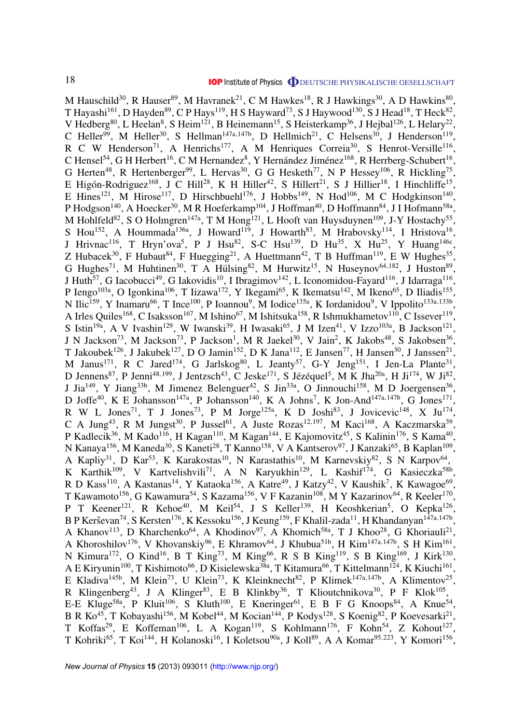M Hauschild<sup>30</sup>, R Hauser<sup>89</sup>, M Havranek<sup>21</sup>, C M Hawkes<sup>18</sup>, R J Hawkings<sup>30</sup>, A D Hawkins<sup>80</sup>, T Hayashi $^{161}$ , D Hayden $^{89}$ , C P Hays $^{119}$ , H S Hayward $^{73}$ , S J Haywood $^{130}$ , S J Head $^{18}$ , T Heck $^{82}$ , V Hedberg<sup>80</sup>, L Heelan<sup>8</sup>, S Heim<sup>121</sup>, B Heinemann<sup>15</sup>, S Heisterkamp<sup>36</sup>, J Hejbal<sup>126</sup>, L Helary<sup>22</sup>, C Heller<sup>99</sup>, M Heller<sup>30</sup>, S Hellman<sup>147a, 147b</sup>, D Hellmich<sup>21</sup>, C Helsens<sup>30</sup>, J Henderson<sup>119</sup>, R C W Henderson<sup>71</sup>, A Henrichs<sup>177</sup>, A M Henriques Correia<sup>30</sup>, S Henrot-Versille<sup>116</sup>, C Hensel<sup>54</sup>, G H Herbert<sup>16</sup>, C M Hernandez<sup>8</sup>, Y Hernández Jiménez<sup>168</sup>, R Herrberg-Schubert<sup>16</sup>, G Herten<sup>48</sup>, R Hertenberger<sup>99</sup>, L Hervas<sup>30</sup>, G G Hesketh<sup>77</sup>, N P Hessey<sup>106</sup>, R Hickling<sup>75</sup>, E Higón-Rodriguez<sup>168</sup>, J C Hill<sup>28</sup>, K H Hiller<sup>42</sup>, S Hillert<sup>21</sup>, S J Hillier<sup>18</sup>, I Hinchliffe<sup>15</sup>, E Hines<sup>121</sup>, M Hirose<sup>117</sup>, D Hirschbuehl<sup>176</sup>, J Hobbs<sup>149</sup>, N Hod<sup>106</sup>, M C Hodgkinson<sup>140</sup>, P Hodgson<sup>140</sup>, A Hoecker<sup>30</sup>, M R Hoeferkamp<sup>104</sup>, J Hoffman<sup>40</sup>, D Hoffmann<sup>84</sup>, J I Hofmann<sup>58a</sup>, M Hohlfeld<sup>82</sup>, S O Holmgren<sup>147a</sup>, T M Hong<sup>121</sup>, L Hooft van Huysduynen<sup>109</sup>, J-Y Hostachy<sup>55</sup>, S Hou<sup>152</sup>, A Hoummada<sup>136a</sup>, J Howard<sup>119</sup>, J Howarth<sup>83</sup>, M Hrabovsky<sup>114</sup>, I Hristova<sup>16</sup>, J Hrivnac<sup>116</sup>, T Hryn'ova<sup>5</sup>, P J Hsu<sup>82</sup>, S-C Hsu<sup>139</sup>, D Hu<sup>35</sup>, X Hu<sup>25</sup>, Y Huang<sup>146c</sup>, Z Hubacek<sup>30</sup>, F Hubaut<sup>84</sup>, F Huegging<sup>21</sup>, A Huettmann<sup>42</sup>, T B Huffman<sup>119</sup>, E W Hughes<sup>35</sup>, G Hughes<sup>71</sup>, M Huhtinen<sup>30</sup>, T A Hülsing<sup>82</sup>, M Hurwitz<sup>15</sup>, N Huseynov<sup>64,182</sup>, J Huston<sup>89</sup>, J Huth<sup>57</sup>, G Iacobucci<sup>49</sup>, G Iakovidis<sup>10</sup>, I Ibragimov<sup>142</sup>, L Iconomidou-Fayard<sup>116</sup>, J Idarraga<sup>116</sup>, P Iengo<sup>103a</sup>, O Igonkina<sup>106</sup>, T Iizawa<sup>172</sup>, Y Ikegami<sup>65</sup>, K Ikematsu<sup>142</sup>, M Ikeno<sup>65</sup>, D Iliadis<sup>155</sup>, N Ilic<sup>159</sup>, Y Inamaru<sup>66</sup>, T Ince<sup>100</sup>, P Ioannou<sup>9</sup>, M Iodice<sup>135a</sup>, K Iordanidou<sup>9</sup>, V Ippolito<sup>133a,133b</sup>, A Irles Quiles<sup>168</sup>, C Isaksson<sup>167</sup>, M Ishino<sup>67</sup>, M Ishitsuka<sup>158</sup>, R Ishmukhametov<sup>110</sup>, C Issever<sup>119</sup>, S Istin<sup>19a</sup>, A V Ivashin<sup>129</sup>, W Iwanski<sup>39</sup>, H Iwasaki<sup>65</sup>, J M Izen<sup>41</sup>, V Izzo<sup>103a</sup>, B Jackson<sup>121</sup>, J N Jackson<sup>73</sup>, M Jackson<sup>73</sup>, P Jackson<sup>1</sup>, M R Jaekel<sup>30</sup>, V Jain<sup>2</sup>, K Jakobs<sup>48</sup>, S Jakobsen<sup>36</sup>, T Jakoubek<sup>126</sup>, J Jakubek<sup>127</sup>, D O Jamin<sup>152</sup>, D K Jana<sup>112</sup>, E Jansen<sup>77</sup>, H Jansen<sup>30</sup>, J Janssen<sup>21</sup>, M Janus<sup>171</sup>, R C Jared<sup>174</sup>, G Jarlskog<sup>80</sup>, L Jeanty<sup>57</sup>, G-Y Jeng<sup>151</sup>, I Jen-La Plante<sup>31</sup>, D Jennens<sup>87</sup>, P Jenni<sup>48,199</sup>, J Jentzsch<sup>43</sup>, C Jeske<sup>171</sup>, S Jézéquel<sup>5</sup>, M K Jha<sup>20a</sup>, H Ji<sup>174</sup>, W Ji<sup>82</sup>, J Jia<sup>149</sup>, Y Jiang<sup>33b</sup>, M Jimenez Belenguer<sup>42</sup>, S Jin<sup>33a</sup>, O Jinnouchi<sup>158</sup>, M D Joergensen<sup>36</sup>, D Joffe<sup>40</sup>, K E Johansson<sup>147a</sup>, P Johansson<sup>140</sup>, K A Johns<sup>7</sup>, K Jon-And<sup>147a,147b</sup>, G Jones<sup>171</sup>, R W L Jones<sup>71</sup>, T J Jones<sup>73</sup>, P M Jorge<sup>125a</sup>, K D Joshi<sup>83</sup>, J Jovicevic<sup>148</sup>, X Ju<sup>174</sup>, C A Jung<sup>43</sup>, R M Jungst<sup>30</sup>, P Jussel<sup>61</sup>, A Juste Rozas<sup>12,197</sup>, M Kaci<sup>168</sup>, A Kaczmarska<sup>39</sup>, P Kadlecik<sup>36</sup>, M Kado<sup>116</sup>, H Kagan<sup>110</sup>, M Kagan<sup>144</sup>, E Kajomovitz<sup>45</sup>, S Kalinin<sup>176</sup>, S Kama<sup>40</sup>, N Kanaya<sup>156</sup>, M Kaneda<sup>30</sup>, S Kaneti<sup>28</sup>, T Kanno<sup>158</sup>, V A Kantserov<sup>97</sup>, J Kanzaki<sup>65</sup>, B Kaplan<sup>109</sup>, A Kapliy<sup>31</sup>, D Kar<sup>53</sup>, K Karakostas<sup>10</sup>, N Karastathis<sup>10</sup>, M Karnevskiy<sup>82</sup>, S N Karpov<sup>64</sup>, K Karthik<sup>109</sup>, V Kartvelishvili<sup>71</sup>, A N Karyukhin<sup>129</sup>, L Kashif<sup>174</sup>, G Kasieczka<sup>58b</sup>, R D Kass<sup>110</sup>, A Kastanas<sup>14</sup>, Y Kataoka<sup>156</sup>, A Katre<sup>49</sup>, J Katzy<sup>42</sup>, V Kaushik<sup>7</sup>, K Kawagoe<sup>69</sup>, T Kawamoto<sup>156</sup>, G Kawamura<sup>54</sup>, S Kazama<sup>156</sup>, V F Kazanin<sup>108</sup>, M Y Kazarinov<sup>64</sup>, R Keeler<sup>170</sup>, P T Keener<sup>121</sup>, R Kehoe<sup>40</sup>, M Keil<sup>54</sup>, J S Keller<sup>139</sup>, H Keoshkerian<sup>5</sup>, O Kepka<sup>126</sup>, B P Kerševan<sup>74</sup>, S Kersten<sup>176</sup>, K Kessoku<sup>156</sup>, J Keung<sup>159</sup>, F Khalil-zada<sup>11</sup>, H Khandanyan<sup>147a,147b</sup>, A Khanov<sup>113</sup>, D Kharchenko<sup>64</sup>, A Khodinov<sup>97</sup>, A Khomich<sup>58a</sup>, T J Khoo<sup>28</sup>, G Khoriauli<sup>21</sup>, A Khoroshilov<sup>176</sup>, V Khovanskiy<sup>96</sup>, E Khramov<sup>64</sup>, J Khubua<sup>51b</sup>, H Kim<sup>147a,147b</sup>, S H Kim<sup>161</sup>, N Kimura<sup>172</sup>, O Kind<sup>16</sup>, B T King<sup>73</sup>, M King<sup>66</sup>, R S B King<sup>119</sup>, S B King<sup>169</sup>, J Kirk<sup>130</sup>, A E Kiryunin<sup>100</sup>, T Kishimoto<sup>66</sup>, D Kisielewska<sup>38a</sup>, T Kitamura<sup>66</sup>, T Kittelmann<sup>124</sup>, K Kiuchi<sup>161</sup>, E Kladiva<sup>145b</sup>, M Klein<sup>73</sup>, U Klein<sup>73</sup>, K Kleinknecht<sup>82</sup>, P Klimek<sup>147a,147b</sup>, A Klimentov<sup>25</sup>, R Klingenberg<sup>43</sup>, J A Klinger<sup>83</sup>, E B Klinkby<sup>36</sup>, T Klioutchnikova<sup>30</sup>, P F Klok<sup>105</sup>, E-E Kluge<sup>58a</sup>, P Kluit<sup>106</sup>, S Kluth<sup>100</sup>, E Kneringer<sup>61</sup>, E B F G Knoops<sup>84</sup>, A Knue<sup>54</sup>, B R Ko<sup>45</sup>, T Kobayashi<sup>156</sup>, M Kobel<sup>44</sup>, M Kocian<sup>144</sup>, P Kodys<sup>128</sup>, S Koenig<sup>82</sup>, P Koevesarki<sup>21</sup>, T Koffas<sup>29</sup>, E Koffeman<sup>106</sup>, L A Kogan<sup>119</sup>, S Kohlmann<sup>176</sup>, F Kohn<sup>54</sup>, Z Kohout<sup>127</sup>, T Kohriki<sup>65</sup>, T Koi<sup>144</sup>, H Kolanoski<sup>16</sup>, I Koletsou<sup>90a</sup>, J Koll<sup>89</sup>, A A Komar<sup>95,223</sup>, Y Komori<sup>156</sup>,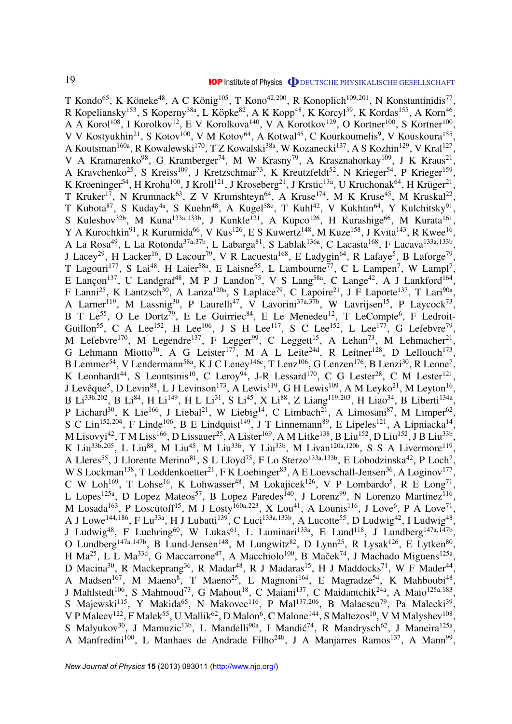T Kondo<sup>65</sup>, K Köneke<sup>48</sup>, A C König<sup>105</sup>, T Kono<sup>42,200</sup>, R Konoplich<sup>109,201</sup>, N Konstantinidis<sup>77</sup>, R Kopeliansky<sup>153</sup>, S Koperny<sup>38a</sup>, L Köpke<sup>82</sup>, A K Kopp<sup>48</sup>, K Korcyl<sup>39</sup>, K Kordas<sup>155</sup>, A Korn<sup>46</sup>, A A Korol<sup>108</sup>, I Korolkov<sup>12</sup>, E V Korolkova<sup>140</sup>, V A Korotkov<sup>129</sup>, O Kortner<sup>100</sup>, S Kortner<sup>100</sup>, V V Kostyukhin<sup>21</sup>, S Kotov<sup>100</sup>, V M Kotov<sup>64</sup>, A Kotwal<sup>45</sup>, C Kourkoumelis<sup>9</sup>, V Kouskoura<sup>155</sup>, A Koutsman<sup>160a</sup>, R Kowalewski<sup>170</sup>, T Z Kowalski<sup>38a</sup>, W Kozanecki<sup>137</sup>, A S Kozhin<sup>129</sup>, V Kral<sup>127</sup>, V A Kramarenko<sup>98</sup>, G Kramberger<sup>74</sup>, M W Krasny<sup>79</sup>, A Krasznahorkay<sup>109</sup>, J K Kraus<sup>21</sup>, A Kravchenko<sup>25</sup>, S Kreiss<sup>109</sup>, J Kretzschmar<sup>73</sup>, K Kreutzfeldt<sup>52</sup>, N Krieger<sup>54</sup>, P Krieger<sup>159</sup>, K Kroeninger<sup>54</sup>, H Kroha<sup>100</sup>, J Kroll<sup>121</sup>, J Kroseberg<sup>21</sup>, J Krstic<sup>13a</sup>, U Kruchonak<sup>64</sup>, H Krüger<sup>21</sup>, T Kruker<sup>17</sup>, N Krumnack<sup>63</sup>, Z V Krumshteyn<sup>64</sup>, A Kruse<sup>174</sup>, M K Kruse<sup>45</sup>, M Kruskal<sup>22</sup>, T Kubota<sup>87</sup>, S Kuday<sup>4a</sup>, S Kuehn<sup>48</sup>, A Kugel<sup>58c</sup>, T Kuhl<sup>42</sup>, V Kukhtin<sup>64</sup>, Y Kulchitsky<sup>91</sup>, S Kuleshov<sup>32b</sup>, M Kuna<sup>133a,133b</sup>, J Kunkle<sup>121</sup>, A Kupco<sup>126</sup>, H Kurashige<sup>66</sup>, M Kurata<sup>161</sup>, Y A Kurochkin<sup>91</sup>, R Kurumida<sup>66</sup>, V Kus<sup>126</sup>, E S Kuwertz<sup>148</sup>, M Kuze<sup>158</sup>, J Kvita<sup>143</sup>, R Kwee<sup>16</sup>, A La Rosa<sup>49</sup>, L La Rotonda<sup>37a,37b</sup>, L Labarga<sup>81</sup>, S Lablak<sup>136a</sup>, C Lacasta<sup>168</sup>, F Lacava<sup>133a,133b</sup>, J Lacey<sup>29</sup>, H Lacker<sup>16</sup>, D Lacour<sup>79</sup>, V R Lacuesta<sup>168</sup>, E Ladygin<sup>64</sup>, R Lafaye<sup>5</sup>, B Laforge<sup>79</sup>, T Lagouri<sup>177</sup>, S Lai<sup>48</sup>, H Laier<sup>58a</sup>, E Laisne<sup>55</sup>, L Lambourne<sup>77</sup>, C L Lampen<sup>7</sup>, W Lampl<sup>7</sup>, E Lançon<sup>137</sup>, U Landgraf<sup>48</sup>, M P J Landon<sup>75</sup>, V S Lang<sup>58a</sup>, C Lange<sup>42</sup>, A J Lankford<sup>164</sup>, F Lanni<sup>25</sup>, K Lantzsch<sup>30</sup>, A Lanza<sup>120a</sup>, S Laplace<sup>79</sup>, C Lapoire<sup>21</sup>, J F Laporte<sup>137</sup>, T Lari<sup>90a</sup>, A Larner<sup>119</sup>, M Lassnig<sup>30</sup>, P Laurelli<sup>47</sup>, V Lavorini<sup>37a,37b</sup>, W Lavrijsen<sup>15</sup>, P Laycock<sup>73</sup>, B T Le<sup>55</sup>, O Le Dortz<sup>79</sup>, E Le Guirriec<sup>84</sup>, E Le Menedeu<sup>12</sup>, T LeCompte<sup>6</sup>, F Ledroit-Guillon<sup>55</sup>, C A Lee<sup>152</sup>, H Lee<sup>106</sup>, J S H Lee<sup>117</sup>, S C Lee<sup>152</sup>, L Lee<sup>177</sup>, G Lefebvre<sup>79</sup>, M Lefebvre<sup>170</sup>, M Legendre<sup>137</sup>, F Legger<sup>99</sup>, C Leggett<sup>15</sup>, A Lehan<sup>73</sup>, M Lehmacher<sup>21</sup>, G Lehmann Miotto<sup>30</sup>, A G Leister<sup>177</sup>, M A L Leite<sup>24d</sup>, R Leitner<sup>128</sup>, D Lellouch<sup>173</sup>, B Lemmer<sup>54</sup>, V Lendermann<sup>58a</sup>, K J C Leney<sup>146c</sup>, T Lenz<sup>106</sup>, G Lenzen<sup>176</sup>, B Lenzi<sup>30</sup>, R Leone<sup>7</sup>, K Leonhardt<sup>44</sup>, S Leontsinis<sup>10</sup>, C Leroy<sup>94</sup>, J-R Lessard<sup>170</sup>, C G Lester<sup>28</sup>, C M Lester<sup>121</sup>, J Levêque<sup>5</sup>, D Levin<sup>88</sup>, L J Levinson<sup>173</sup>, A Lewis<sup>119</sup>, G H Lewis<sup>109</sup>, A M Leyko<sup>21</sup>, M Leyton<sup>16</sup>, B Li<sup>33b,202</sup>, B Li<sup>84</sup>, H Li<sup>149</sup>, H L Li<sup>31</sup>, S Li<sup>45</sup>, X Li<sup>88</sup>, Z Liang<sup>119,203</sup>, H Liao<sup>34</sup>, B Liberti<sup>134a</sup>, P Lichard<sup>30</sup>, K Lie<sup>166</sup>, J Liebal<sup>21</sup>, W Liebig<sup>14</sup>, C Limbach<sup>21</sup>, A Limosani<sup>87</sup>, M Limper<sup>62</sup>, S C Lin<sup>152,204</sup>, F Linde<sup>106</sup>, B E Lindquist<sup>149</sup>, J T Linnemann<sup>89</sup>, E Lipeles<sup>121</sup>, A Lipniacka<sup>14</sup>, M Lisovyi<sup>42</sup>, T M Liss<sup>166</sup>, D Lissauer<sup>25</sup>, A Lister<sup>169</sup>, A M Litke<sup>138</sup>, B Liu<sup>152</sup>, D Liu<sup>152</sup>, J B Liu<sup>33b</sup>, K Liu<sup>33b,205</sup>, L Liu<sup>88</sup>, M Liu<sup>45</sup>, M Liu<sup>33b</sup>, Y Liu<sup>33b</sup>, M Livan<sup>120a,120b</sup>, S S A Livermore<sup>119</sup>, A Lleres<sup>55</sup>, J Llorente Merino<sup>81</sup>, S L Lloyd<sup>75</sup>, F Lo Sterzo<sup>133a,133b</sup>, E Lobodzinska<sup>42</sup>, P Loch<sup>7</sup>, W S Lockman<sup>138</sup>, T Loddenkoetter<sup>21</sup>, F K Loebinger<sup>83</sup>, A E Loevschall-Jensen<sup>36</sup>, A Loginov<sup>177</sup>, C W Loh<sup>169</sup>, T Lohse<sup>16</sup>, K Lohwasser<sup>48</sup>, M Lokajicek<sup>126</sup>, V P Lombardo<sup>5</sup>, R E Long<sup>71</sup>, L Lopes<sup>125a</sup>, D Lopez Mateos<sup>57</sup>, B Lopez Paredes<sup>140</sup>, J Lorenz<sup>99</sup>, N Lorenzo Martinez<sup>116</sup>, M Losada<sup>163</sup>, P Loscutoff<sup>15</sup>, M J Losty<sup>160a,223</sup>, X Lou<sup>41</sup>, A Lounis<sup>116</sup>, J Love<sup>6</sup>, P A Love<sup>71</sup>, A J Lowe<sup>144,186</sup>, F Lu<sup>33a</sup>, H J Lubatti<sup>139</sup>, C Luci<sup>133a,133b</sup>, A Lucotte<sup>55</sup>, D Ludwig<sup>42</sup>, I Ludwig<sup>48</sup>, J Ludwig<sup>48</sup>, F Luehring<sup>60</sup>, W Lukas<sup>61</sup>, L Luminari<sup>133a</sup>, E Lund<sup>118</sup>, J Lundberg<sup>147a,147b</sup>, O Lundberg<sup>147a, 147b</sup>, B Lund-Jensen<sup>148</sup>, M Lungwitz<sup>82</sup>, D Lynn<sup>25</sup>, R Lysak<sup>126</sup>, E Lytken<sup>80</sup>, H Ma<sup>25</sup>, L L Ma<sup>33d</sup>, G Maccarrone<sup>47</sup>, A Macchiolo<sup>100</sup>, B Maček<sup>74</sup>, J Machado Miguens<sup>125a</sup>, D Macina<sup>30</sup>, R Mackeprang<sup>36</sup>, R Madar<sup>48</sup>, R J Madaras<sup>15</sup>, H J Maddocks<sup>71</sup>, W F Mader<sup>44</sup>, A Madsen<sup>167</sup>, M Maeno<sup>8</sup>, T Maeno<sup>25</sup>, L Magnoni<sup>164</sup>, E Magradze<sup>54</sup>, K Mahboubi<sup>48</sup>, J Mahlstedt<sup>106</sup>, S Mahmoud<sup>73</sup>, G Mahout<sup>18</sup>, C Maiani<sup>137</sup>, C Maidantchik<sup>24a</sup>, A Maio<sup>125a,183</sup>, S Majewski<sup>115</sup>, Y Makida<sup>65</sup>, N Makovec<sup>116</sup>, P Mal<sup>137,206</sup>, B Malaescu<sup>79</sup>, Pa Malecki<sup>39</sup>, V P Maleev<sup>122</sup>, F Malek<sup>55</sup>, U Mallik<sup>62</sup>, D Malon<sup>6</sup>, C Malone<sup>144</sup>, S Maltezos<sup>10</sup>, V M Malyshev<sup>108</sup>, S Malyukov<sup>30</sup>, J Mamuzic<sup>13b</sup>, L Mandelli<sup>90a</sup>, I Mandić<sup>74</sup>, R Mandrysch<sup>62</sup>, J Maneira<sup>125a</sup>, A Manfredini<sup>100</sup>, L Manhaes de Andrade Filho<sup>24b</sup>, J A Manjarres Ramos<sup>137</sup>, A Mann<sup>99</sup>,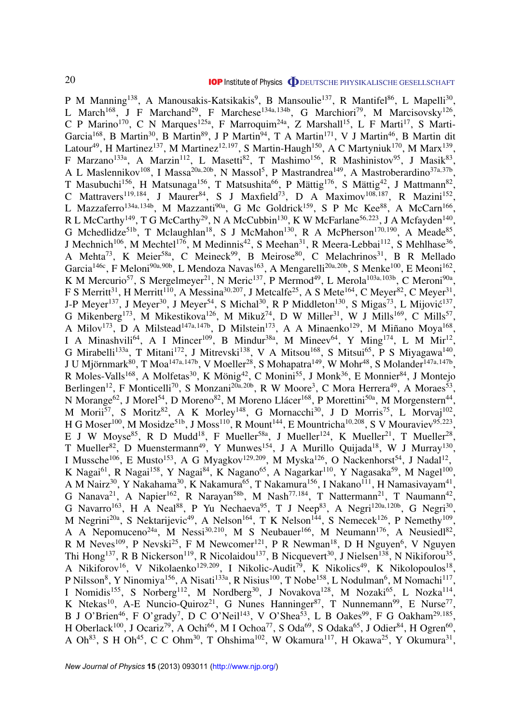P M Manning<sup>138</sup>, A Manousakis-Katsikakis<sup>9</sup>, B Mansoulie<sup>137</sup>, R Mantifel<sup>86</sup>, L Mapelli<sup>30</sup>, L March<sup>168</sup>, J F Marchand<sup>29</sup>, F Marchese<sup>134a,134b</sup>, G Marchiori<sup>79</sup>, M Marcisovsky<sup>126</sup>, C P Marino<sup>170</sup>, C N Marques<sup>125a</sup>, F Marroquim<sup>24a</sup>, Z Marshall<sup>15</sup>, L F Marti<sup>17</sup>, S Marti-Garcia<sup>168</sup>, B Martin<sup>30</sup>, B Martin<sup>89</sup>, J P Martin<sup>94</sup>, T A Martin<sup>171</sup>, V J Martin<sup>46</sup>, B Martin dit Latour<sup>49</sup>, H Martinez<sup>137</sup>, M Martinez<sup>12,197</sup>, S Martin-Haugh<sup>150</sup>, A C Martyniuk<sup>170</sup>, M Marx<sup>139</sup>, F Marzano<sup>133a</sup>, A Marzin<sup>112</sup>, L Masetti<sup>82</sup>, T Mashimo<sup>156</sup>, R Mashinistov<sup>95</sup>, J Masik<sup>83</sup>, A L Maslennikov<sup>108</sup>, I Massa<sup>20a, 20b</sup>, N Massol<sup>5</sup>, P Mastrandrea<sup>149</sup>, A Mastroberardino<sup>37a, 37b</sup>, T Masubuchi<sup>156</sup>, H Matsunaga<sup>156</sup>, T Matsushita<sup>66</sup>, P Mättig<sup>176</sup>, S Mättig<sup>42</sup>, J Mattmann<sup>82</sup>, C Mattravers<sup>119,184</sup>, J Maurer<sup>84</sup>, S J Maxfield<sup>73</sup>, D A Maximov<sup>108,187</sup>, R Mazini<sup>152</sup>, L Mazzaferro<sup>134a,134b</sup>, M Mazzanti<sup>90a</sup>, G Mc Goldrick<sup>159</sup>, S P Mc Kee<sup>88</sup>, A McCarn<sup>166</sup>, R L McCarthy<sup>149</sup>, T G McCarthy<sup>29</sup>, N A McCubbin<sup>130</sup>, K W McFarlane<sup>56,223</sup>, J A Mcfayden<sup>140</sup>, G Mchedlidze<sup>51b</sup>, T Mclaughlan<sup>18</sup>, S J McMahon<sup>130</sup>, R A McPherson<sup>170,190</sup>, A Meade<sup>85</sup>, J Mechnich<sup>106</sup>, M Mechtel<sup>176</sup>, M Medinnis<sup>42</sup>, S Meehan<sup>31</sup>, R Meera-Lebbai<sup>112</sup>, S Mehlhase<sup>36</sup>, A Mehta<sup>73</sup>, K Meier<sup>58a</sup>, C Meineck<sup>99</sup>, B Meirose<sup>80</sup>, C Melachrinos<sup>31</sup>, B R Mellado Garcia<sup>146c</sup>, F Meloni<sup>90a,90b</sup>, L Mendoza Navas<sup>163</sup>, A Mengarelli<sup>20a,20b</sup>, S Menke<sup>100</sup>, E Meoni<sup>162</sup>, K M Mercurio<sup>57</sup>, S Mergelmeyer<sup>21</sup>, N Meric<sup>137</sup>, P Mermod<sup>49</sup>, L Merola<sup>103a,103b</sup>, C Meroni<sup>90a</sup>, F S Merritt<sup>31</sup>, H Merritt<sup>110</sup>, A Messina<sup>30,207</sup>, J Metcalfe<sup>25</sup>, A S Mete<sup>164</sup>, C Meyer<sup>82</sup>, C Meyer<sup>31</sup>, J-P Meyer<sup>137</sup>, J Meyer<sup>30</sup>, J Meyer<sup>54</sup>, S Michal<sup>30</sup>, R P Middleton<sup>130</sup>, S Migas<sup>73</sup>, L Mijović<sup>137</sup>, G Mikenberg<sup>173</sup>, M Mikestikova<sup>126</sup>, M Mikuž<sup>74</sup>, D W Miller<sup>31</sup>, W J Mills<sup>169</sup>, C Mills<sup>57</sup>, A Milov<sup>173</sup>, D A Milstead<sup>147a, 147b</sup>, D Milstein<sup>173</sup>, A A Minaenko<sup>129</sup>, M Miñano Moya<sup>168</sup>, I A Minashvili<sup>64</sup>, A I Mincer<sup>109</sup>, B Mindur<sup>38a</sup>, M Mineev<sup>64</sup>, Y Ming<sup>174</sup>, L M Mir<sup>12</sup>, G Mirabelli<sup>133a</sup>, T Mitani<sup>172</sup>, J Mitrevski<sup>138</sup>, V A Mitsou<sup>168</sup>, S Mitsui<sup>65</sup>, P S Miyagawa<sup>140</sup>, J U Mjörnmark $^{80}$ , T Moa $^{147$ a,147b, V Moeller $^{28}$ , S Mohapatra $^{149}$ , W Mohr $^{48}$ , S Molander $^{147$ a,147b, R Moles-Valls<sup>168</sup>, A Molfetas<sup>30</sup>, K Mönig<sup>42</sup>, C Monini<sup>55</sup>, J Monk<sup>36</sup>, E Monnier<sup>84</sup>, J Montejo Berlingen<sup>12</sup>, F Monticelli<sup>70</sup>, S Monzani<sup>20a, 20b</sup>, R W Moore<sup>3</sup>, C Mora Herrera<sup>49</sup>, A Moraes<sup>53</sup>, N Morange<sup>62</sup>, J Morel<sup>54</sup>, D Moreno<sup>82</sup>, M Moreno Llácer<sup>168</sup>, P Morettini<sup>50a</sup>, M Morgenstern<sup>44</sup>, M Morii<sup>57</sup>, S Moritz<sup>82</sup>, A K Morley<sup>148</sup>, G Mornacchi<sup>30</sup>, J D Morris<sup>75</sup>, L Morvaj<sup>102</sup>, H G Moser<sup>100</sup>, M Mosidze<sup>51b</sup>, J Moss<sup>110</sup>, R Mount<sup>144</sup>, E Mountricha<sup>10,208</sup>, S V Mouraviev<sup>95,223</sup>, E J W Moyse<sup>85</sup>, R D Mudd<sup>18</sup>, F Mueller<sup>58a</sup>, J Mueller<sup>124</sup>, K Mueller<sup>21</sup>, T Mueller<sup>28</sup>, T Mueller<sup>82</sup>, D Muenstermann<sup>49</sup>, Y Munwes<sup>154</sup>, J A Murillo Quijada<sup>18</sup>, W J Murray<sup>130</sup>, I Mussche<sup>106</sup>, E Musto<sup>153</sup>, A G Myagkov<sup>129,209</sup>, M Myska<sup>126</sup>, O Nackenhorst<sup>54</sup>, J Nadal<sup>12</sup>, K Nagai<sup>61</sup>, R Nagai<sup>158</sup>, Y Nagai<sup>84</sup>, K Nagano<sup>65</sup>, A Nagarkar<sup>110</sup>, Y Nagasaka<sup>59</sup>, M Nagel<sup>100</sup>, A M Nairz<sup>30</sup>, Y Nakahama<sup>30</sup>, K Nakamura<sup>65</sup>, T Nakamura<sup>156</sup>, I Nakano<sup>111</sup>, H Namasivayam<sup>41</sup>, G Nanava<sup>21</sup>, A Napier<sup>162</sup>, R Narayan<sup>58b</sup>, M Nash<sup>77,184</sup>, T Nattermann<sup>21</sup>, T Naumann<sup>42</sup>, G Navarro<sup>163</sup>, H A Neal<sup>88</sup>, P Yu Nechaeva<sup>95</sup>, T J Neep<sup>83</sup>, A Negri<sup>120a,120b</sup>, G Negri<sup>30</sup>, M Negrini<sup>20a</sup>, S Nektarijevic<sup>49</sup>, A Nelson<sup>164</sup>, T K Nelson<sup>144</sup>, S Nemecek<sup>126</sup>, P Nemethy<sup>109</sup>, A A Nepomuceno<sup>24a</sup>, M Nessi<sup>30,210</sup>, M S Neubauer<sup>166</sup>, M Neumann<sup>176</sup>, A Neusiedl<sup>82</sup>, R M Neves<sup>109</sup>, P Nevski<sup>25</sup>, F M Newcomer<sup>121</sup>, P R Newman<sup>18</sup>, D H Nguyen<sup>6</sup>, V Nguyen Thi Hong<sup>137</sup>, R B Nickerson<sup>119</sup>, R Nicolaidou<sup>137</sup>, B Nicquevert<sup>30</sup>, J Nielsen<sup>138</sup>, N Nikiforou<sup>35</sup>, A Nikiforov<sup>16</sup>, V Nikolaenko<sup>129,209</sup>, I Nikolic-Audit<sup>79</sup>, K Nikolics<sup>49</sup>, K Nikolopoulos<sup>18</sup>, P Nilsson<sup>8</sup>, Y Ninomiya<sup>156</sup>, A Nisati<sup>133a</sup>, R Nisius<sup>100</sup>, T Nobe<sup>158</sup>, L Nodulman<sup>6</sup>, M Nomachi<sup>117</sup>, I Nomidis<sup>155</sup>, S Norberg<sup>112</sup>, M Nordberg<sup>30</sup>, J Novakova<sup>128</sup>, M Nozaki<sup>65</sup>, L Nozka<sup>114</sup>, K Ntekas<sup>10</sup>, A-E Nuncio-Quiroz<sup>21</sup>, G Nunes Hanninger<sup>87</sup>, T Nunnemann<sup>99</sup>, E Nurse<sup>77</sup>, B J O'Brien<sup>46</sup>, F O'grady<sup>7</sup>, D C O'Neil<sup>143</sup>, V O'Shea<sup>53</sup>, L B Oakes<sup>99</sup>, F G Oakham<sup>29,185</sup>, H Oberlack<sup>100</sup>, J Ocariz<sup>79</sup>, A Ochi<sup>66</sup>, M I Ochoa<sup>77</sup>, S Oda<sup>69</sup>, S Odaka<sup>65</sup>, J Odier<sup>84</sup>, H Ogren<sup>60</sup>, A Oh<sup>83</sup>, S H Oh<sup>45</sup>, C C Ohm<sup>30</sup>, T Ohshima<sup>102</sup>, W Okamura<sup>117</sup>, H Okawa<sup>25</sup>, Y Okumura<sup>31</sup>,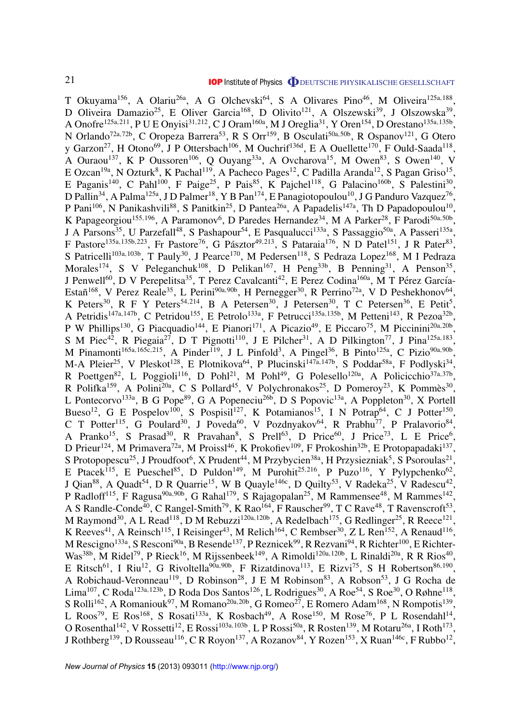T Okuyama<sup>156</sup>, A Olariu<sup>26a</sup>, A G Olchevski<sup>64</sup>, S A Olivares Pino<sup>46</sup>, M Oliveira<sup>125a,188</sup>, D Oliveira Damazio<sup>25</sup>, E Oliver Garcia<sup>168</sup>, D Olivito<sup>121</sup>, A Olszewski<sup>39</sup>, J Olszowska<sup>39</sup>, A Onofre<sup>125a,211</sup>, P U E Onyisi<sup>31,212</sup>, C J Oram<sup>160a</sup>, M J Oreglia<sup>31</sup>, Y Oren<sup>154</sup>, D Orestano<sup>135a,135b</sup>, N Orlando<sup>72a,72b</sup>, C Oropeza Barrera<sup>53</sup>, R S Orr<sup>159</sup>, B Osculati<sup>50a,50b</sup>, R Ospanov<sup>121</sup>, G Otero y Garzon<sup>27</sup>, H Otono<sup>69</sup>, J P Ottersbach<sup>106</sup>, M Ouchrif<sup>136d</sup>, E A Ouellette<sup>170</sup>, F Ould-Saada<sup>118</sup>, A Ouraou<sup>137</sup>, K P Oussoren<sup>106</sup>, Q Ouyang<sup>33a</sup>, A Ovcharova<sup>15</sup>, M Owen<sup>83</sup>, S Owen<sup>140</sup>, V E Ozcan<sup>19a</sup>, N Ozturk<sup>8</sup>, K Pachal<sup>119</sup>, A Pacheco Pages<sup>12</sup>, C Padilla Aranda<sup>12</sup>, S Pagan Griso<sup>15</sup>, E Paganis<sup>140</sup>, C Pahl<sup>100</sup>, F Paige<sup>25</sup>, P Pais<sup>85</sup>, K Pajchel<sup>118</sup>, G Palacino<sup>160b</sup>, S Palestini<sup>30</sup>, D Pallin<sup>34</sup>, A Palma<sup>125a</sup>, J D Palmer<sup>18</sup>, Y B Pan<sup>174</sup>, E Panagiotopoulou<sup>10</sup>, J G Panduro Vazquez<sup>76</sup>, P Pani<sup>106</sup>, N Panikashvili<sup>88</sup>, S Panitkin<sup>25</sup>, D Pantea<sup>26a</sup>, A Papadelis<sup>147a</sup>, Th D Papadopoulou<sup>10</sup>, K Papageorgiou<sup>155,196</sup>, A Paramonov<sup>6</sup>, D Paredes Hernandez<sup>34</sup>, M A Parker<sup>28</sup>, F Parodi<sup>50a,50b</sup>, J A Parsons<sup>35</sup>, U Parzefall<sup>48</sup>, S Pashapour<sup>54</sup>, E Pasqualucci<sup>133a</sup>, S Passaggio<sup>50a</sup>, A Passeri<sup>135a</sup>, F Pastore<sup>135a,135b,223</sup>, Fr Pastore<sup>76</sup>, G Pásztor<sup>49,213</sup>, S Pataraia<sup>176</sup>, N D Patel<sup>151</sup>, J R Pater<sup>83</sup>, S Patricelli<sup>103a,103b</sup>, T Pauly<sup>30</sup>, J Pearce<sup>170</sup>, M Pedersen<sup>118</sup>, S Pedraza Lopez<sup>168</sup>, M I Pedraza Morales<sup>174</sup>, S V Peleganchuk<sup>108</sup>, D Pelikan<sup>167</sup>, H Peng<sup>33b</sup>, B Penning<sup>31</sup>, A Penson<sup>35</sup>, J Penwell<sup>60</sup>, D V Perepelitsa<sup>35</sup>, T Perez Cavalcanti<sup>42</sup>, E Perez Codina<sup>160a</sup>, M T Pérez García-Estañ<sup>168</sup>, V Perez Reale<sup>35</sup>, L Perini<sup>90a, 90b</sup>, H Pernegger<sup>30</sup>, R Perrino<sup>72a</sup>, V D Peshekhonov<sup>64</sup>, K Peters<sup>30</sup>, R F Y Peters<sup>54,214</sup>, B A Petersen<sup>30</sup>, J Petersen<sup>30</sup>, T C Petersen<sup>36</sup>, E Petit<sup>5</sup>, A Petridis<sup>147a, 147b</sup>, C Petridou<sup>155</sup>, E Petrolo<sup>133a</sup>, F Petrucci<sup>135a, 135b</sup>, M Petteni<sup>143</sup>, R Pezoa<sup>32b</sup>, P W Phillips<sup>130</sup>, G Piacquadio<sup>144</sup>, E Pianori<sup>171</sup>, A Picazio<sup>49</sup>, E Piccaro<sup>75</sup>, M Piccinini<sup>20a,20b</sup>, S M Piec<sup>42</sup>, R Piegaia<sup>27</sup>, D T Pignotti<sup>110</sup>, J E Pilcher<sup>31</sup>, A D Pilkington<sup>77</sup>, J Pina<sup>125a,183</sup>, M Pinamonti<sup>165a,165c,215</sup>, A Pinder<sup>119</sup>, J L Pinfold<sup>3</sup>, A Pingel<sup>36</sup>, B Pinto<sup>125a</sup>, C Pizio<sup>90a,90b</sup>, M-A Pleier<sup>25</sup>, V Pleskot<sup>128</sup>, E Plotnikova<sup>64</sup>, P Plucinski<sup>147a,147b</sup>, S Poddar<sup>58a</sup>, F Podlyski<sup>34</sup>, R Poettgen<sup>82</sup>, L Poggioli<sup>116</sup>, D Pohl<sup>21</sup>, M Pohl<sup>49</sup>, G Polesello<sup>120a</sup>, A Policicchio<sup>37a,37b</sup>, R Polifka<sup>159</sup>, A Polini<sup>20a</sup>, C S Pollard<sup>45</sup>, V Polychronakos<sup>25</sup>, D Pomeroy<sup>23</sup>, K Pommès<sup>30</sup>, L Pontecorvo<sup>133a</sup>, B G Pope<sup>89</sup>, G A Popeneciu<sup>26b</sup>, D S Popovic<sup>13a</sup>, A Poppleton<sup>30</sup>, X Portell Bueso<sup>12</sup>, G E Pospelov<sup>100</sup>, S Pospisil<sup>127</sup>, K Potamianos<sup>15</sup>, I N Potrap<sup>64</sup>, C J Potter<sup>150</sup>, C T Potter<sup>115</sup>, G Poulard<sup>30</sup>, J Poveda<sup>60</sup>, V Pozdnyakov<sup>64</sup>, R Prabhu<sup>77</sup>, P Pralavorio<sup>84</sup>, A Pranko<sup>15</sup>, S Prasad<sup>30</sup>, R Pravahan<sup>8</sup>, S Prell<sup>63</sup>, D Price<sup>60</sup>, J Price<sup>73</sup>, L E Price<sup>6</sup>, D Prieur<sup>124</sup>, M Primavera<sup>72a</sup>, M Proissl<sup>46</sup>, K Prokofiev<sup>109</sup>, F Prokoshin<sup>32b</sup>, E Protopapadaki<sup>137</sup>, S Protopopescu<sup>25</sup>, J Proudfoot<sup>6</sup>, X Prudent<sup>44</sup>, M Przybycien<sup>38a</sup>, H Przysiezniak<sup>5</sup>, S Psoroulas<sup>21</sup>, E Ptacek<sup>115</sup>, E Pueschel<sup>85</sup>, D Puldon<sup>149</sup>, M Purohit<sup>25,216</sup>, P Puzo<sup>116</sup>, Y Pylypchenko<sup>62</sup>, J Qian<sup>88</sup>, A Quadt<sup>54</sup>, D R Quarrie<sup>15</sup>, W B Quayle<sup>146c</sup>, D Quilty<sup>53</sup>, V Radeka<sup>25</sup>, V Radescu<sup>42</sup>, P Radloff<sup>115</sup>, F Ragusa<sup>90a, 90b</sup>, G Rahal<sup>179</sup>, S Rajagopalan<sup>25</sup>, M Rammensee<sup>48</sup>, M Rammes<sup>142</sup>, A S Randle-Conde<sup>40</sup>, C Rangel-Smith<sup>79</sup>, K Rao<sup>164</sup>, F Rauscher<sup>99</sup>, T C Rave<sup>48</sup>, T Ravenscroft<sup>53</sup>, M Raymond<sup>30</sup>, A L Read<sup>118</sup>, D M Rebuzzi<sup>120a, 120b</sup>, A Redelbach<sup>175</sup>, G Redlinger<sup>25</sup>, R Reece<sup>121</sup>, K Reeves<sup>41</sup>, A Reinsch<sup>115</sup>, I Reisinger<sup>43</sup>, M Relich<sup>164</sup>, C Rembser<sup>30</sup>, Z L Ren<sup>152</sup>, A Renaud<sup>116</sup>, M Rescigno<sup>133a</sup>, S Resconi<sup>90a</sup>, B Resende<sup>137</sup>, P Reznicek<sup>99</sup>, R Rezvani<sup>94</sup>, R Richter<sup>100</sup>, E Richter-Was<sup>38b</sup>, M Ridel<sup>79</sup>, P Rieck<sup>16</sup>, M Rijssenbeek<sup>149</sup>, A Rimoldi<sup>120a, 120b</sup>, L Rinaldi<sup>20a</sup>, R R Rios<sup>40</sup>, E Ritsch<sup>61</sup>, I Riu<sup>12</sup>, G Rivoltella<sup>90a, 90b</sup>, F Rizatdinova<sup>113</sup>, E Rizvi<sup>75</sup>, S H Robertson<sup>86, 190</sup>, A Robichaud-Veronneau<sup>119</sup>, D Robinson<sup>28</sup>, J E M Robinson<sup>83</sup>, A Robson<sup>53</sup>, J G Rocha de Lima<sup>107</sup>, C Roda<sup>123a,123b</sup>, D Roda Dos Santos<sup>126</sup>, L Rodrigues<sup>30</sup>, A Roe<sup>54</sup>, S Roe<sup>30</sup>, O Røhne<sup>118</sup>, S Rolli<sup>162</sup>, A Romaniouk<sup>97</sup>, M Romano<sup>20a, 20b</sup>, G Romeo<sup>27</sup>, E Romero Adam<sup>168</sup>, N Rompotis<sup>139</sup>, L Roos<sup>79</sup>, E Ros<sup>168</sup>, S Rosati<sup>133a</sup>, K Rosbach<sup>49</sup>, A Rose<sup>150</sup>, M Rose<sup>76</sup>, P L Rosendahl<sup>14</sup>, O Rosenthal<sup>142</sup>, V Rossetti<sup>12</sup>, E Rossi<sup>103a, 103b</sup>, L P Rossi<sup>50a</sup>, R Rosten<sup>139</sup>, M Rotaru<sup>26a</sup>, I Roth<sup>173</sup>, J Rothberg<sup>139</sup>, D Rousseau<sup>116</sup>, C R Royon<sup>137</sup>, A Rozanov<sup>84</sup>, Y Rozen<sup>153</sup>, X Ruan<sup>146c</sup>, F Rubbo<sup>12</sup>,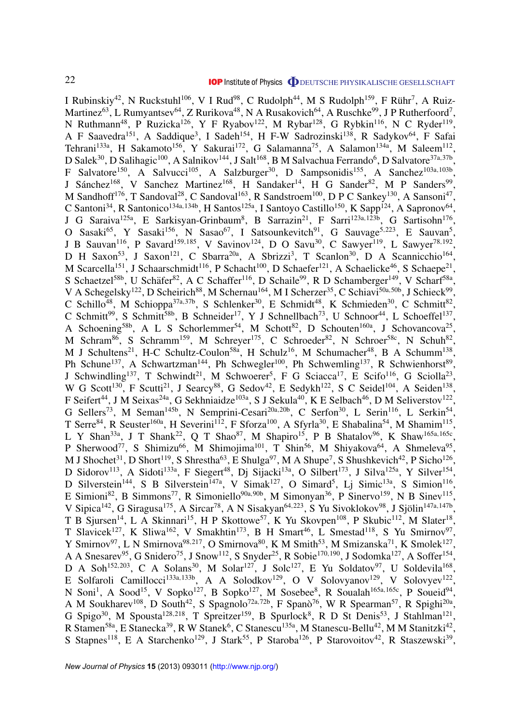I Rubinskiy<sup>42</sup>, N Ruckstuhl<sup>106</sup>, V I Rud<sup>98</sup>, C Rudolph<sup>44</sup>, M S Rudolph<sup>159</sup>, F Rühr<sup>7</sup>, A Ruiz-Martinez<sup>63</sup>, L Rumyantsev<sup>64</sup>, Z Rurikova<sup>48</sup>, N A Rusakovich<sup>64</sup>, A Ruschke<sup>99</sup>, J P Rutherfoord<sup>7</sup>, N Ruthmann<sup>48</sup>, P Ruzicka<sup>126</sup>, Y F Ryabov<sup>122</sup>, M Rybar<sup>128</sup>, G Rybkin<sup>116</sup>, N C Ryder<sup>119</sup>, A F Saavedra<sup>151</sup>, A Saddique<sup>3</sup>, I Sadeh<sup>154</sup>, H F-W Sadrozinski<sup>138</sup>, R Sadykov<sup>64</sup>, F Safai Tehrani<sup>133a</sup>, H Sakamoto<sup>156</sup>, Y Sakurai<sup>172</sup>, G Salamanna<sup>75</sup>, A Salamon<sup>134a</sup>, M Saleem<sup>112</sup>, D Salek $^{30}$ , D Salihagic $^{100}$ , A Salnikov $^{144}$ , J Salt $^{168}$ , B M Salvachua Ferrando<sup>6</sup>, D Salvatore $^{37a,37b}$ , F Salvatore<sup>150</sup>, A Salvucci<sup>105</sup>, A Salzburger<sup>30</sup>, D Sampsonidis<sup>155</sup>, A Sanchez<sup>103a,103b</sup>, J Sánchez<sup>168</sup>, V Sanchez Martinez<sup>168</sup>, H Sandaker<sup>14</sup>, H G Sander<sup>82</sup>, M P Sanders<sup>99</sup>, M Sandhoff<sup>176</sup>, T Sandoval<sup>28</sup>, C Sandoval<sup>163</sup>, R Sandstroem<sup>100</sup>, D P C Sankey<sup>130</sup>, A Sansoni<sup>47</sup>, C Santoni<sup>34</sup>, R Santonico<sup>134a,134b</sup>, H Santos<sup>125a</sup>, I Santoyo Castillo<sup>150</sup>, K Sapp<sup>124</sup>, A Sapronov<sup>64</sup>, J G Saraiva<sup>125a</sup>, E Sarkisyan-Grinbaum<sup>8</sup>, B Sarrazin<sup>21</sup>, F Sarri<sup>123a,123b</sup>, G Sartisohn<sup>176</sup>, O Sasaki<sup>65</sup>, Y Sasaki<sup>156</sup>, N Sasao<sup>67</sup>, I Satsounkevitch<sup>91</sup>, G Sauvage<sup>5,223</sup>, E Sauvan<sup>5</sup>, J B Sauvan<sup>116</sup>, P Savard<sup>159,185</sup>, V Savinov<sup>124</sup>, D O Savu<sup>30</sup>, C Sawyer<sup>119</sup>, L Sawyer<sup>78,192</sup>, D H Saxon<sup>53</sup>, J Saxon<sup>121</sup>, C Sbarra<sup>20a</sup>, A Sbrizzi<sup>3</sup>, T Scanlon<sup>30</sup>, D A Scannicchio<sup>164</sup>, M Scarcella<sup>151</sup>, J Schaarschmidt<sup>116</sup>, P Schacht<sup>100</sup>, D Schaefer<sup>121</sup>, A Schaelicke<sup>46</sup>, S Schaepe<sup>21</sup>, S Schaetzel<sup>58b</sup>, U Schäfer<sup>82</sup>, A C Schaffer<sup>116</sup>, D Schaile<sup>99</sup>, R D Schamberger<sup>149</sup>, V Scharf<sup>58a</sup>, V A Schegelsky<sup>122</sup>, D Scheirich<sup>88</sup>, M Schernau<sup>164</sup>, M I Scherzer<sup>35</sup>, C Schiavi<sup>50a,50b</sup>, J Schieck<sup>99</sup>, C Schillo<sup>48</sup>, M Schioppa<sup>37a,37b</sup>, S Schlenker<sup>30</sup>, E Schmidt<sup>48</sup>, K Schmieden<sup>30</sup>, C Schmitt<sup>82</sup>, C Schmitt<sup>99</sup>, S Schmitt<sup>58b</sup>, B Schneider<sup>17</sup>, Y J Schnellbach<sup>73</sup>, U Schnoor<sup>44</sup>, L Schoeffel<sup>137</sup>, A Schoening<sup>58b</sup>, A L S Schorlemmer<sup>54</sup>, M Schott<sup>82</sup>, D Schouten<sup>160a</sup>, J Schovancova<sup>25</sup>, M Schram<sup>86</sup>, S Schramm<sup>159</sup>, M Schreyer<sup>175</sup>, C Schroeder<sup>82</sup>, N Schroer<sup>58c</sup>, N Schuh<sup>82</sup>, M J Schultens<sup>21</sup>, H-C Schultz-Coulon<sup>58a</sup>, H Schulz<sup>16</sup>, M Schumacher<sup>48</sup>, B A Schumm<sup>138</sup>, Ph Schune<sup>137</sup>, A Schwartzman<sup>144</sup>, Ph Schwegler<sup>100</sup>, Ph Schwemling<sup>137</sup>, R Schwienhorst<sup>89</sup>, J Schwindling<sup>137</sup>, T Schwindt<sup>21</sup>, M Schwoerer<sup>5</sup>, F G Sciacca<sup>17</sup>, E Scifo<sup>116</sup>, G Sciolla<sup>23</sup>, W G Scott<sup>130</sup>, F Scutti<sup>21</sup>, J Searcy<sup>88</sup>, G Sedov<sup>42</sup>, E Sedykh<sup>122</sup>, S C Seidel<sup>104</sup>, A Seiden<sup>138</sup>, F Seifert<sup>44</sup>, J M Seixas<sup>24a</sup>, G Sekhniaidze<sup>103a</sup>, S J Sekula<sup>40</sup>, K E Selbach<sup>46</sup>, D M Seliverstov<sup>122</sup>, G Sellers<sup>73</sup>, M Seman<sup>145b</sup>, N Semprini-Cesari<sup>20a, 20b</sup>, C Serfon<sup>30</sup>, L Serin<sup>116</sup>, L Serkin<sup>54</sup>, T Serre<sup>84</sup>, R Seuster<sup>160a</sup>, H Severini<sup>112</sup>, F Sforza<sup>100</sup>, A Sfyrla<sup>30</sup>, E Shabalina<sup>54</sup>, M Shamim<sup>115</sup>, L Y Shan<sup>33a</sup>, J T Shank<sup>22</sup>, Q T Shao<sup>87</sup>, M Shapiro<sup>15</sup>, P B Shatalov<sup>96</sup>, K Shaw<sup>165a,165c</sup>, P Sherwood<sup>77</sup>, S Shimizu<sup>66</sup>, M Shimojima<sup>101</sup>, T Shin<sup>56</sup>, M Shiyakova<sup>64</sup>, A Shmeleva<sup>95</sup>, M J Shochet<sup>31</sup>, D Short<sup>119</sup>, S Shrestha<sup>63</sup>, E Shulga<sup>97</sup>, M A Shupe<sup>7</sup>, S Shushkevich<sup>42</sup>, P Sicho<sup>126</sup>, D Sidorov<sup>113</sup>, A Sidoti<sup>133a</sup>, F Siegert<sup>48</sup>, Dj Sijacki<sup>13a</sup>, O Silbert<sup>173</sup>, J Silva<sup>125a</sup>, Y Silver<sup>154</sup>, D Silverstein<sup>144</sup>, S B Silverstein<sup>147a</sup>, V Simak<sup>127</sup>, O Simard<sup>5</sup>, Lj Simic<sup>13a</sup>, S Simion<sup>116</sup>, E Simioni<sup>82</sup>, B Simmons<sup>77</sup>, R Simoniello<sup>90a, 90b</sup>, M Simonyan<sup>36</sup>, P Sinervo<sup>159</sup>, N B Sinev<sup>115</sup>, V Sipica<sup>142</sup>, G Siragusa<sup>175</sup>, A Sircar<sup>78</sup>, A N Sisakyan<sup>64,223</sup>, S Yu Sivoklokov<sup>98</sup>, J Sjölin<sup>147a,147b</sup>, T B Sjursen<sup>14</sup>, L A Skinnari<sup>15</sup>, H P Skottowe<sup>57</sup>, K Yu Skovpen<sup>108</sup>, P Skubic<sup>112</sup>, M Slater<sup>18</sup>, T Slavicek<sup>127</sup>, K Sliwa<sup>162</sup>, V Smakhtin<sup>173</sup>, B H Smart<sup>46</sup>, L Smestad<sup>118</sup>, S Yu Smirnov<sup>97</sup>, Y Smirnov<sup>97</sup>, L N Smirnova<sup>98,217</sup>, O Smirnova<sup>80</sup>, K M Smith<sup>53</sup>, M Smizanska<sup>71</sup>, K Smolek<sup>127</sup>, A A Snesarev<sup>95</sup>, G Snidero<sup>75</sup>, J Snow<sup>112</sup>, S Snyder<sup>25</sup>, R Sobie<sup>170,190</sup>, J Sodomka<sup>127</sup>, A Soffer<sup>154</sup>, D A Soh<sup>152,203</sup>, C A Solans<sup>30</sup>, M Solar<sup>127</sup>, J Solc<sup>127</sup>, E Yu Soldatov<sup>97</sup>, U Soldevila<sup>168</sup>, E Solfaroli Camillocci<sup>133a,133b</sup>, A A Solodkov<sup>129</sup>, O V Solovyanov<sup>129</sup>, V Solovyev<sup>122</sup>, N Soni<sup>1</sup>, A Sood<sup>15</sup>, V Sopko<sup>127</sup>, B Sopko<sup>127</sup>, M Sosebee<sup>8</sup>, R Soualah<sup>165a,165c</sup>, P Soueid<sup>94</sup>, A M Soukharev<sup>108</sup>, D South<sup>42</sup>, S Spagnolo<sup>72a,72b</sup>, F Spanò<sup>76</sup>, W R Spearman<sup>57</sup>, R Spighi<sup>20a</sup>, G Spigo<sup>30</sup>, M Spousta<sup>128,218</sup>, T Spreitzer<sup>159</sup>, B Spurlock<sup>8</sup>, R D St Denis<sup>53</sup>, J Stahlman<sup>121</sup>, R Stamen<sup>58a</sup>, E Stanecka<sup>39</sup>, R W Stanek<sup>6</sup>, C Stanescu<sup>135a</sup>, M Stanescu-Bellu<sup>42</sup>, M M Stanitzki<sup>42</sup>, S Stapnes<sup>118</sup>, E A Starchenko<sup>129</sup>, J Stark<sup>55</sup>, P Staroba<sup>126</sup>, P Starovoitov<sup>42</sup>, R Staszewski<sup>39</sup>,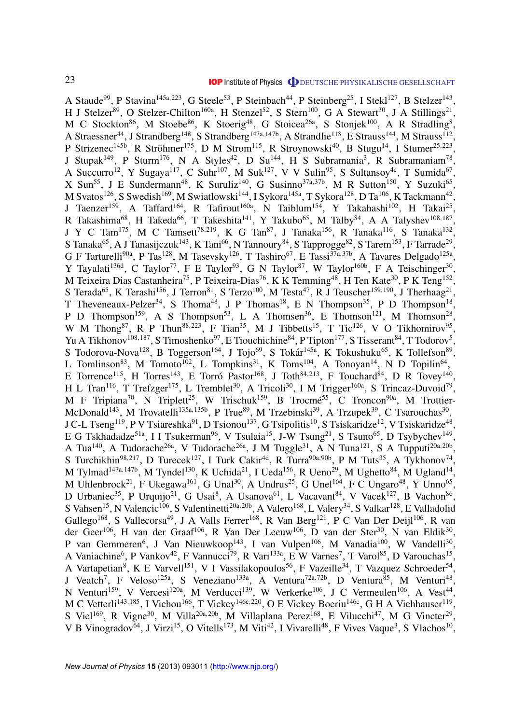A Staude<sup>99</sup>, P Stavina<sup>145a, 223</sup>, G Steele<sup>53</sup>, P Steinbach<sup>44</sup>, P Steinberg<sup>25</sup>, I Stekl<sup>127</sup>, B Stelzer<sup>143</sup>, H J Stelzer<sup>89</sup>, O Stelzer-Chilton<sup>160a</sup>, H Stenzel<sup>52</sup>, S Stern<sup>100</sup>, G A Stewart<sup>30</sup>, J A Stillings<sup>21</sup>, M C Stockton<sup>86</sup>, M Stoebe<sup>86</sup>, K Stoerig<sup>48</sup>, G Stoicea<sup>26a</sup>, S Stonjek<sup>100</sup>, A R Stradling<sup>8</sup>, A Straessner<sup>44</sup>, J Strandberg<sup>148</sup>, S Strandberg<sup>147a, 147b</sup>, A Strandlie<sup>118</sup>, E Strauss<sup>144</sup>, M Strauss<sup>112</sup>, P Strizenec<sup>145b</sup>, R Ströhmer<sup>175</sup>, D M Strom<sup>115</sup>, R Stroynowski<sup>40</sup>, B Stugu<sup>14</sup>, I Stumer<sup>25,223</sup>, J Stupak<sup>149</sup>, P Sturm<sup>176</sup>, N A Styles<sup>42</sup>, D Su<sup>144</sup>, H S Subramania<sup>3</sup>, R Subramaniam<sup>78</sup>, A Succurro<sup>12</sup>, Y Sugaya<sup>117</sup>, C Suhr<sup>107</sup>, M Suk<sup>127</sup>, V V Sulin<sup>95</sup>, S Sultansoy<sup>4c</sup>, T Sumida<sup>67</sup>, X Sun<sup>55</sup>, J E Sundermann<sup>48</sup>, K Suruliz<sup>140</sup>, G Susinno<sup>37a,37b</sup>, M R Sutton<sup>150</sup>, Y Suzuki<sup>65</sup>, M Svatos<sup>126</sup>, S Swedish<sup>169</sup>, M Swiatlowski<sup>144</sup>, I Sykora<sup>145a</sup>, T Sykora<sup>128</sup>, D Ta<sup>106</sup>, K Tackmann<sup>42</sup>, J Taenzer<sup>159</sup>, A Taffard<sup>164</sup>, R Tafirout<sup>160a</sup>, N Taiblum<sup>154</sup>, Y Takahashi<sup>102</sup>, H Takai<sup>25</sup>, R Takashima $^{68}$ , H Takeda $^{66}$ , T Takeshita $^{141}$ , Y Takubo $^{65}$ , M Talby $^{84}$ , A A Talyshev $^{108,187}$ , J Y C Tam<sup>175</sup>, M C Tamsett<sup>78,219</sup>, K G Tan<sup>87</sup>, J Tanaka<sup>156</sup>, R Tanaka<sup>116</sup>, S Tanaka<sup>132</sup>, S Tanaka<sup>65</sup>, A J Tanasijczuk<sup>143</sup>, K Tani<sup>66</sup>, N Tannoury<sup>84</sup>, S Tapprogge<sup>82</sup>, S Tarem<sup>153</sup>, F Tarrade<sup>29</sup>, G F Tartarelli<sup>90a</sup>, P Tas<sup>128</sup>, M Tasevsky<sup>126</sup>, T Tashiro<sup>67</sup>, E Tassi<sup>37a,37b</sup>, A Tavares Delgado<sup>125a</sup>, Y Tayalati<sup>136d</sup>, C Taylor<sup>77</sup>, F E Taylor<sup>93</sup>, G N Taylor<sup>87</sup>, W Taylor<sup>160b</sup>, F A Teischinger<sup>30</sup>, M Teixeira Dias Castanheira<sup>75</sup>, P Teixeira-Dias<sup>76</sup>, K K Temming<sup>48</sup>, H Ten Kate<sup>30</sup>, P K Teng<sup>152</sup>, S Terada<sup>65</sup>, K Terashi<sup>156</sup>, J Terron<sup>81</sup>, S Terzo<sup>100</sup>, M Testa<sup>47</sup>, R J Teuscher<sup>159,190</sup>, J Therhaag<sup>21</sup>, T Theveneaux-Pelzer<sup>34</sup>, S Thoma<sup>48</sup>, J P Thomas<sup>18</sup>, E N Thompson<sup>35</sup>, P D Thompson<sup>18</sup>, P D Thompson<sup>159</sup>, A S Thompson<sup>53</sup>, L A Thomsen<sup>36</sup>, E Thomson<sup>121</sup>, M Thomson<sup>28</sup>, W M Thong<sup>87</sup>, R P Thun<sup>88,223</sup>, F Tian<sup>35</sup>, M J Tibbetts<sup>15</sup>, T Tic<sup>126</sup>, V O Tikhomirov<sup>95</sup>, Yu A Tikhonov<sup>108,187</sup>, S Timoshenko<sup>97</sup>, E Tiouchichine<sup>84</sup>, P Tipton<sup>177</sup>, S Tisserant<sup>84</sup>, T Todorov<sup>5</sup>, S Todorova-Nova<sup>128</sup>, B Toggerson<sup>164</sup>, J Tojo<sup>69</sup>, S Tokár<sup>145a</sup>, K Tokushuku<sup>65</sup>, K Tollefson<sup>89</sup>, L Tomlinson<sup>83</sup>, M Tomoto<sup>102</sup>, L Tompkins<sup>31</sup>, K Toms<sup>104</sup>, A Tonoyan<sup>14</sup>, N D Topilin<sup>64</sup>, E Torrence<sup>115</sup>, H Torres<sup>143</sup>, E Torró Pastor<sup>168</sup>, J Toth<sup>84,213</sup>, F Touchard<sup>84</sup>, D R Tovey<sup>140</sup>, H L Tran<sup>116</sup>, T Trefzger<sup>175</sup>, L Tremblet<sup>30</sup>, A Tricoli<sup>30</sup>, I M Trigger<sup>160a</sup>, S Trincaz-Duvoid<sup>79</sup>, M F Tripiana<sup>70</sup>, N Triplett<sup>25</sup>, W Trischuk<sup>159</sup>, B Trocmé<sup>55</sup>, C Troncon<sup>90a</sup>, M Trottier-McDonald<sup>143</sup>, M Trovatelli<sup>135a,135b</sup>, P True<sup>89</sup>, M Trzebinski<sup>39</sup>, A Trzupek<sup>39</sup>, C Tsarouchas<sup>30</sup>, J C-L Tseng<sup>119</sup>, P V Tsiareshka $^{91}$ , D Tsionou<sup>137</sup>, G Tsipolitis<sup>10</sup>, S Tsiskaridze<sup>12</sup>, V Tsiskaridze<sup>48</sup>, E G Tskhadadze<sup>51a</sup>, I I Tsukerman<sup>96</sup>, V Tsulaia<sup>15</sup>, J-W Tsung<sup>21</sup>, S Tsuno<sup>65</sup>, D Tsybychev<sup>149</sup>, A Tua<sup>140</sup>, A Tudorache<sup>26a</sup>, V Tudorache<sup>26a</sup>, J M Tuggle<sup>31</sup>, A N Tuna<sup>121</sup>, S A Tupputi<sup>20a,20b</sup>, S Turchikhin<sup>98,217</sup>, D Turecek<sup>127</sup>, I Turk Cakir<sup>4d</sup>, R Turra<sup>90a,90b</sup>, P M Tuts<sup>35</sup>, A Tykhonov<sup>74</sup>, M Tylmad<sup>147a, 147b</sup>, M Tyndel<sup>130</sup>, K Uchida<sup>21</sup>, I Ueda<sup>156</sup>, R Ueno<sup>29</sup>, M Ughetto<sup>84</sup>, M Ugland<sup>14</sup>, M Uhlenbrock<sup>21</sup>, F Ukegawa<sup>161</sup>, G Unal<sup>30</sup>, A Undrus<sup>25</sup>, G Unel<sup>164</sup>, F C Ungaro<sup>48</sup>, Y Unno<sup>65</sup>, D Urbaniec<sup>35</sup>, P Urquijo<sup>21</sup>, G Usai<sup>8</sup>, A Usanova<sup>61</sup>, L Vacavant<sup>84</sup>, V Vacek<sup>127</sup>, B Vachon<sup>86</sup>, S Vahsen<sup>15</sup>, N Valencic<sup>106</sup>, S Valentinetti<sup>20a,20b</sup>, A Valero<sup>168</sup>, L Valery<sup>34</sup>, S Valkar<sup>128</sup>, E Valladolid Gallego<sup>168</sup>, S Vallecorsa<sup>49</sup>, J A Valls Ferrer<sup>168</sup>, R Van Berg<sup>121</sup>, P C Van Der Deijl<sup>106</sup>, R van der Geer<sup>106</sup>, H van der Graaf<sup>106</sup>, R Van Der Leeuw<sup>106</sup>, D van der Ster<sup>30</sup>, N van Eldik<sup>30</sup>, P van Gemmeren<sup>6</sup>, J Van Nieuwkoop<sup>143</sup>, I van Vulpen<sup>106</sup>, M Vanadia<sup>100</sup>, W Vandelli<sup>30</sup>, A Vaniachine<sup>6</sup>, P Vankov<sup>42</sup>, F Vannucci<sup>79</sup>, R Vari<sup>133a</sup>, E W Varnes<sup>7</sup>, T Varol<sup>85</sup>, D Varouchas<sup>15</sup>, A Vartapetian<sup>8</sup>, K E Varvell<sup>151</sup>, V I Vassilakopoulos<sup>56</sup>, F Vazeille<sup>34</sup>, T Vazquez Schroeder<sup>54</sup>, J Veatch<sup>7</sup>, F Veloso<sup>125a</sup>, S Veneziano<sup>133a</sup>, A Ventura<sup>72a,72b</sup>, D Ventura<sup>85</sup>, M Venturi<sup>48</sup>, N Venturi<sup>159</sup>, V Vercesi<sup>120a</sup>, M Verducci<sup>139</sup>, W Verkerke<sup>106</sup>, J C Vermeulen<sup>106</sup>, A Vest<sup>44</sup>, M C Vetterli<sup>143,185</sup>, I Vichou<sup>166</sup>, T Vickey<sup>146c,220</sup>, O E Vickey Boeriu<sup>146c</sup>, G H A Viehhauser<sup>119</sup>, S Viel<sup>169</sup>, R Vigne<sup>30</sup>, M Villa<sup>20a,20b</sup>, M Villaplana Perez<sup>168</sup>, E Vilucchi<sup>47</sup>, M G Vincter<sup>29</sup>, V B Vinogradov<sup>64</sup>, J Virzi<sup>15</sup>, O Vitells<sup>173</sup>, M Viti<sup>42</sup>, I Vivarelli<sup>48</sup>, F Vives Vaque<sup>3</sup>, S Vlachos<sup>10</sup>,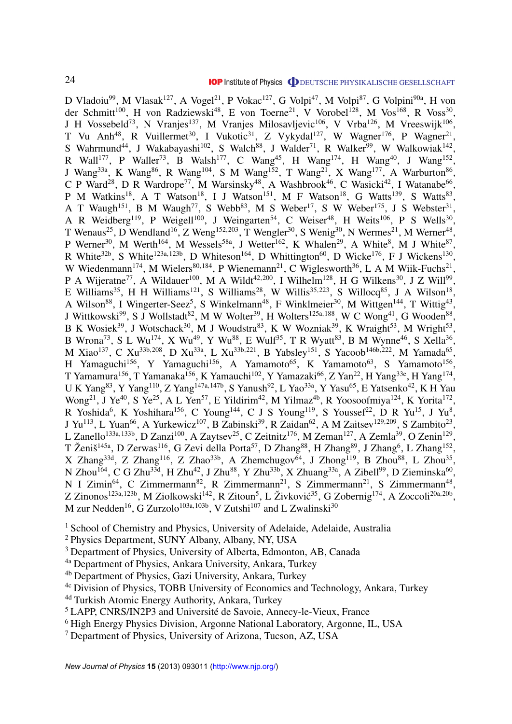D Vladoiu<sup>99</sup>, M Vlasak<sup>127</sup>, A Vogel<sup>21</sup>, P Vokac<sup>127</sup>, G Volpi<sup>47</sup>, M Volpi<sup>87</sup>, G Volpini<sup>90a</sup>, H von der Schmitt<sup>100</sup>, H von Radziewski<sup>48</sup>, E von Toerne<sup>21</sup>, V Vorobel<sup>128</sup>, M Vos<sup>168</sup>, R Voss<sup>30</sup>, J H Vossebeld<sup>73</sup>, N Vranjes<sup>137</sup>, M Vranjes Milosavljevic<sup>106</sup>, V Vrba<sup>126</sup>, M Vreeswijk<sup>106</sup>, T Vu Anh<sup>48</sup>, R Vuillermet<sup>30</sup>, I Vukotic<sup>31</sup>, Z Vykydal<sup>127</sup>, W Wagner<sup>176</sup>, P Wagner<sup>21</sup>, S Wahrmund<sup>44</sup>, J Wakabayashi<sup>102</sup>, S Walch<sup>88</sup>, J Walder<sup>71</sup>, R Walker<sup>99</sup>, W Walkowiak<sup>142</sup>, R Wall<sup>177</sup>, P Waller<sup>73</sup>, B Walsh<sup>177</sup>, C Wang<sup>45</sup>, H Wang<sup>174</sup>, H Wang<sup>40</sup>, J Wang<sup>152</sup>, J Wang<sup>33a</sup>, K Wang<sup>86</sup>, R Wang<sup>104</sup>, S M Wang<sup>152</sup>, T Wang<sup>21</sup>, X Wang<sup>177</sup>, A Warburton<sup>86</sup>, C P Ward<sup>28</sup>, D R Wardrope<sup>77</sup>, M Warsinsky<sup>48</sup>, A Washbrook<sup>46</sup>, C Wasicki<sup>42</sup>, I Watanabe<sup>66</sup>, P M Watkins<sup>18</sup>, A T Watson<sup>18</sup>, I J Watson<sup>151</sup>, M F Watson<sup>18</sup>, G Watts<sup>139</sup>, S Watts<sup>83</sup>, A T Waugh<sup>151</sup>, B M Waugh<sup>77</sup>, S Webb<sup>83</sup>, M S Weber<sup>17</sup>, S W Weber<sup>175</sup>, J S Webster<sup>31</sup>, A R Weidberg<sup>119</sup>, P Weigell<sup>100</sup>, J Weingarten<sup>54</sup>, C Weiser<sup>48</sup>, H Weits<sup>106</sup>, P S Wells<sup>30</sup>, T Wenaus<sup>25</sup>, D Wendland<sup>16</sup>, Z Weng<sup>152,203</sup>, T Wengler<sup>30</sup>, S Wenig<sup>30</sup>, N Wermes<sup>21</sup>, M Werner<sup>48</sup>, P Werner<sup>30</sup>, M Werth<sup>164</sup>, M Wessels<sup>58a</sup>, J Wetter<sup>162</sup>, K Whalen<sup>29</sup>, A White<sup>8</sup>, M J White<sup>87</sup>, R White<sup>32b</sup>, S White<sup>123a,123b</sup>, D Whiteson<sup>164</sup>, D Whittington<sup>60</sup>, D Wicke<sup>176</sup>, F J Wickens<sup>130</sup>, W Wiedenmann<sup>174</sup>, M Wielers<sup>80,184</sup>, P Wienemann<sup>21</sup>, C Wiglesworth<sup>36</sup>, L A M Wiik-Fuchs<sup>21</sup>, P A Wijeratne<sup>77</sup>, A Wildauer<sup>100</sup>, M A Wildt<sup>42,200</sup>, I Wilhelm<sup>128</sup>, H G Wilkens<sup>30</sup>, J Z Will<sup>99</sup>, E Williams<sup>35</sup>, H H Williams<sup>121</sup>, S Williams<sup>28</sup>, W Willis<sup>35,223</sup>, S Willocq<sup>85</sup>, J A Wilson<sup>18</sup>, A Wilson<sup>88</sup>, I Wingerter-Seez<sup>5</sup>, S Winkelmann<sup>48</sup>, F Winklmeier<sup>30</sup>, M Wittgen<sup>144</sup>, T Wittig<sup>43</sup>, J Wittkowski<sup>99</sup>, S J Wollstadt<sup>82</sup>, M W Wolter<sup>39</sup>, H Wolters<sup>125a,188</sup>, W C Wong<sup>41</sup>, G Wooden<sup>88</sup>, B K Wosiek<sup>39</sup>, J Wotschack<sup>30</sup>, M J Woudstra<sup>83</sup>, K W Wozniak<sup>39</sup>, K Wraight<sup>53</sup>, M Wright<sup>53</sup>, B Wrona<sup>73</sup>, S L Wu<sup>174</sup>, X Wu<sup>49</sup>, Y Wu<sup>88</sup>, E Wulf<sup>35</sup>, T R Wyatt<sup>83</sup>, B M Wynne<sup>46</sup>, S Xella<sup>36</sup>, M Xiao<sup>137</sup>, C Xu<sup>33b,208</sup>, D Xu<sup>33a</sup>, L Xu<sup>33b,221</sup>, B Yabsley<sup>151</sup>, S Yacoob<sup>146b,222</sup>, M Yamada<sup>65</sup>, H Yamaguchi<sup>156</sup>, Y Yamaguchi<sup>156</sup>, A Yamamoto<sup>65</sup>, K Yamamoto<sup>63</sup>, S Yamamoto<sup>156</sup>, T Yamamura<sup>156</sup>, T Yamanaka<sup>156</sup>, K Yamauchi<sup>102</sup>, Y Yamazaki<sup>66</sup>, Z Yan<sup>22</sup>, H Yang<sup>33e</sup>, H Yang<sup>174</sup>, U K Yang<sup>83</sup>, Y Yang<sup>110</sup>, Z Yang<sup>147a,147b</sup>, S Yanush<sup>92</sup>, L Yao<sup>33a</sup>, Y Yasu<sup>65</sup>, E Yatsenko<sup>42</sup>, K H Yau Wong<sup>21</sup>, J Ye<sup>40</sup>, S Ye<sup>25</sup>, A L Yen<sup>57</sup>, E Yildirim<sup>42</sup>, M Yilmaz<sup>4b</sup>, R Yoosoofmiya<sup>124</sup>, K Yorita<sup>172</sup>, R Yoshida<sup>6</sup>, K Yoshihara<sup>156</sup>, C Young<sup>144</sup>, C J S Young<sup>119</sup>, S Youssef<sup>22</sup>, D R Yu<sup>15</sup>, J Yu<sup>8</sup>, J Yu<sup>113</sup>, L Yuan<sup>66</sup>, A Yurkewicz<sup>107</sup>, B Zabinski<sup>39</sup>, R Zaidan<sup>62</sup>, A M Zaitsev<sup>129,209</sup>, S Zambito<sup>23</sup>, L Zanello<sup>133a,133b</sup>, D Zanzi<sup>100</sup>, A Zaytsev<sup>25</sup>, C Zeitnitz<sup>176</sup>, M Zeman<sup>127</sup>, A Zemla<sup>39</sup>, O Zenin<sup>129</sup>, T Ženiš<sup>145a</sup>, D Zerwas<sup>116</sup>, G Zevi della Porta<sup>57</sup>, D Zhang<sup>88</sup>, H Zhang<sup>89</sup>, J Zhang<sup>6</sup>, L Zhang<sup>152</sup>, X Zhang<sup>33d</sup>, Z Zhang<sup>116</sup>, Z Zhao<sup>33b</sup>, A Zhemchugov<sup>64</sup>, J Zhong<sup>119</sup>, B Zhou<sup>88</sup>, L Zhou<sup>35</sup>, N Zhou<sup>164</sup>, C G Zhu<sup>33d</sup>, H Zhu<sup>42</sup>, J Zhu<sup>88</sup>, Y Zhu<sup>33b</sup>, X Zhuang<sup>33a</sup>, A Zibell<sup>99</sup>, D Zieminska<sup>60</sup>, N I Zimin<sup>64</sup>, C Zimmermann<sup>82</sup>, R Zimmermann<sup>21</sup>, S Zimmermann<sup>21</sup>, S Zimmermann<sup>48</sup>, Z Zinonos<sup>123a,123b</sup>, M Ziolkowski<sup>142</sup>, R Zitoun<sup>5</sup>, L Živković<sup>35</sup>, G Zobernig<sup>174</sup>, A Zoccoli<sup>20a,20b</sup>, M zur Nedden<sup>16</sup>, G Zurzolo<sup>103a, 103b</sup>, V Zutshi<sup>107</sup> and L Zwalinski<sup>30</sup>

<sup>1</sup> School of Chemistry and Physics, University of Adelaide, Adelaide, Australia

<sup>2</sup> Physics Department, SUNY Albany, Albany, NY, USA

<sup>3</sup> Department of Physics, University of Alberta, Edmonton, AB, Canada

4a Department of Physics, Ankara University, Ankara, Turkey

4b Department of Physics, Gazi University, Ankara, Turkey

4c Division of Physics, TOBB University of Economics and Technology, Ankara, Turkey

4d Turkish Atomic Energy Authority, Ankara, Turkey

<sup>5</sup> LAPP, CNRS/IN2P3 and Université de Savoie, Annecy-le-Vieux, France

<sup>6</sup> High Energy Physics Division, Argonne National Laboratory, Argonne, IL, USA

<sup>7</sup> Department of Physics, University of Arizona, Tucson, AZ, USA

*New Journal of Physics* **15** (2013) 093011 [\(http://www.njp.org/\)](http://www.njp.org/)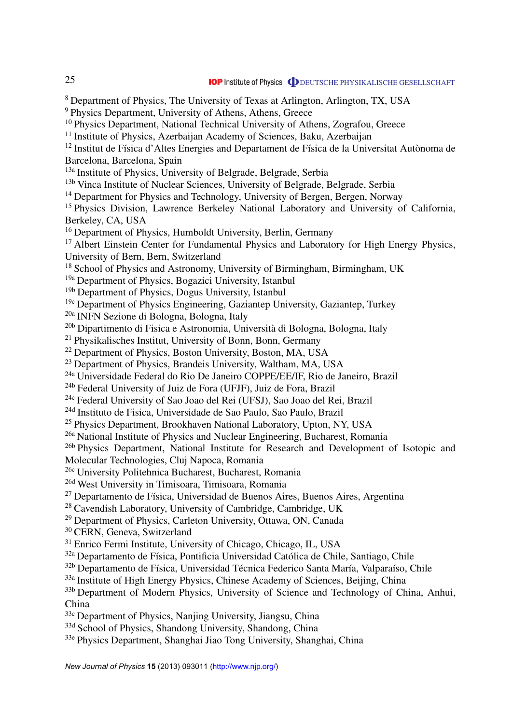<sup>8</sup> Department of Physics, The University of Texas at Arlington, Arlington, TX, USA <sup>9</sup> Physics Department, University of Athens, Athens, Greece <sup>10</sup> Physics Department, National Technical University of Athens, Zografou, Greece <sup>11</sup> Institute of Physics, Azerbaijan Academy of Sciences, Baku, Azerbaijan  $12$  Institut de Física d'Altes Energies and Departament de Física de la Universitat Autònoma de Barcelona, Barcelona, Spain 13a Institute of Physics, University of Belgrade, Belgrade, Serbia <sup>13b</sup> Vinca Institute of Nuclear Sciences, University of Belgrade, Belgrade, Serbia <sup>14</sup> Department for Physics and Technology, University of Bergen, Bergen, Norway <sup>15</sup> Physics Division, Lawrence Berkeley National Laboratory and University of California, Berkeley, CA, USA <sup>16</sup> Department of Physics, Humboldt University, Berlin, Germany <sup>17</sup> Albert Einstein Center for Fundamental Physics and Laboratory for High Energy Physics, University of Bern, Bern, Switzerland <sup>18</sup> School of Physics and Astronomy, University of Birmingham, Birmingham, UK 19a Department of Physics, Bogazici University, Istanbul <sup>19b</sup> Department of Physics, Dogus University, Istanbul 19c Department of Physics Engineering, Gaziantep University, Gaziantep, Turkey 20a INFN Sezione di Bologna, Bologna, Italy 20b Dipartimento di Fisica e Astronomia, Universita di Bologna, Bologna, Italy `  $21$  Physikalisches Institut, University of Bonn, Bonn, Germany <sup>22</sup> Department of Physics, Boston University, Boston, MA, USA <sup>23</sup> Department of Physics, Brandeis University, Waltham, MA, USA 24a Universidade Federal do Rio De Janeiro COPPE/EE/IF, Rio de Janeiro, Brazil 24b Federal University of Juiz de Fora (UFJF), Juiz de Fora, Brazil 24c Federal University of Sao Joao del Rei (UFSJ), Sao Joao del Rei, Brazil 24d Instituto de Fisica, Universidade de Sao Paulo, Sao Paulo, Brazil <sup>25</sup> Physics Department, Brookhaven National Laboratory, Upton, NY, USA 26a National Institute of Physics and Nuclear Engineering, Bucharest, Romania 26b Physics Department, National Institute for Research and Development of Isotopic and Molecular Technologies, Cluj Napoca, Romania 26c University Politehnica Bucharest, Bucharest, Romania 26d West University in Timisoara, Timisoara, Romania  $27$  Departamento de Física, Universidad de Buenos Aires, Buenos Aires, Argentina <sup>28</sup> Cavendish Laboratory, University of Cambridge, Cambridge, UK <sup>29</sup> Department of Physics, Carleton University, Ottawa, ON, Canada <sup>30</sup> CERN, Geneva, Switzerland <sup>31</sup> Enrico Fermi Institute, University of Chicago, Chicago, IL, USA <sup>32a</sup> Departamento de Física, Pontificia Universidad Católica de Chile, Santiago, Chile 32b Departamento de Física, Universidad Técnica Federico Santa María, Valparaíso, Chile <sup>33a</sup> Institute of High Energy Physics, Chinese Academy of Sciences, Beijing, China <sup>33b</sup> Department of Modern Physics, University of Science and Technology of China, Anhui, China 33c Department of Physics, Nanjing University, Jiangsu, China <sup>33d</sup> School of Physics, Shandong University, Shandong, China

33e Physics Department, Shanghai Jiao Tong University, Shanghai, China

25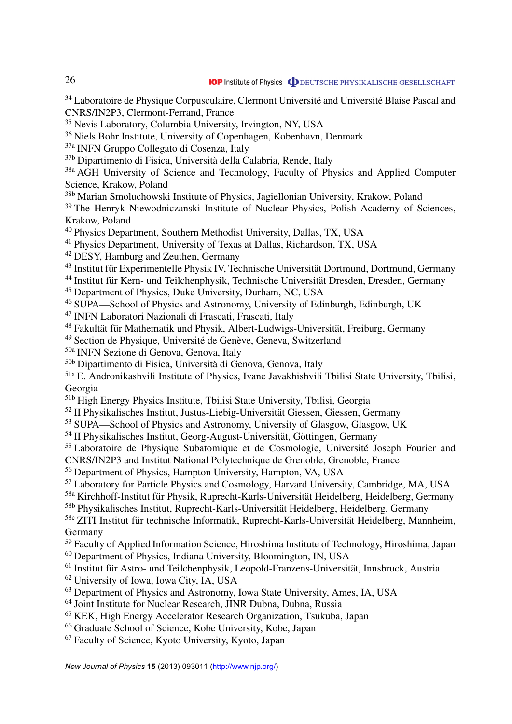<sup>34</sup> Laboratoire de Physique Corpusculaire, Clermont Université and Université Blaise Pascal and CNRS/IN2P3, Clermont-Ferrand, France

<sup>35</sup> Nevis Laboratory, Columbia University, Irvington, NY, USA

<sup>36</sup> Niels Bohr Institute, University of Copenhagen, Kobenhavn, Denmark

37a INFN Gruppo Collegato di Cosenza, Italy

37b Dipartimento di Fisica, Universita della Calabria, Rende, Italy `

<sup>38a</sup> AGH University of Science and Technology, Faculty of Physics and Applied Computer Science, Krakow, Poland

38b Marian Smoluchowski Institute of Physics, Jagiellonian University, Krakow, Poland

<sup>39</sup> The Henryk Niewodniczanski Institute of Nuclear Physics, Polish Academy of Sciences, Krakow, Poland

<sup>40</sup> Physics Department, Southern Methodist University, Dallas, TX, USA

<sup>41</sup> Physics Department, University of Texas at Dallas, Richardson, TX, USA

<sup>42</sup> DESY, Hamburg and Zeuthen, Germany

<sup>43</sup> Institut für Experimentelle Physik IV, Technische Universität Dortmund, Dortmund, Germany

<sup>44</sup> Institut für Kern- und Teilchenphysik, Technische Universität Dresden, Dresden, Germany

<sup>45</sup> Department of Physics, Duke University, Durham, NC, USA

<sup>46</sup> SUPA—School of Physics and Astronomy, University of Edinburgh, Edinburgh, UK

<sup>47</sup> INFN Laboratori Nazionali di Frascati, Frascati, Italy

<sup>48</sup> Fakultät für Mathematik und Physik, Albert-Ludwigs-Universität, Freiburg, Germany

<sup>49</sup> Section de Physique, Université de Genève, Geneva, Switzerland

50a INFN Sezione di Genova, Genova, Italy

50b Dipartimento di Fisica, Universita di Genova, Genova, Italy `

51a E. Andronikashvili Institute of Physics, Ivane Javakhishvili Tbilisi State University, Tbilisi, Georgia

51b High Energy Physics Institute, Tbilisi State University, Tbilisi, Georgia

<sup>52</sup> II Physikalisches Institut, Justus-Liebig-Universität Giessen, Giessen, Germany

<sup>53</sup> SUPA—School of Physics and Astronomy, University of Glasgow, Glasgow, UK

 $<sup>54</sup>$  II Physikalisches Institut, Georg-August-Universität, Göttingen, Germany</sup>

<sup>55</sup> Laboratoire de Physique Subatomique et de Cosmologie, Université Joseph Fourier and

CNRS/IN2P3 and Institut National Polytechnique de Grenoble, Grenoble, France

<sup>56</sup> Department of Physics, Hampton University, Hampton, VA, USA

<sup>57</sup> Laboratory for Particle Physics and Cosmology, Harvard University, Cambridge, MA, USA

<sup>58a</sup> Kirchhoff-Institut für Physik, Ruprecht-Karls-Universität Heidelberg, Heidelberg, Germany

<sup>58b</sup> Physikalisches Institut, Ruprecht-Karls-Universität Heidelberg, Heidelberg, Germany

<sup>58c</sup> ZITI Institut für technische Informatik, Ruprecht-Karls-Universität Heidelberg, Mannheim, Germany

<sup>59</sup> Faculty of Applied Information Science, Hiroshima Institute of Technology, Hiroshima, Japan

<sup>60</sup> Department of Physics, Indiana University, Bloomington, IN, USA

 $<sup>61</sup>$  Institut für Astro- und Teilchenphysik, Leopold-Franzens-Universität, Innsbruck, Austria</sup>

<sup>62</sup> University of Iowa, Iowa City, IA, USA

<sup>63</sup> Department of Physics and Astronomy, Iowa State University, Ames, IA, USA

<sup>64</sup> Joint Institute for Nuclear Research, JINR Dubna, Dubna, Russia

<sup>65</sup> KEK, High Energy Accelerator Research Organization, Tsukuba, Japan

<sup>66</sup> Graduate School of Science, Kobe University, Kobe, Japan

<sup>67</sup> Faculty of Science, Kyoto University, Kyoto, Japan

*New Journal of Physics* **15** (2013) 093011 [\(http://www.njp.org/\)](http://www.njp.org/)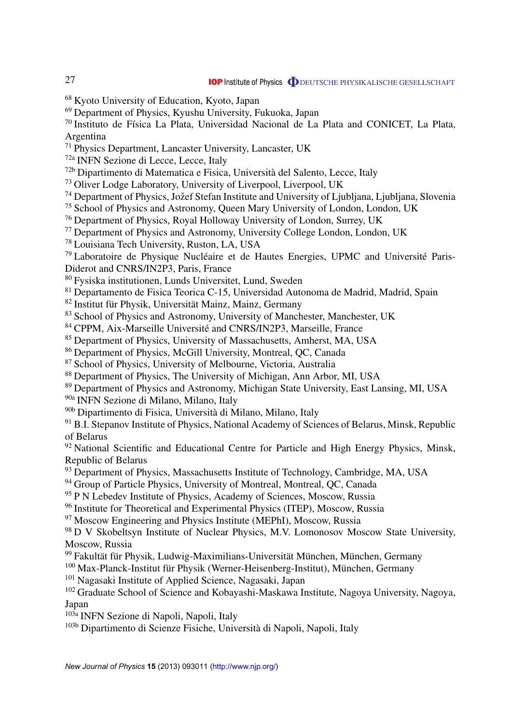<sup>68</sup> Kyoto University of Education, Kyoto, Japan

<sup>69</sup> Department of Physics, Kyushu University, Fukuoka, Japan

<sup>70</sup> Instituto de Física La Plata, Universidad Nacional de La Plata and CONICET, La Plata, Argentina

<sup>71</sup> Physics Department, Lancaster University, Lancaster, UK

72a INFN Sezione di Lecce, Lecce, Italy

72b Dipartimento di Matematica e Fisica, Universita del Salento, Lecce, Italy `

<sup>73</sup> Oliver Lodge Laboratory, University of Liverpool, Liverpool, UK

74 Department of Physics, Jožef Stefan Institute and University of Ljubljana, Ljubljana, Slovenia

<sup>75</sup> School of Physics and Astronomy, Queen Mary University of London, London, UK

<sup>76</sup> Department of Physics, Royal Holloway University of London, Surrey, UK

<sup>77</sup> Department of Physics and Astronomy, University College London, London, UK

<sup>78</sup> Louisiana Tech University, Ruston, LA, USA

 $79$  Laboratoire de Physique Nucléaire et de Hautes Energies, UPMC and Université Paris-Diderot and CNRS/IN2P3, Paris, France

<sup>80</sup> Fysiska institutionen, Lunds Universitet, Lund, Sweden

<sup>81</sup> Departamento de Fisica Teorica C-15, Universidad Autonoma de Madrid, Madrid, Spain

 $^{82}$  Institut für Physik, Universität Mainz, Mainz, Germany

<sup>83</sup> School of Physics and Astronomy, University of Manchester, Manchester, UK

<sup>84</sup> CPPM, Aix-Marseille Université and CNRS/IN2P3, Marseille, France

<sup>85</sup> Department of Physics, University of Massachusetts, Amherst, MA, USA

<sup>86</sup> Department of Physics, McGill University, Montreal, QC, Canada

<sup>87</sup> School of Physics, University of Melbourne, Victoria, Australia

<sup>88</sup> Department of Physics, The University of Michigan, Ann Arbor, MI, USA

<sup>89</sup> Department of Physics and Astronomy, Michigan State University, East Lansing, MI, USA

90a INFN Sezione di Milano, Milano, Italy

90b Dipartimento di Fisica, Universita di Milano, Milano, Italy `

 $91$  B.I. Stepanov Institute of Physics, National Academy of Sciences of Belarus, Minsk, Republic of Belarus

<sup>92</sup> National Scientific and Educational Centre for Particle and High Energy Physics, Minsk, Republic of Belarus

<sup>93</sup> Department of Physics, Massachusetts Institute of Technology, Cambridge, MA, USA

<sup>94</sup> Group of Particle Physics, University of Montreal, Montreal, QC, Canada

<sup>95</sup> P N Lebedev Institute of Physics, Academy of Sciences, Moscow, Russia

<sup>96</sup> Institute for Theoretical and Experimental Physics (ITEP), Moscow, Russia

 $97$  Moscow Engineering and Physics Institute (MEPhI), Moscow, Russia

<sup>98</sup> D V Skobeltsyn Institute of Nuclear Physics, M.V. Lomonosov Moscow State University, Moscow, Russia

99 Fakultät für Physik, Ludwig-Maximilians-Universität München, München, Germany

 $100$  Max-Planck-Institut für Physik (Werner-Heisenberg-Institut), München, Germany

<sup>101</sup> Nagasaki Institute of Applied Science, Nagasaki, Japan

<sup>102</sup> Graduate School of Science and Kobayashi-Maskawa Institute, Nagoya University, Nagoya, Japan

103a INFN Sezione di Napoli, Napoli, Italy

<sup>103b</sup> Dipartimento di Scienze Fisiche, Università di Napoli, Napoli, Italy

27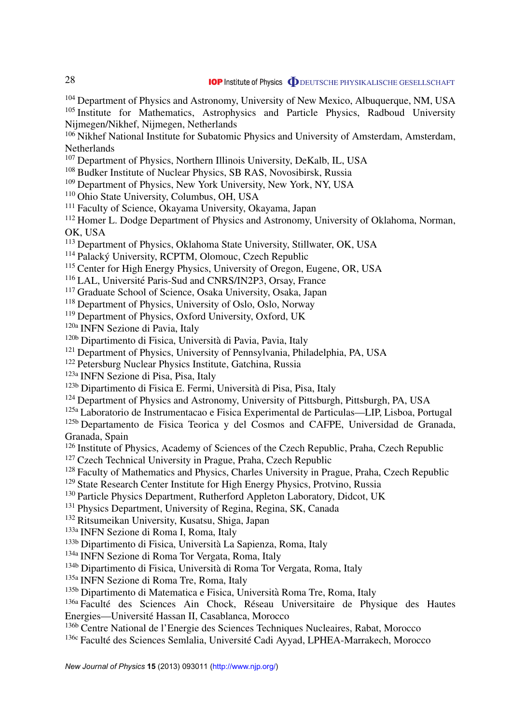<sup>104</sup> Department of Physics and Astronomy, University of New Mexico, Albuquerque, NM, USA <sup>105</sup> Institute for Mathematics, Astrophysics and Particle Physics, Radboud University Nijmegen/Nikhef, Nijmegen, Netherlands

<sup>106</sup> Nikhef National Institute for Subatomic Physics and University of Amsterdam, Amsterdam, Netherlands

- <sup>107</sup> Department of Physics, Northern Illinois University, DeKalb, IL, USA
- <sup>108</sup> Budker Institute of Nuclear Physics, SB RAS, Novosibirsk, Russia
- <sup>109</sup> Department of Physics, New York University, New York, NY, USA
- <sup>110</sup> Ohio State University, Columbus, OH, USA
- <sup>111</sup> Faculty of Science, Okayama University, Okayama, Japan

<sup>112</sup> Homer L. Dodge Department of Physics and Astronomy, University of Oklahoma, Norman, OK, USA

<sup>113</sup> Department of Physics, Oklahoma State University, Stillwater, OK, USA

<sup>114</sup> Palacký University, RCPTM, Olomouc, Czech Republic

<sup>115</sup> Center for High Energy Physics, University of Oregon, Eugene, OR, USA

<sup>116</sup> LAL, Université Paris-Sud and CNRS/IN2P3, Orsay, France

<sup>117</sup> Graduate School of Science, Osaka University, Osaka, Japan

<sup>118</sup> Department of Physics, University of Oslo, Oslo, Norway

<sup>119</sup> Department of Physics, Oxford University, Oxford, UK

120a INFN Sezione di Pavia, Italy

- 120b Dipartimento di Fisica, Universita di Pavia, Pavia, Italy `
- <sup>121</sup> Department of Physics, University of Pennsylvania, Philadelphia, PA, USA
- <sup>122</sup> Petersburg Nuclear Physics Institute, Gatchina, Russia

123a INFN Sezione di Pisa, Pisa, Italy

- 123b Dipartimento di Fisica E. Fermi, Universita di Pisa, Pisa, Italy `
- <sup>124</sup> Department of Physics and Astronomy, University of Pittsburgh, Pittsburgh, PA, USA

125a Laboratorio de Instrumentacao e Fisica Experimental de Particulas—LIP, Lisboa, Portugal

<sup>125b</sup> Departamento de Fisica Teorica y del Cosmos and CAFPE, Universidad de Granada, Granada, Spain

- <sup>126</sup> Institute of Physics, Academy of Sciences of the Czech Republic, Praha, Czech Republic
- <sup>127</sup> Czech Technical University in Prague, Praha, Czech Republic

<sup>128</sup> Faculty of Mathematics and Physics, Charles University in Prague, Praha, Czech Republic

- <sup>129</sup> State Research Center Institute for High Energy Physics, Protvino, Russia
- <sup>130</sup> Particle Physics Department, Rutherford Appleton Laboratory, Didcot, UK
- <sup>131</sup> Physics Department, University of Regina, Regina, SK, Canada
- <sup>132</sup> Ritsumeikan University, Kusatsu, Shiga, Japan
- 133a INFN Sezione di Roma I, Roma, Italy

133b Dipartimento di Fisica, Universita La Sapienza, Roma, Italy `

134a INFN Sezione di Roma Tor Vergata, Roma, Italy

<sup>134b</sup> Dipartimento di Fisica, Università di Roma Tor Vergata, Roma, Italy

135a INFN Sezione di Roma Tre, Roma, Italy

<sup>135b</sup> Dipartimento di Matematica e Fisica, Università Roma Tre, Roma, Italy

 $136a$  Faculté des Sciences Ain Chock, Réseau Universitaire de Physique des Hautes Energies—Universite Hassan II, Casablanca, Morocco ´

136b Centre National de l'Energie des Sciences Techniques Nucleaires, Rabat, Morocco

<sup>136c</sup> Faculté des Sciences Semlalia, Université Cadi Ayyad, LPHEA-Marrakech, Morocco

28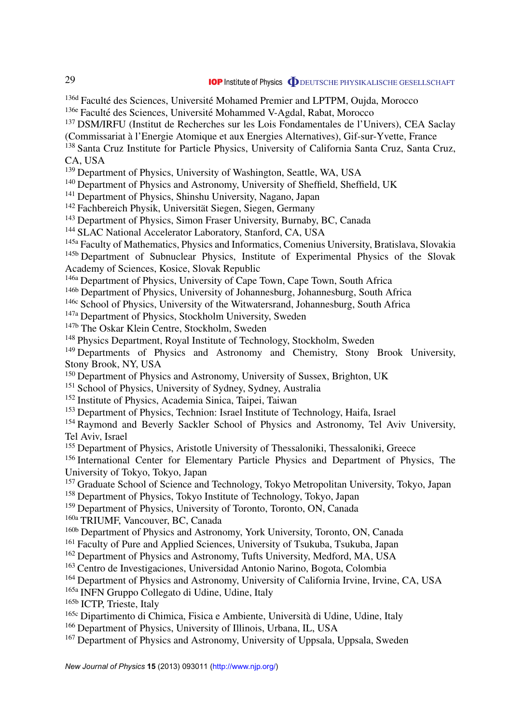<sup>136d</sup> Faculté des Sciences, Université Mohamed Premier and LPTPM, Oujda, Morocco

<sup>136e</sup> Faculté des Sciences, Université Mohammed V-Agdal, Rabat, Morocco

<sup>137</sup> DSM/IRFU (Institut de Recherches sur les Lois Fondamentales de l'Univers), CEA Saclay

(Commissariat a l'Energie Atomique et aux Energies Alternatives), Gif-sur-Yvette, France `

<sup>138</sup> Santa Cruz Institute for Particle Physics, University of California Santa Cruz, Santa Cruz, CA, USA

<sup>139</sup> Department of Physics, University of Washington, Seattle, WA, USA

<sup>140</sup> Department of Physics and Astronomy, University of Sheffield, Sheffield, UK

<sup>141</sup> Department of Physics, Shinshu University, Nagano, Japan

<sup>142</sup> Fachbereich Physik, Universität Siegen, Siegen, Germany

<sup>143</sup> Department of Physics, Simon Fraser University, Burnaby, BC, Canada

<sup>144</sup> SLAC National Accelerator Laboratory, Stanford, CA, USA

<sup>145a</sup> Faculty of Mathematics, Physics and Informatics, Comenius University, Bratislava, Slovakia

<sup>145b</sup> Department of Subnuclear Physics, Institute of Experimental Physics of the Slovak Academy of Sciences, Kosice, Slovak Republic

146a Department of Physics, University of Cape Town, Cape Town, South Africa

146b Department of Physics, University of Johannesburg, Johannesburg, South Africa

<sup>146c</sup> School of Physics, University of the Witwatersrand, Johannesburg, South Africa

<sup>147a</sup> Department of Physics, Stockholm University, Sweden

<sup>147b</sup> The Oskar Klein Centre, Stockholm, Sweden

<sup>148</sup> Physics Department, Royal Institute of Technology, Stockholm, Sweden

<sup>149</sup> Departments of Physics and Astronomy and Chemistry, Stony Brook University, Stony Brook, NY, USA

<sup>150</sup> Department of Physics and Astronomy, University of Sussex, Brighton, UK

<sup>151</sup> School of Physics, University of Sydney, Sydney, Australia

<sup>152</sup> Institute of Physics, Academia Sinica, Taipei, Taiwan

<sup>153</sup> Department of Physics, Technion: Israel Institute of Technology, Haifa, Israel

<sup>154</sup> Raymond and Beverly Sackler School of Physics and Astronomy, Tel Aviv University, Tel Aviv, Israel

<sup>155</sup> Department of Physics, Aristotle University of Thessaloniki, Thessaloniki, Greece

<sup>156</sup> International Center for Elementary Particle Physics and Department of Physics. The University of Tokyo, Tokyo, Japan

<sup>157</sup> Graduate School of Science and Technology, Tokyo Metropolitan University, Tokyo, Japan

<sup>158</sup> Department of Physics, Tokyo Institute of Technology, Tokyo, Japan

<sup>159</sup> Department of Physics, University of Toronto, Toronto, ON, Canada

160a TRIUMF, Vancouver, BC, Canada

160b Department of Physics and Astronomy, York University, Toronto, ON, Canada

<sup>161</sup> Faculty of Pure and Applied Sciences, University of Tsukuba, Tsukuba, Japan

<sup>162</sup> Department of Physics and Astronomy, Tufts University, Medford, MA, USA

<sup>163</sup> Centro de Investigaciones, Universidad Antonio Narino, Bogota, Colombia

<sup>164</sup> Department of Physics and Astronomy, University of California Irvine, Irvine, CA, USA

165a INFN Gruppo Collegato di Udine, Udine, Italy

165b ICTP, Trieste, Italy

165c Dipartimento di Chimica, Fisica e Ambiente, Universita di Udine, Udine, Italy `

<sup>166</sup> Department of Physics, University of Illinois, Urbana, IL, USA

<sup>167</sup> Department of Physics and Astronomy, University of Uppsala, Uppsala, Sweden

*New Journal of Physics* **15** (2013) 093011 [\(http://www.njp.org/\)](http://www.njp.org/)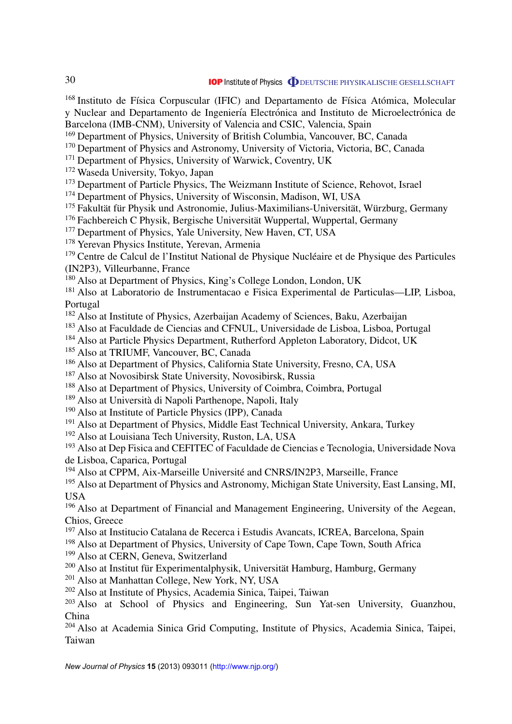$168$  Instituto de Física Corpuscular (IFIC) and Departamento de Física Atómica, Molecular y Nuclear and Departamento de Ingeniería Electrónica and Instituto de Microelectrónica de Barcelona (IMB-CNM), University of Valencia and CSIC, Valencia, Spain

<sup>169</sup> Department of Physics, University of British Columbia, Vancouver, BC, Canada

<sup>170</sup> Department of Physics and Astronomy, University of Victoria, Victoria, BC, Canada

<sup>171</sup> Department of Physics, University of Warwick, Coventry, UK

<sup>172</sup> Waseda University, Tokyo, Japan

<sup>173</sup> Department of Particle Physics, The Weizmann Institute of Science, Rehovot, Israel

<sup>174</sup> Department of Physics, University of Wisconsin, Madison, WI, USA

<sup>175</sup> Fakultät für Physik und Astronomie, Julius-Maximilians-Universität, Würzburg, Germany

<sup>176</sup> Fachbereich C Physik, Bergische Universität Wuppertal, Wuppertal, Germany

<sup>177</sup> Department of Physics, Yale University, New Haven, CT, USA

<sup>178</sup> Yerevan Physics Institute, Yerevan, Armenia

<sup>179</sup> Centre de Calcul de l'Institut National de Physique Nucléaire et de Physique des Particules (IN2P3), Villeurbanne, France

<sup>180</sup> Also at Department of Physics, King's College London, London, UK

<sup>181</sup> Also at Laboratorio de Instrumentacao e Fisica Experimental de Particulas—LIP, Lisboa, Portugal

<sup>182</sup> Also at Institute of Physics, Azerbaijan Academy of Sciences, Baku, Azerbaijan

<sup>183</sup> Also at Faculdade de Ciencias and CFNUL, Universidade de Lisboa, Lisboa, Portugal

<sup>184</sup> Also at Particle Physics Department, Rutherford Appleton Laboratory, Didcot, UK

<sup>185</sup> Also at TRIUMF, Vancouver, BC, Canada

<sup>186</sup> Also at Department of Physics, California State University, Fresno, CA, USA

<sup>187</sup> Also at Novosibirsk State University, Novosibirsk, Russia

<sup>188</sup> Also at Department of Physics, University of Coimbra, Coimbra, Portugal

<sup>189</sup> Also at Università di Napoli Parthenope, Napoli, Italy

<sup>190</sup> Also at Institute of Particle Physics (IPP), Canada

<sup>191</sup> Also at Department of Physics, Middle East Technical University, Ankara, Turkey

<sup>192</sup> Also at Louisiana Tech University, Ruston, LA, USA

<sup>193</sup> Also at Dep Fisica and CEFITEC of Faculdade de Ciencias e Tecnologia, Universidade Nova de Lisboa, Caparica, Portugal

<sup>194</sup> Also at CPPM, Aix-Marseille Universite and CNRS/IN2P3, Marseille, France ´

<sup>195</sup> Also at Department of Physics and Astronomy, Michigan State University, East Lansing, MI, USA

<sup>196</sup> Also at Department of Financial and Management Engineering, University of the Aegean, Chios, Greece

<sup>197</sup> Also at Institucio Catalana de Recerca i Estudis Avancats, ICREA, Barcelona, Spain

<sup>198</sup> Also at Department of Physics, University of Cape Town, Cape Town, South Africa

<sup>199</sup> Also at CERN, Geneva, Switzerland

 $200$  Also at Institut für Experimentalphysik, Universität Hamburg, Hamburg, Germany

<sup>201</sup> Also at Manhattan College, New York, NY, USA

<sup>202</sup> Also at Institute of Physics, Academia Sinica, Taipei, Taiwan

<sup>203</sup> Also at School of Physics and Engineering, Sun Yat-sen University, Guanzhou, China

<sup>204</sup> Also at Academia Sinica Grid Computing, Institute of Physics, Academia Sinica, Taipei, Taiwan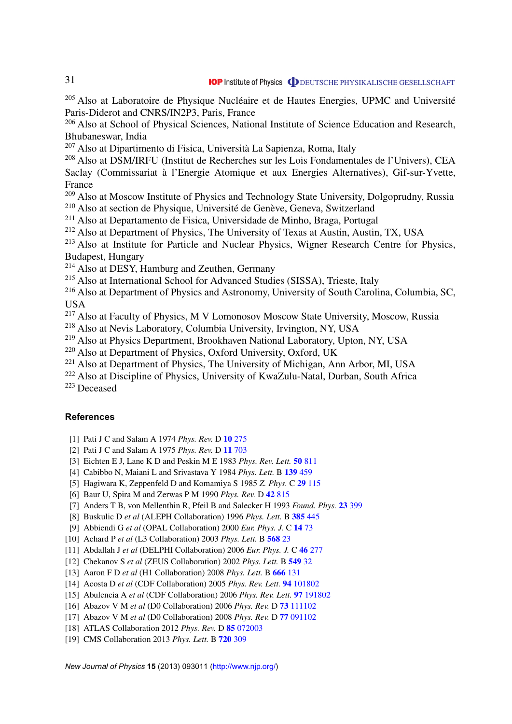<span id="page-31-0"></span> $205$  Also at Laboratoire de Physique Nucléaire et de Hautes Energies, UPMC and Université Paris-Diderot and CNRS/IN2P3, Paris, France

<sup>206</sup> Also at School of Physical Sciences, National Institute of Science Education and Research, Bhubaneswar, India

<sup>207</sup> Also at Dipartimento di Fisica, Universita La Sapienza, Roma, Italy `

<sup>208</sup> Also at DSM/IRFU (Institut de Recherches sur les Lois Fondamentales de l'Univers), CEA Saclay (Commissariat à l'Energie Atomique et aux Energies Alternatives), Gif-sur-Yvette, France

<sup>209</sup> Also at Moscow Institute of Physics and Technology State University, Dolgoprudny, Russia  $210$  Also at section de Physique, Université de Genève, Geneva, Switzerland

<sup>211</sup> Also at Departamento de Fisica, Universidade de Minho, Braga, Portugal

<sup>212</sup> Also at Department of Physics, The University of Texas at Austin, Austin, TX, USA

<sup>213</sup> Also at Institute for Particle and Nuclear Physics, Wigner Research Centre for Physics, Budapest, Hungary

<sup>214</sup> Also at DESY, Hamburg and Zeuthen, Germany

<sup>215</sup> Also at International School for Advanced Studies (SISSA), Trieste, Italy

<sup>216</sup> Also at Department of Physics and Astronomy, University of South Carolina, Columbia, SC, **USA** 

<sup>217</sup> Also at Faculty of Physics, M V Lomonosov Moscow State University, Moscow, Russia

<sup>218</sup> Also at Nevis Laboratory, Columbia University, Irvington, NY, USA

<sup>219</sup> Also at Physics Department, Brookhaven National Laboratory, Upton, NY, USA

<sup>220</sup> Also at Department of Physics, Oxford University, Oxford, UK

 $221$  Also at Department of Physics, The University of Michigan, Ann Arbor, MI, USA

<sup>222</sup> Also at Discipline of Physics, University of KwaZulu-Natal, Durban, South Africa

<sup>223</sup> Deceased

### **References**

- [1] Pati J C and Salam A 1974 *Phys. Rev.* D **10** [275](http://dx.doi.org/10.1103/PhysRevD.10.275)
- [2] Pati J C and Salam A 1975 *Phys. Rev.* D **11** [703](http://dx.doi.org/10.1103/PhysRevD.11.703.2)
- [3] Eichten E J, Lane K D and Peskin M E 1983 *Phys. Rev. Lett.* **50** [811](http://dx.doi.org/10.1103/PhysRevLett.50.811)

[4] Cabibbo N, Maiani L and Srivastava Y 1984 *Phys. Lett.* B **139** [459](http://dx.doi.org/10.1016/0370-2693(84)91850-1)

- [5] Hagiwara K, Zeppenfeld D and Komamiya S 1985 *Z. Phys.* C **29** [115](http://dx.doi.org/10.1007/BF01571391)
- [6] Baur U, Spira M and Zerwas P M 1990 *Phys. Rev.* D **42** [815](http://dx.doi.org/10.1103/PhysRevD.42.815)
- [7] Anders T B, von Mellenthin R, Pfeil B and Salecker H 1993 *Found. Phys.* **23** [399](http://dx.doi.org/10.1007/BF01883720)
- [8] Buskulic D *et al* (ALEPH Collaboration) 1996 *Phys. Lett.* B **385** [445](http://dx.doi.org/10.1016/0370-2693(96)00961-6)
- [9] Abbiendi G *et al* (OPAL Collaboration) 2000 *Eur. Phys. J.* C **14** [73](http://dx.doi.org/10.1007/s100520050734)
- [10] Achard P *et al* (L3 Collaboration) 2003 *Phys. Lett.* B **[568](http://dx.doi.org/10.1016/j.physletb.2003.05.004)** 23
- [11] Abdallah J *et al* (DELPHI Collaboration) 2006 *Eur. Phys. J.* C **46** [277](http://dx.doi.org/10.1140/epjc/s2006-02501-3)
- [12] Chekanov S *et al* (ZEUS Collaboration) 2002 *Phys. Lett.* B **[549](http://dx.doi.org/10.1016/S0370-2693(02)02863-0)** 32
- [13] Aaron F D *et al* (H1 Collaboration) 2008 *Phys. Lett.* B **[666](http://dx.doi.org/10.1016/j.physletb.2008.07.014)** 131
- [14] Acosta D *et al* (CDF Collaboration) 2005 *Phys. Rev. Lett.* **94** [101802](http://dx.doi.org/10.1103/PhysRevLett.94.101802)
- [15] Abulencia A *et al* (CDF Collaboration) 2006 *Phys. Rev. Lett.* **97** [191802](http://dx.doi.org/10.1103/PhysRevLett.97.191802)
- [16] Abazov V M *et al* (D0 Collaboration) 2006 *Phys. Rev.* D **73** [111102](http://dx.doi.org/10.1103/PhysRevD.73.111102)
- [17] Abazov V M *et al* (D0 Collaboration) 2008 *Phys. Rev.* D **77** [091102](http://dx.doi.org/10.1103/PhysRevD.77.091102)
- [18] ATLAS Collaboration 2012 *Phys. Rev.* D **85** [072003](http://dx.doi.org/10.1103/PhysRevD.85.072003)
- [19] CMS Collaboration 2013 *Phys. Lett.* B **720** [309](http://dx.doi.org/10.1016/j.physletb.2013.02.031)

*New Journal of Physics* **15** (2013) 093011 [\(http://www.njp.org/\)](http://www.njp.org/)